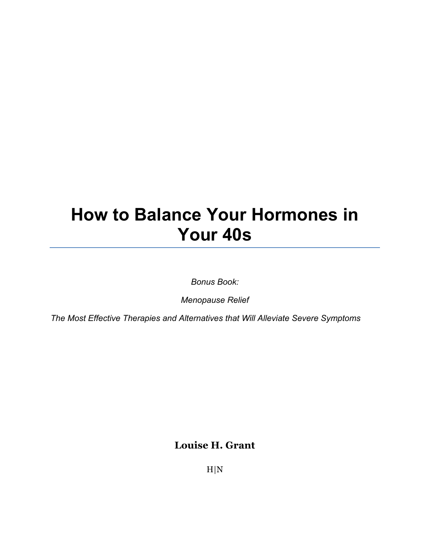# **How to Balance Your Hormones in Your 40s**

*Bonus Book:*

*Menopause Relief*

*The Most Effective Therapies and Alternatives that Will Alleviate Severe Symptoms*

**Louise H. Grant** 

H|N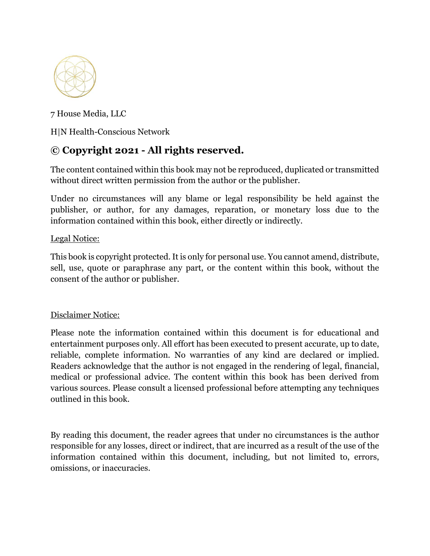

7 House Media, LLC

H|N Health-Conscious Network

### **© Copyright 2021 - All rights reserved.**

The content contained within this book may not be reproduced, duplicated or transmitted without direct written permission from the author or the publisher.

Under no circumstances will any blame or legal responsibility be held against the publisher, or author, for any damages, reparation, or monetary loss due to the information contained within this book, either directly or indirectly.

### Legal Notice:

This book is copyright protected. It is only for personal use. You cannot amend, distribute, sell, use, quote or paraphrase any part, or the content within this book, without the consent of the author or publisher.

### Disclaimer Notice:

Please note the information contained within this document is for educational and entertainment purposes only. All effort has been executed to present accurate, up to date, reliable, complete information. No warranties of any kind are declared or implied. Readers acknowledge that the author is not engaged in the rendering of legal, financial, medical or professional advice. The content within this book has been derived from various sources. Please consult a licensed professional before attempting any techniques outlined in this book.

By reading this document, the reader agrees that under no circumstances is the author responsible for any losses, direct or indirect, that are incurred as a result of the use of the information contained within this document, including, but not limited to, errors, omissions, or inaccuracies.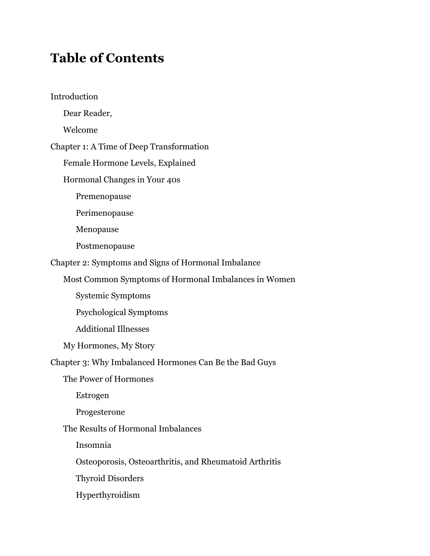# **Table of Contents**

Introduction Dear Reader, Welcome Chapter 1: A Time of Deep Transformation Female Hormone Levels, Explained Hormonal Changes in Your 40s Premenopause Perimenopause Menopause Postmenopause Chapter 2: Symptoms and Signs of Hormonal Imbalance Most Common Symptoms of Hormonal Imbalances in Women Systemic Symptoms Psychological Symptoms Additional Illnesses My Hormones, My Story Chapter 3: Why Imbalanced Hormones Can Be the Bad Guys The Power of Hormones Estrogen Progesterone The Results of Hormonal Imbalances Insomnia Osteoporosis, Osteoarthritis, and Rheumatoid Arthritis Thyroid Disorders Hyperthyroidism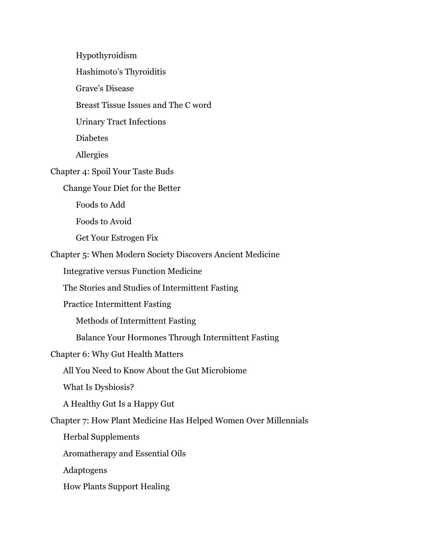Hypothyroidism Hashimoto's Thyroiditis Grave's Disease Breast Tissue Issues and The C word Urinary Tract Infections Diabetes Allergies Chapter 4: Spoil Your Taste Buds Change Your Diet for the Better Foods to Add Foods to Avoid Get Your Estrogen Fix Chapter 5: When Modern Society Discovers Ancient Medicine Integrative versus Function Medicine The Stories and Studies of Intermittent Fasting Practice Intermittent Fasting Methods of Intermittent Fasting Balance Your Hormones Through Intermittent Fasting Chapter 6: Why Gut Health Matters All You Need to Know About the Gut Microbiome What Is Dysbiosis? A Healthy Gut Is a Happy Gut Chapter 7: How Plant Medicine Has Helped Women Over Millennials Herbal Supplements Aromatherapy and Essential Oils Adaptogens How Plants Support Healing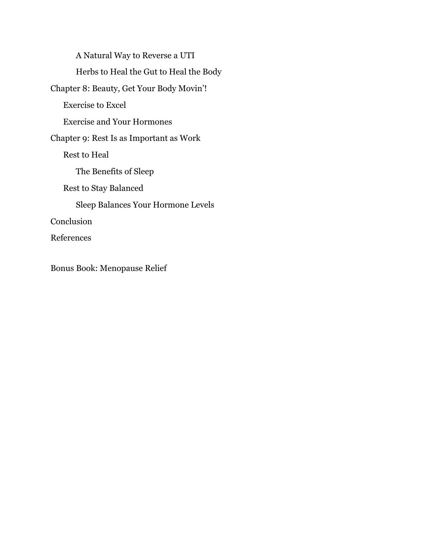A Natural Way to Reverse a UTI Herbs to Heal the Gut to Heal the Body Chapter 8: Beauty, Get Your Body Movin'! Exercise to Excel Exercise and Your Hormones Chapter 9: Rest Is as Important as Work Rest to Heal The Benefits of Sleep Rest to Stay Balanced Sleep Balances Your Hormone Levels Conclusion References

Bonus Book: Menopause Relief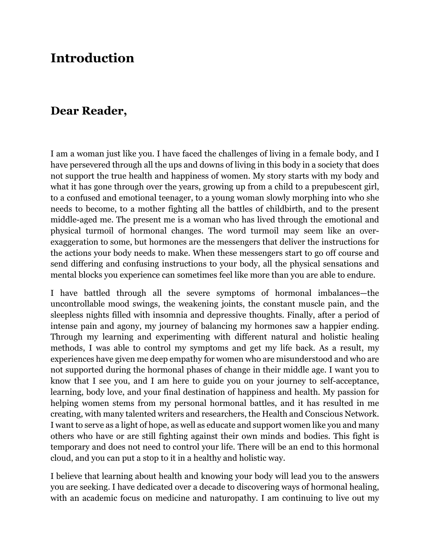# **Introduction**

### **Dear Reader,**

I am a woman just like you. I have faced the challenges of living in a female body, and I have persevered through all the ups and downs of living in this body in a society that does not support the true health and happiness of women. My story starts with my body and what it has gone through over the years, growing up from a child to a prepubescent girl, to a confused and emotional teenager, to a young woman slowly morphing into who she needs to become, to a mother fighting all the battles of childbirth, and to the present middle-aged me. The present me is a woman who has lived through the emotional and physical turmoil of hormonal changes. The word turmoil may seem like an overexaggeration to some, but hormones are the messengers that deliver the instructions for the actions your body needs to make. When these messengers start to go off course and send differing and confusing instructions to your body, all the physical sensations and mental blocks you experience can sometimes feel like more than you are able to endure.

I have battled through all the severe symptoms of hormonal imbalances—the uncontrollable mood swings, the weakening joints, the constant muscle pain, and the sleepless nights filled with insomnia and depressive thoughts. Finally, after a period of intense pain and agony, my journey of balancing my hormones saw a happier ending. Through my learning and experimenting with different natural and holistic healing methods, I was able to control my symptoms and get my life back. As a result, my experiences have given me deep empathy for women who are misunderstood and who are not supported during the hormonal phases of change in their middle age. I want you to know that I see you, and I am here to guide you on your journey to self-acceptance, learning, body love, and your final destination of happiness and health. My passion for helping women stems from my personal hormonal battles, and it has resulted in me creating, with many talented writers and researchers, the Health and Conscious Network. I want to serve as a light of hope, as well as educate and support women like you and many others who have or are still fighting against their own minds and bodies. This fight is temporary and does not need to control your life. There will be an end to this hormonal cloud, and you can put a stop to it in a healthy and holistic way.

I believe that learning about health and knowing your body will lead you to the answers you are seeking. I have dedicated over a decade to discovering ways of hormonal healing, with an academic focus on medicine and naturopathy. I am continuing to live out my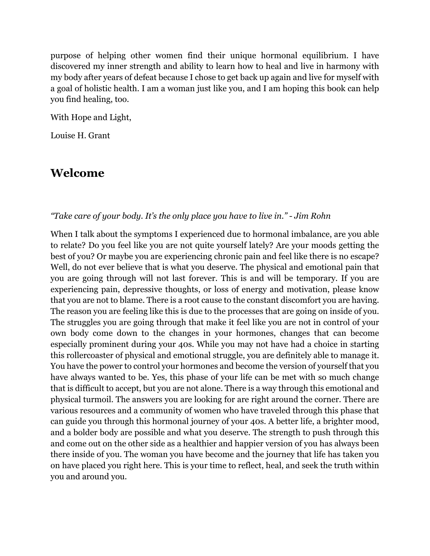purpose of helping other women find their unique hormonal equilibrium. I have discovered my inner strength and ability to learn how to heal and live in harmony with my body after years of defeat because I chose to get back up again and live for myself with a goal of holistic health. I am a woman just like you, and I am hoping this book can help you find healing, too.

With Hope and Light,

Louise H. Grant

## **Welcome**

### *"Take care of your body. It's the only place you have to live in." - Jim Rohn*

When I talk about the symptoms I experienced due to hormonal imbalance, are you able to relate? Do you feel like you are not quite yourself lately? Are your moods getting the best of you? Or maybe you are experiencing chronic pain and feel like there is no escape? Well, do not ever believe that is what you deserve. The physical and emotional pain that you are going through will not last forever. This is and will be temporary. If you are experiencing pain, depressive thoughts, or loss of energy and motivation, please know that you are not to blame. There is a root cause to the constant discomfort you are having. The reason you are feeling like this is due to the processes that are going on inside of you. The struggles you are going through that make it feel like you are not in control of your own body come down to the changes in your hormones, changes that can become especially prominent during your 40s. While you may not have had a choice in starting this rollercoaster of physical and emotional struggle, you are definitely able to manage it. You have the power to control your hormones and become the version of yourself that you have always wanted to be. Yes, this phase of your life can be met with so much change that is difficult to accept, but you are not alone. There is a way through this emotional and physical turmoil. The answers you are looking for are right around the corner. There are various resources and a community of women who have traveled through this phase that can guide you through this hormonal journey of your 40s. A better life, a brighter mood, and a bolder body are possible and what you deserve. The strength to push through this and come out on the other side as a healthier and happier version of you has always been there inside of you. The woman you have become and the journey that life has taken you on have placed you right here. This is your time to reflect, heal, and seek the truth within you and around you.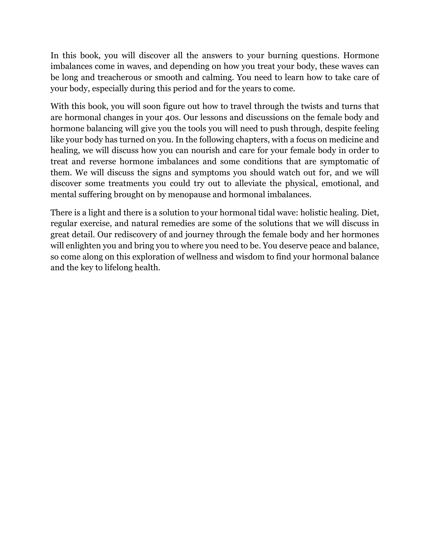In this book, you will discover all the answers to your burning questions. Hormone imbalances come in waves, and depending on how you treat your body, these waves can be long and treacherous or smooth and calming. You need to learn how to take care of your body, especially during this period and for the years to come.

With this book, you will soon figure out how to travel through the twists and turns that are hormonal changes in your 40s. Our lessons and discussions on the female body and hormone balancing will give you the tools you will need to push through, despite feeling like your body has turned on you. In the following chapters, with a focus on medicine and healing, we will discuss how you can nourish and care for your female body in order to treat and reverse hormone imbalances and some conditions that are symptomatic of them. We will discuss the signs and symptoms you should watch out for, and we will discover some treatments you could try out to alleviate the physical, emotional, and mental suffering brought on by menopause and hormonal imbalances.

There is a light and there is a solution to your hormonal tidal wave: holistic healing. Diet, regular exercise, and natural remedies are some of the solutions that we will discuss in great detail. Our rediscovery of and journey through the female body and her hormones will enlighten you and bring you to where you need to be. You deserve peace and balance, so come along on this exploration of wellness and wisdom to find your hormonal balance and the key to lifelong health.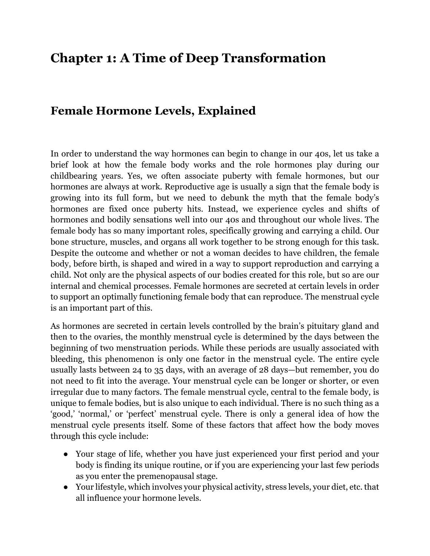# **Chapter 1: A Time of Deep Transformation**

### **Female Hormone Levels, Explained**

In order to understand the way hormones can begin to change in our 40s, let us take a brief look at how the female body works and the role hormones play during our childbearing years. Yes, we often associate puberty with female hormones, but our hormones are always at work. Reproductive age is usually a sign that the female body is growing into its full form, but we need to debunk the myth that the female body's hormones are fixed once puberty hits. Instead, we experience cycles and shifts of hormones and bodily sensations well into our 40s and throughout our whole lives. The female body has so many important roles, specifically growing and carrying a child. Our bone structure, muscles, and organs all work together to be strong enough for this task. Despite the outcome and whether or not a woman decides to have children, the female body, before birth, is shaped and wired in a way to support reproduction and carrying a child. Not only are the physical aspects of our bodies created for this role, but so are our internal and chemical processes. Female hormones are secreted at certain levels in order to support an optimally functioning female body that can reproduce. The menstrual cycle is an important part of this.

As hormones are secreted in certain levels controlled by the brain's pituitary gland and then to the ovaries, the monthly menstrual cycle is determined by the days between the beginning of two menstruation periods. While these periods are usually associated with bleeding, this phenomenon is only one factor in the menstrual cycle. The entire cycle usually lasts between 24 to 35 days, with an average of 28 days—but remember, you do not need to fit into the average. Your menstrual cycle can be longer or shorter, or even irregular due to many factors. The female menstrual cycle, central to the female body, is unique to female bodies, but is also unique to each individual. There is no such thing as a 'good,' 'normal,' or 'perfect' menstrual cycle. There is only a general idea of how the menstrual cycle presents itself. Some of these factors that affect how the body moves through this cycle include:

- Your stage of life, whether you have just experienced your first period and your body is finding its unique routine, or if you are experiencing your last few periods as you enter the premenopausal stage.
- Your lifestyle, which involves your physical activity, stress levels, your diet, etc. that all influence your hormone levels.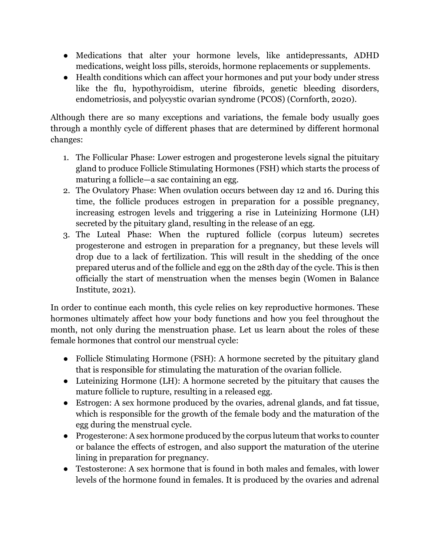- Medications that alter your hormone levels, like antidepressants, ADHD medications, weight loss pills, steroids, hormone replacements or supplements.
- Health conditions which can affect your hormones and put your body under stress like the flu, hypothyroidism, uterine fibroids, genetic bleeding disorders, endometriosis, and polycystic ovarian syndrome (PCOS) (Cornforth, 2020).

Although there are so many exceptions and variations, the female body usually goes through a monthly cycle of different phases that are determined by different hormonal changes:

- 1. The Follicular Phase: Lower estrogen and progesterone levels signal the pituitary gland to produce Follicle Stimulating Hormones (FSH) which starts the process of maturing a follicle—a sac containing an egg.
- 2. The Ovulatory Phase: When ovulation occurs between day 12 and 16. During this time, the follicle produces estrogen in preparation for a possible pregnancy, increasing estrogen levels and triggering a rise in Luteinizing Hormone (LH) secreted by the pituitary gland, resulting in the release of an egg.
- 3. The Luteal Phase: When the ruptured follicle (corpus luteum) secretes progesterone and estrogen in preparation for a pregnancy, but these levels will drop due to a lack of fertilization. This will result in the shedding of the once prepared uterus and of the follicle and egg on the 28th day of the cycle. This is then officially the start of menstruation when the menses begin (Women in Balance Institute, 2021).

In order to continue each month, this cycle relies on key reproductive hormones. These hormones ultimately affect how your body functions and how you feel throughout the month, not only during the menstruation phase. Let us learn about the roles of these female hormones that control our menstrual cycle:

- Follicle Stimulating Hormone (FSH): A hormone secreted by the pituitary gland that is responsible for stimulating the maturation of the ovarian follicle.
- Luteinizing Hormone (LH): A hormone secreted by the pituitary that causes the mature follicle to rupture, resulting in a released egg.
- Estrogen: A sex hormone produced by the ovaries, adrenal glands, and fat tissue, which is responsible for the growth of the female body and the maturation of the egg during the menstrual cycle.
- Progesterone: A sex hormone produced by the corpus luteum that works to counter or balance the effects of estrogen, and also support the maturation of the uterine lining in preparation for pregnancy.
- Testosterone: A sex hormone that is found in both males and females, with lower levels of the hormone found in females. It is produced by the ovaries and adrenal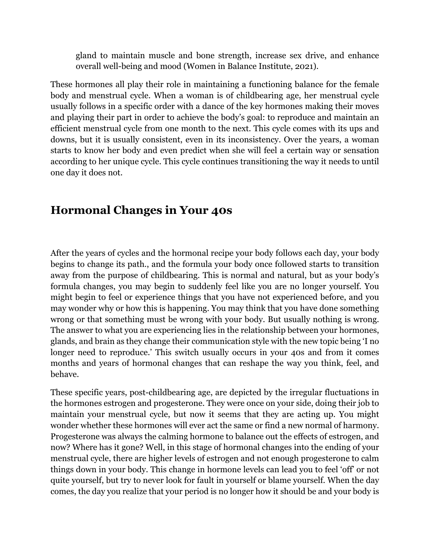gland to maintain muscle and bone strength, increase sex drive, and enhance overall well-being and mood (Women in Balance Institute, 2021).

These hormones all play their role in maintaining a functioning balance for the female body and menstrual cycle. When a woman is of childbearing age, her menstrual cycle usually follows in a specific order with a dance of the key hormones making their moves and playing their part in order to achieve the body's goal: to reproduce and maintain an efficient menstrual cycle from one month to the next. This cycle comes with its ups and downs, but it is usually consistent, even in its inconsistency. Over the years, a woman starts to know her body and even predict when she will feel a certain way or sensation according to her unique cycle. This cycle continues transitioning the way it needs to until one day it does not.

# **Hormonal Changes in Your 40s**

After the years of cycles and the hormonal recipe your body follows each day, your body begins to change its path., and the formula your body once followed starts to transition away from the purpose of childbearing. This is normal and natural, but as your body's formula changes, you may begin to suddenly feel like you are no longer yourself. You might begin to feel or experience things that you have not experienced before, and you may wonder why or how this is happening. You may think that you have done something wrong or that something must be wrong with your body. But usually nothing is wrong. The answer to what you are experiencing lies in the relationship between your hormones, glands, and brain as they change their communication style with the new topic being 'I no longer need to reproduce.' This switch usually occurs in your 40s and from it comes months and years of hormonal changes that can reshape the way you think, feel, and behave.

These specific years, post-childbearing age, are depicted by the irregular fluctuations in the hormones estrogen and progesterone. They were once on your side, doing their job to maintain your menstrual cycle, but now it seems that they are acting up. You might wonder whether these hormones will ever act the same or find a new normal of harmony. Progesterone was always the calming hormone to balance out the effects of estrogen, and now? Where has it gone? Well, in this stage of hormonal changes into the ending of your menstrual cycle, there are higher levels of estrogen and not enough progesterone to calm things down in your body. This change in hormone levels can lead you to feel 'off' or not quite yourself, but try to never look for fault in yourself or blame yourself. When the day comes, the day you realize that your period is no longer how it should be and your body is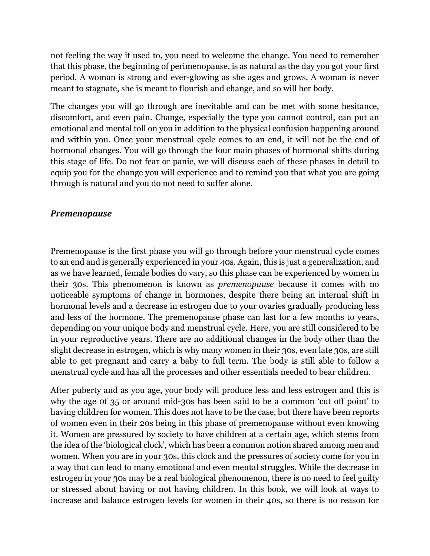not feeling the way it used to, you need to welcome the change. You need to remember that this phase, the beginning of perimenopause, is as natural as the day you got your first period. A woman is strong and ever-glowing as she ages and grows. A woman is never meant to stagnate, she is meant to flourish and change, and so will her body.

The changes you will go through are inevitable and can be met with some hesitance, discomfort, and even pain. Change, especially the type you cannot control, can put an emotional and mental toll on you in addition to the physical confusion happening around and within you. Once your menstrual cycle comes to an end, it will not be the end of hormonal changes. You will go through the four main phases of hormonal shifts during this stage of life. Do not fear or panic, we will discuss each of these phases in detail to equip you for the change you will experience and to remind you that what you are going through is natural and you do not need to suffer alone.

### *Premenopause*

Premenopause is the first phase you will go through before your menstrual cycle comes to an end and is generally experienced in your 40s. Again, this is just a generalization, and as we have learned, female bodies do vary, so this phase can be experienced by women in their 30s. This phenomenon is known as *premenopause* because it comes with no noticeable symptoms of change in hormones, despite there being an internal shift in hormonal levels and a decrease in estrogen due to your ovaries gradually producing less and less of the hormone. The premenopause phase can last for a few months to years, depending on your unique body and menstrual cycle. Here, you are still considered to be in your reproductive years. There are no additional changes in the body other than the slight decrease in estrogen, which is why many women in their 30s, even late 30s, are still able to get pregnant and carry a baby to full term. The body is still able to follow a menstrual cycle and has all the processes and other essentials needed to bear children.

After puberty and as you age, your body will produce less and less estrogen and this is why the age 0f 35 or around mid-30s has been said to be a common 'cut off point' to having children for women. This does not have to be the case, but there have been reports of women even in their 20s being in this phase of premenopause without even knowing it. Women are pressured by society to have children at a certain age, which stems from the idea of the 'biological clock', which has been a common notion shared among men and women. When you are in your 30s, this clock and the pressures of society come for you in a way that can lead to many emotional and even mental struggles. While the decrease in estrogen in your 30s may be a real biological phenomenon, there is no need to feel guilty or stressed about having or not having children. In this book, we will look at ways to increase and balance estrogen levels for women in their 40s, so there is no reason for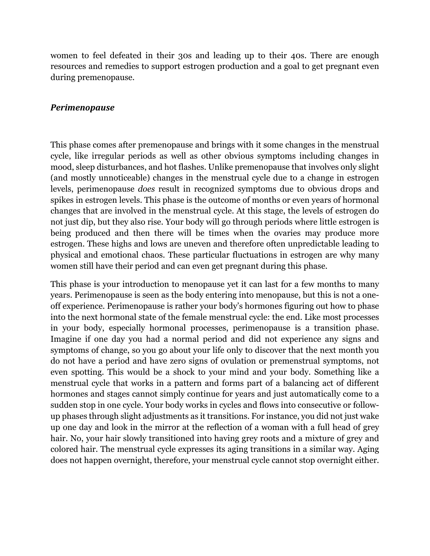women to feel defeated in their 30s and leading up to their 40s. There are enough resources and remedies to support estrogen production and a goal to get pregnant even during premenopause.

### *Perimenopause*

This phase comes after premenopause and brings with it some changes in the menstrual cycle, like irregular periods as well as other obvious symptoms including changes in mood, sleep disturbances, and hot flashes. Unlike premenopause that involves only slight (and mostly unnoticeable) changes in the menstrual cycle due to a change in estrogen levels, perimenopause *does* result in recognized symptoms due to obvious drops and spikes in estrogen levels. This phase is the outcome of months or even years of hormonal changes that are involved in the menstrual cycle. At this stage, the levels of estrogen do not just dip, but they also rise. Your body will go through periods where little estrogen is being produced and then there will be times when the ovaries may produce more estrogen. These highs and lows are uneven and therefore often unpredictable leading to physical and emotional chaos. These particular fluctuations in estrogen are why many women still have their period and can even get pregnant during this phase.

This phase is your introduction to menopause yet it can last for a few months to many years. Perimenopause is seen as the body entering into menopause, but this is not a oneoff experience. Perimenopause is rather your body's hormones figuring out how to phase into the next hormonal state of the female menstrual cycle: the end. Like most processes in your body, especially hormonal processes, perimenopause is a transition phase. Imagine if one day you had a normal period and did not experience any signs and symptoms of change, so you go about your life only to discover that the next month you do not have a period and have zero signs of ovulation or premenstrual symptoms, not even spotting. This would be a shock to your mind and your body. Something like a menstrual cycle that works in a pattern and forms part of a balancing act of different hormones and stages cannot simply continue for years and just automatically come to a sudden stop in one cycle. Your body works in cycles and flows into consecutive or followup phases through slight adjustments as it transitions. For instance, you did not just wake up one day and look in the mirror at the reflection of a woman with a full head of grey hair. No, your hair slowly transitioned into having grey roots and a mixture of grey and colored hair. The menstrual cycle expresses its aging transitions in a similar way. Aging does not happen overnight, therefore, your menstrual cycle cannot stop overnight either.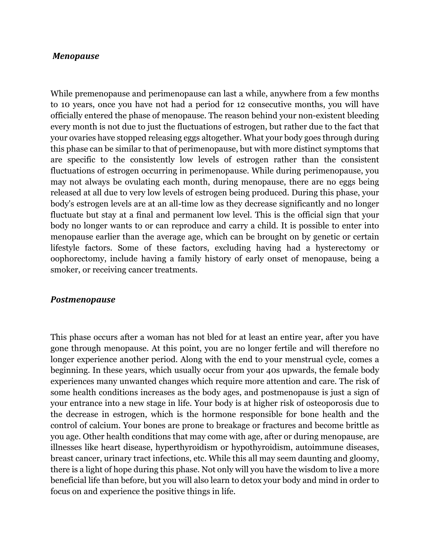#### *Menopause*

While premenopause and perimenopause can last a while, anywhere from a few months to 10 years, once you have not had a period for 12 consecutive months, you will have officially entered the phase of menopause. The reason behind your non-existent bleeding every month is not due to just the fluctuations of estrogen, but rather due to the fact that your ovaries have stopped releasing eggs altogether. What your body goes through during this phase can be similar to that of perimenopause, but with more distinct symptoms that are specific to the consistently low levels of estrogen rather than the consistent fluctuations of estrogen occurring in perimenopause. While during perimenopause, you may not always be ovulating each month, during menopause, there are no eggs being released at all due to very low levels of estrogen being produced. During this phase, your body's estrogen levels are at an all-time low as they decrease significantly and no longer fluctuate but stay at a final and permanent low level. This is the official sign that your body no longer wants to or can reproduce and carry a child. It is possible to enter into menopause earlier than the average age, which can be brought on by genetic or certain lifestyle factors. Some of these factors, excluding having had a hysterectomy or oophorectomy, include having a family history of early onset of menopause, being a smoker, or receiving cancer treatments.

#### *Postmenopause*

This phase occurs after a woman has not bled for at least an entire year, after you have gone through menopause. At this point, you are no longer fertile and will therefore no longer experience another period. Along with the end to your menstrual cycle, comes a beginning. In these years, which usually occur from your 40s upwards, the female body experiences many unwanted changes which require more attention and care. The risk of some health conditions increases as the body ages, and postmenopause is just a sign of your entrance into a new stage in life. Your body is at higher risk of osteoporosis due to the decrease in estrogen, which is the hormone responsible for bone health and the control of calcium. Your bones are prone to breakage or fractures and become brittle as you age. Other health conditions that may come with age, after or during menopause, are illnesses like heart disease, hyperthyroidism or hypothyroidism, autoimmune diseases, breast cancer, urinary tract infections, etc. While this all may seem daunting and gloomy, there is a light of hope during this phase. Not only will you have the wisdom to live a more beneficial life than before, but you will also learn to detox your body and mind in order to focus on and experience the positive things in life.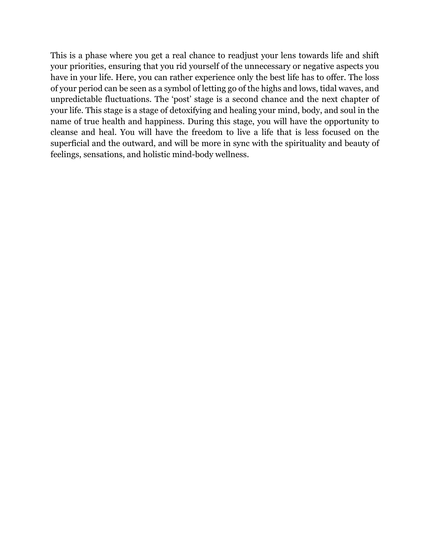This is a phase where you get a real chance to readjust your lens towards life and shift your priorities, ensuring that you rid yourself of the unnecessary or negative aspects you have in your life. Here, you can rather experience only the best life has to offer. The loss of your period can be seen as a symbol of letting go of the highs and lows, tidal waves, and unpredictable fluctuations. The 'post' stage is a second chance and the next chapter of your life. This stage is a stage of detoxifying and healing your mind, body, and soul in the name of true health and happiness. During this stage, you will have the opportunity to cleanse and heal. You will have the freedom to live a life that is less focused on the superficial and the outward, and will be more in sync with the spirituality and beauty of feelings, sensations, and holistic mind-body wellness.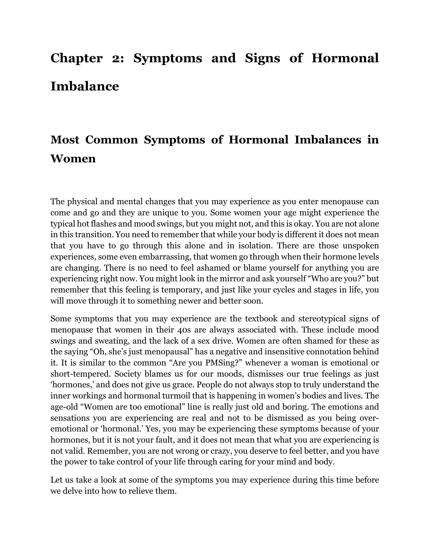# **Chapter 2: Symptoms and Signs of Hormonal Imbalance**

# **Most Common Symptoms of Hormonal Imbalances in Women**

The physical and mental changes that you may experience as you enter menopause can come and go and they are unique to you. Some women your age might experience the typical hot flashes and mood swings, but you might not, and this is okay. You are not alone in this transition. You need to remember that while your body is different it does not mean that you have to go through this alone and in isolation. There are those unspoken experiences, some even embarrassing, that women go through when their hormone levels are changing. There is no need to feel ashamed or blame yourself for anything you are experiencing right now. You might look in the mirror and ask yourself "Who are you?" but remember that this feeling is temporary, and just like your cycles and stages in life, you will move through it to something newer and better soon.

Some symptoms that you may experience are the textbook and stereotypical signs of menopause that women in their 40s are always associated with. These include mood swings and sweating, and the lack of a sex drive. Women are often shamed for these as the saying "Oh, she's just menopausal" has a negative and insensitive connotation behind it. It is similar to the common "Are you PMSing?" whenever a woman is emotional or short-tempered. Society blames us for our moods, dismisses our true feelings as just 'hormones,' and does not give us grace. People do not always stop to truly understand the inner workings and hormonal turmoil that is happening in women's bodies and lives. The age-old "Women are too emotional" line is really just old and boring. The emotions and sensations you are experiencing are real and not to be dismissed as you being overemotional or 'hormonal.' Yes, you may be experiencing these symptoms because of your hormones, but it is not your fault, and it does not mean that what you are experiencing is not valid. Remember, you are not wrong or crazy, you deserve to feel better, and you have the power to take control of your life through caring for your mind and body.

Let us take a look at some of the symptoms you may experience during this time before we delve into how to relieve them.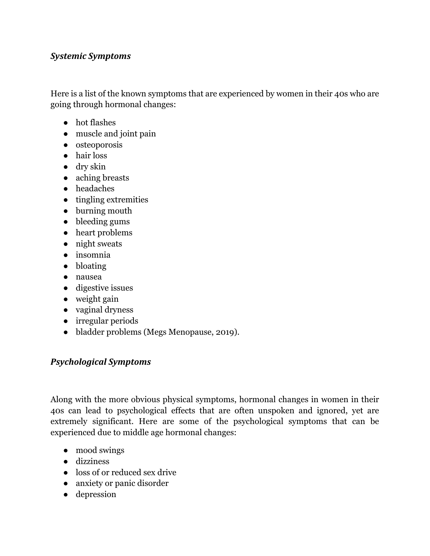### *Systemic Symptoms*

Here is a list of the known symptoms that are experienced by women in their 40s who are going through hormonal changes:

- hot flashes
- muscle and joint pain
- osteoporosis
- hair loss
- dry skin
- aching breasts
- headaches
- tingling extremities
- burning mouth
- bleeding gums
- heart problems
- night sweats
- insomnia
- bloating
- nausea
- digestive issues
- weight gain
- vaginal dryness
- irregular periods
- bladder problems (Megs Menopause, 2019).

### *Psychological Symptoms*

Along with the more obvious physical symptoms, hormonal changes in women in their 40s can lead to psychological effects that are often unspoken and ignored, yet are extremely significant. Here are some of the psychological symptoms that can be experienced due to middle age hormonal changes:

- mood swings
- dizziness
- loss of or reduced sex drive
- anxiety or panic disorder
- depression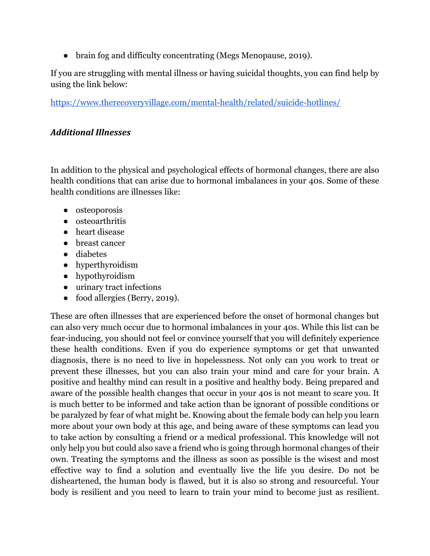● brain fog and difficulty concentrating (Megs Menopause, 2019).

If you are struggling with mental illness or having suicidal thoughts, you can find help by using the link below:

https://www.therecoveryvillage.com/mental-health/related/suicide-hotlines/

### *Additional Illnesses*

In addition to the physical and psychological effects of hormonal changes, there are also health conditions that can arise due to hormonal imbalances in your 40s. Some of these health conditions are illnesses like:

- osteoporosis
- osteoarthritis
- heart disease
- breast cancer
- diabetes
- hyperthyroidism
- hypothyroidism
- urinary tract infections
- food allergies (Berry, 2019).

These are often illnesses that are experienced before the onset of hormonal changes but can also very much occur due to hormonal imbalances in your 40s. While this list can be fear-inducing, you should not feel or convince yourself that you will definitely experience these health conditions. Even if you do experience symptoms or get that unwanted diagnosis, there is no need to live in hopelessness. Not only can you work to treat or prevent these illnesses, but you can also train your mind and care for your brain. A positive and healthy mind can result in a positive and healthy body. Being prepared and aware of the possible health changes that occur in your 40s is not meant to scare you. It is much better to be informed and take action than be ignorant of possible conditions or be paralyzed by fear of what might be. Knowing about the female body can help you learn more about your own body at this age, and being aware of these symptoms can lead you to take action by consulting a friend or a medical professional. This knowledge will not only help you but could also save a friend who is going through hormonal changes of their own. Treating the symptoms and the illness as soon as possible is the wisest and most effective way to find a solution and eventually live the life you desire. Do not be disheartened, the human body is flawed, but it is also so strong and resourceful. Your body is resilient and you need to learn to train your mind to become just as resilient.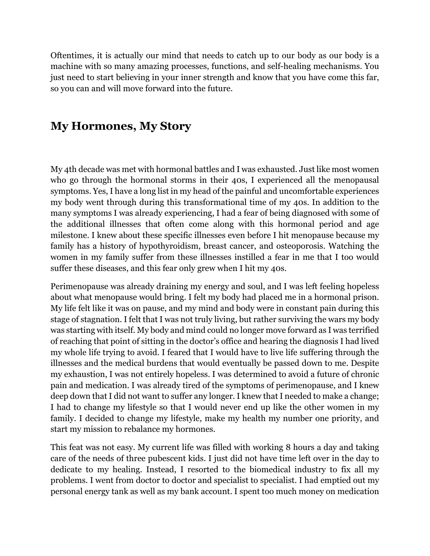Oftentimes, it is actually our mind that needs to catch up to our body as our body is a machine with so many amazing processes, functions, and self-healing mechanisms. You just need to start believing in your inner strength and know that you have come this far, so you can and will move forward into the future.

## **My Hormones, My Story**

My 4th decade was met with hormonal battles and I was exhausted. Just like most women who go through the hormonal storms in their 40s, I experienced all the menopausal symptoms. Yes, I have a long list in my head of the painful and uncomfortable experiences my body went through during this transformational time of my 40s. In addition to the many symptoms I was already experiencing, I had a fear of being diagnosed with some of the additional illnesses that often come along with this hormonal period and age milestone. I knew about these specific illnesses even before I hit menopause because my family has a history of hypothyroidism, breast cancer, and osteoporosis. Watching the women in my family suffer from these illnesses instilled a fear in me that I too would suffer these diseases, and this fear only grew when I hit my 40s.

Perimenopause was already draining my energy and soul, and I was left feeling hopeless about what menopause would bring. I felt my body had placed me in a hormonal prison. My life felt like it was on pause, and my mind and body were in constant pain during this stage of stagnation. I felt that I was not truly living, but rather surviving the wars my body was starting with itself. My body and mind could no longer move forward as I was terrified of reaching that point of sitting in the doctor's office and hearing the diagnosis I had lived my whole life trying to avoid. I feared that I would have to live life suffering through the illnesses and the medical burdens that would eventually be passed down to me. Despite my exhaustion, I was not entirely hopeless. I was determined to avoid a future of chronic pain and medication. I was already tired of the symptoms of perimenopause, and I knew deep down that I did not want to suffer any longer. I knew that I needed to make a change; I had to change my lifestyle so that I would never end up like the other women in my family. I decided to change my lifestyle, make my health my number one priority, and start my mission to rebalance my hormones.

This feat was not easy. My current life was filled with working 8 hours a day and taking care of the needs of three pubescent kids. I just did not have time left over in the day to dedicate to my healing. Instead, I resorted to the biomedical industry to fix all my problems. I went from doctor to doctor and specialist to specialist. I had emptied out my personal energy tank as well as my bank account. I spent too much money on medication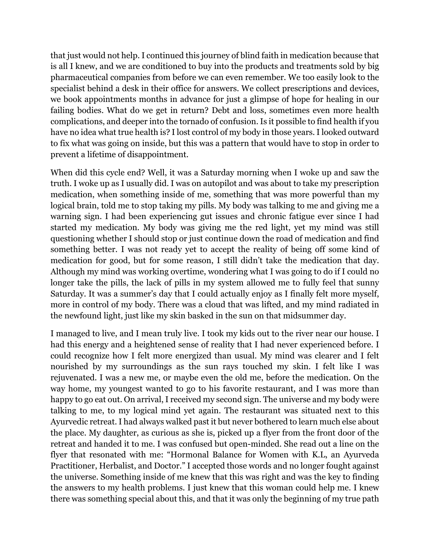that just would not help. I continued this journey of blind faith in medication because that is all I knew, and we are conditioned to buy into the products and treatments sold by big pharmaceutical companies from before we can even remember. We too easily look to the specialist behind a desk in their office for answers. We collect prescriptions and devices, we book appointments months in advance for just a glimpse of hope for healing in our failing bodies. What do we get in return? Debt and loss, sometimes even more health complications, and deeper into the tornado of confusion. Is it possible to find health if you have no idea what true health is? I lost control of my body in those years. I looked outward to fix what was going on inside, but this was a pattern that would have to stop in order to prevent a lifetime of disappointment.

When did this cycle end? Well, it was a Saturday morning when I woke up and saw the truth. I woke up as I usually did. I was on autopilot and was about to take my prescription medication, when something inside of me, something that was more powerful than my logical brain, told me to stop taking my pills. My body was talking to me and giving me a warning sign. I had been experiencing gut issues and chronic fatigue ever since I had started my medication. My body was giving me the red light, yet my mind was still questioning whether I should stop or just continue down the road of medication and find something better. I was not ready yet to accept the reality of being off some kind of medication for good, but for some reason, I still didn't take the medication that day. Although my mind was working overtime, wondering what I was going to do if I could no longer take the pills, the lack of pills in my system allowed me to fully feel that sunny Saturday. It was a summer's day that I could actually enjoy as I finally felt more myself, more in control of my body. There was a cloud that was lifted, and my mind radiated in the newfound light, just like my skin basked in the sun on that midsummer day.

I managed to live, and I mean truly live. I took my kids out to the river near our house. I had this energy and a heightened sense of reality that I had never experienced before. I could recognize how I felt more energized than usual. My mind was clearer and I felt nourished by my surroundings as the sun rays touched my skin. I felt like I was rejuvenated. I was a new me, or maybe even the old me, before the medication. On the way home, my youngest wanted to go to his favorite restaurant, and I was more than happy to go eat out. On arrival, I received my second sign. The universe and my body were talking to me, to my logical mind yet again. The restaurant was situated next to this Ayurvedic retreat. I had always walked past it but never bothered to learn much else about the place. My daughter, as curious as she is, picked up a flyer from the front door of the retreat and handed it to me. I was confused but open-minded. She read out a line on the flyer that resonated with me: "Hormonal Balance for Women with K.L, an Ayurveda Practitioner, Herbalist, and Doctor." I accepted those words and no longer fought against the universe. Something inside of me knew that this was right and was the key to finding the answers to my health problems. I just knew that this woman could help me. I knew there was something special about this, and that it was only the beginning of my true path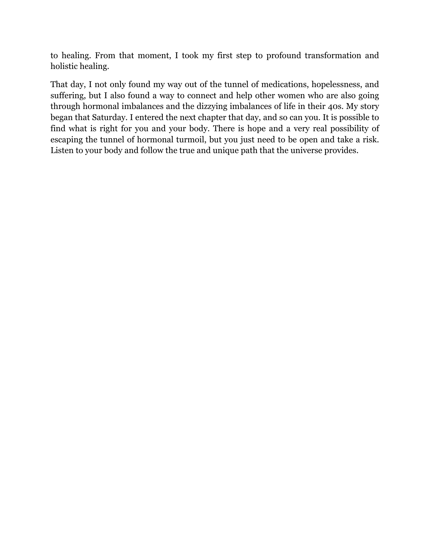to healing. From that moment, I took my first step to profound transformation and holistic healing.

That day, I not only found my way out of the tunnel of medications, hopelessness, and suffering, but I also found a way to connect and help other women who are also going through hormonal imbalances and the dizzying imbalances of life in their 40s. My story began that Saturday. I entered the next chapter that day, and so can you. It is possible to find what is right for you and your body. There is hope and a very real possibility of escaping the tunnel of hormonal turmoil, but you just need to be open and take a risk. Listen to your body and follow the true and unique path that the universe provides.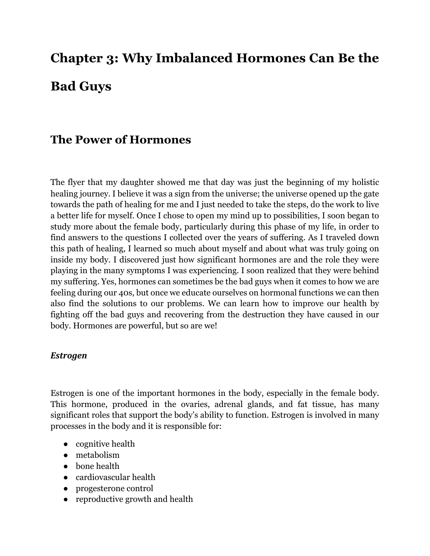# **Chapter 3: Why Imbalanced Hormones Can Be the Bad Guys**

# **The Power of Hormones**

The flyer that my daughter showed me that day was just the beginning of my holistic healing journey. I believe it was a sign from the universe; the universe opened up the gate towards the path of healing for me and I just needed to take the steps, do the work to live a better life for myself. Once I chose to open my mind up to possibilities, I soon began to study more about the female body, particularly during this phase of my life, in order to find answers to the questions I collected over the years of suffering. As I traveled down this path of healing, I learned so much about myself and about what was truly going on inside my body. I discovered just how significant hormones are and the role they were playing in the many symptoms I was experiencing. I soon realized that they were behind my suffering. Yes, hormones can sometimes be the bad guys when it comes to how we are feeling during our 40s, but once we educate ourselves on hormonal functions we can then also find the solutions to our problems. We can learn how to improve our health by fighting off the bad guys and recovering from the destruction they have caused in our body. Hormones are powerful, but so are we!

### *Estrogen*

Estrogen is one of the important hormones in the body, especially in the female body. This hormone, produced in the ovaries, adrenal glands, and fat tissue, has many significant roles that support the body's ability to function. Estrogen is involved in many processes in the body and it is responsible for:

- cognitive health
- metabolism
- bone health
- cardiovascular health
- progesterone control
- reproductive growth and health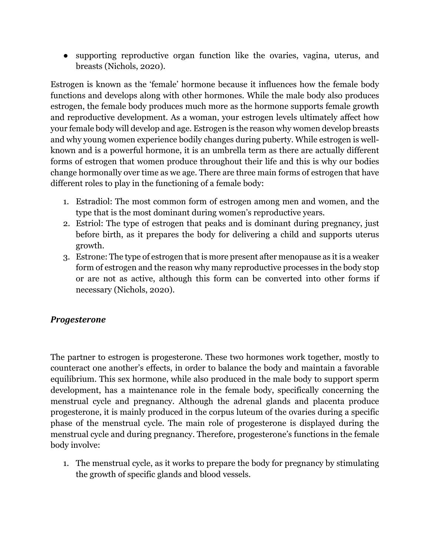● supporting reproductive organ function like the ovaries, vagina, uterus, and breasts (Nichols, 2020).

Estrogen is known as the 'female' hormone because it influences how the female body functions and develops along with other hormones. While the male body also produces estrogen, the female body produces much more as the hormone supports female growth and reproductive development. As a woman, your estrogen levels ultimately affect how your female body will develop and age. Estrogen is the reason why women develop breasts and why young women experience bodily changes during puberty. While estrogen is wellknown and is a powerful hormone, it is an umbrella term as there are actually different forms of estrogen that women produce throughout their life and this is why our bodies change hormonally over time as we age. There are three main forms of estrogen that have different roles to play in the functioning of a female body:

- 1. Estradiol: The most common form of estrogen among men and women, and the type that is the most dominant during women's reproductive years.
- 2. Estriol: The type of estrogen that peaks and is dominant during pregnancy, just before birth, as it prepares the body for delivering a child and supports uterus growth.
- 3. Estrone: The type of estrogen that is more present after menopause as it is a weaker form of estrogen and the reason why many reproductive processes in the body stop or are not as active, although this form can be converted into other forms if necessary (Nichols, 2020).

### *Progesterone*

The partner to estrogen is progesterone. These two hormones work together, mostly to counteract one another's effects, in order to balance the body and maintain a favorable equilibrium. This sex hormone, while also produced in the male body to support sperm development, has a maintenance role in the female body, specifically concerning the menstrual cycle and pregnancy. Although the adrenal glands and placenta produce progesterone, it is mainly produced in the corpus luteum of the ovaries during a specific phase of the menstrual cycle. The main role of progesterone is displayed during the menstrual cycle and during pregnancy. Therefore, progesterone's functions in the female body involve:

1. The menstrual cycle, as it works to prepare the body for pregnancy by stimulating the growth of specific glands and blood vessels.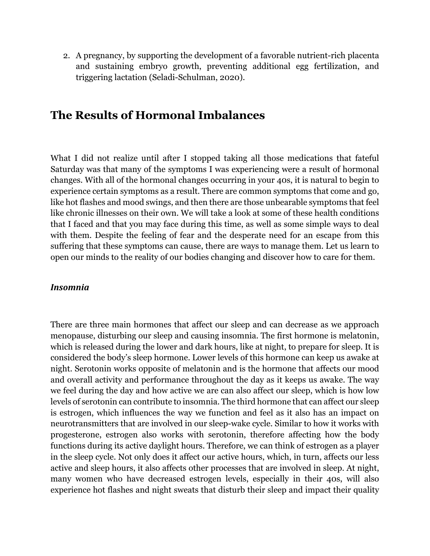2. A pregnancy, by supporting the development of a favorable nutrient-rich placenta and sustaining embryo growth, preventing additional egg fertilization, and triggering lactation (Seladi-Schulman, 2020).

## **The Results of Hormonal Imbalances**

What I did not realize until after I stopped taking all those medications that fateful Saturday was that many of the symptoms I was experiencing were a result of hormonal changes. With all of the hormonal changes occurring in your 40s, it is natural to begin to experience certain symptoms as a result. There are common symptoms that come and go, like hot flashes and mood swings, and then there are those unbearable symptoms that feel like chronic illnesses on their own. We will take a look at some of these health conditions that I faced and that you may face during this time, as well as some simple ways to deal with them. Despite the feeling of fear and the desperate need for an escape from this suffering that these symptoms can cause, there are ways to manage them. Let us learn to open our minds to the reality of our bodies changing and discover how to care for them.

### *Insomnia*

There are three main hormones that affect our sleep and can decrease as we approach menopause, disturbing our sleep and causing insomnia. The first hormone is melatonin, which is released during the lower and dark hours, like at night, to prepare for sleep. It is considered the body's sleep hormone. Lower levels of this hormone can keep us awake at night. Serotonin works opposite of melatonin and is the hormone that affects our mood and overall activity and performance throughout the day as it keeps us awake. The way we feel during the day and how active we are can also affect our sleep, which is how low levels of serotonin can contribute to insomnia. The third hormone that can affect our sleep is estrogen, which influences the way we function and feel as it also has an impact on neurotransmitters that are involved in our sleep-wake cycle. Similar to how it works with progesterone, estrogen also works with serotonin, therefore affecting how the body functions during its active daylight hours. Therefore, we can think of estrogen as a player in the sleep cycle. Not only does it affect our active hours, which, in turn, affects our less active and sleep hours, it also affects other processes that are involved in sleep. At night, many women who have decreased estrogen levels, especially in their 40s, will also experience hot flashes and night sweats that disturb their sleep and impact their quality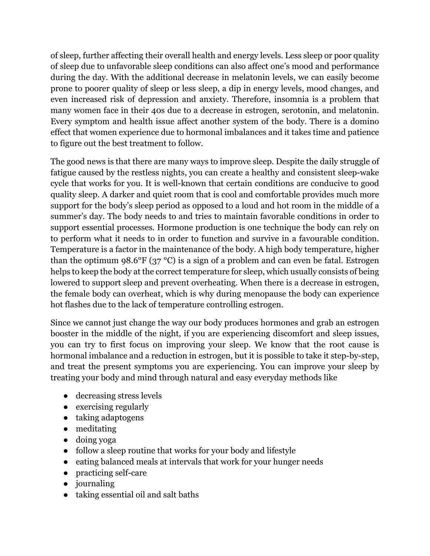of sleep, further affecting their overall health and energy levels. Less sleep or poor quality of sleep due to unfavorable sleep conditions can also affect one's mood and performance during the day. With the additional decrease in melatonin levels, we can easily become prone to poorer quality of sleep or less sleep, a dip in energy levels, mood changes, and even increased risk of depression and anxiety. Therefore, insomnia is a problem that many women face in their 40s due to a decrease in estrogen, serotonin, and melatonin. Every symptom and health issue affect another system of the body. There is a domino effect that women experience due to hormonal imbalances and it takes time and patience to figure out the best treatment to follow.

The good news is that there are many ways to improve sleep. Despite the daily struggle of fatigue caused by the restless nights, you can create a healthy and consistent sleep-wake cycle that works for you. It is well-known that certain conditions are conducive to good quality sleep. A darker and quiet room that is cool and comfortable provides much more support for the body's sleep period as opposed to a loud and hot room in the middle of a summer's day. The body needs to and tries to maintain favorable conditions in order to support essential processes. Hormone production is one technique the body can rely on to perform what it needs to in order to function and survive in a favourable condition. Temperature is a factor in the maintenance of the body. A high body temperature, higher than the optimum 98.6°F (37 °C) is a sign of a problem and can even be fatal. Estrogen helps to keep the body at the correct temperature for sleep, which usually consists of being lowered to support sleep and prevent overheating. When there is a decrease in estrogen, the female body can overheat, which is why during menopause the body can experience hot flashes due to the lack of temperature controlling estrogen.

Since we cannot just change the way our body produces hormones and grab an estrogen booster in the middle of the night, if you are experiencing discomfort and sleep issues, you can try to first focus on improving your sleep. We know that the root cause is hormonal imbalance and a reduction in estrogen, but it is possible to take it step-by-step, and treat the present symptoms you are experiencing. You can improve your sleep by treating your body and mind through natural and easy everyday methods like

- decreasing stress levels
- exercising regularly
- taking adaptogens
- meditating
- doing yoga
- follow a sleep routine that works for your body and lifestyle
- eating balanced meals at intervals that work for your hunger needs
- practicing self-care
- journaling
- taking essential oil and salt baths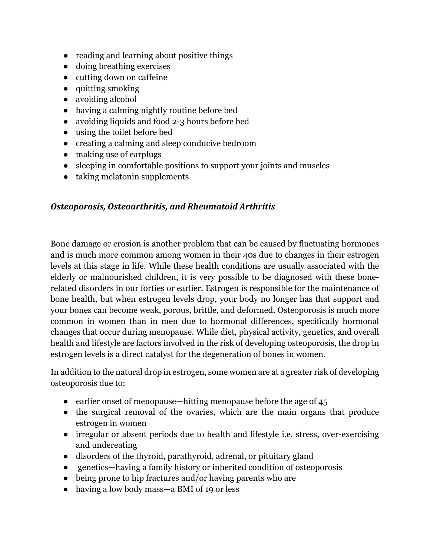- reading and learning about positive things
- doing breathing exercises
- cutting down on caffeine
- quitting smoking
- avoiding alcohol
- having a calming nightly routine before bed
- avoiding liquids and food 2-3 hours before bed
- using the toilet before bed
- creating a calming and sleep conducive bedroom
- making use of earplugs
- sleeping in comfortable positions to support your joints and muscles
- taking melatonin supplements

### **Osteoporosis, Osteoarthritis, and Rheumatoid Arthritis**

Bone damage or erosion is another problem that can be caused by fluctuating hormones and is much more common among women in their 40s due to changes in their estrogen levels at this stage in life. While these health conditions are usually associated with the elderly or malnourished children, it is very possible to be diagnosed with these bonerelated disorders in our forties or earlier. Estrogen is responsible for the maintenance of bone health, but when estrogen levels drop, your body no longer has that support and your bones can become weak, porous, brittle, and deformed. Osteoporosis is much more common in women than in men due to hormonal differences, specifically hormonal changes that occur during menopause. While diet, physical activity, genetics, and overall health and lifestyle are factors involved in the risk of developing osteoporosis, the drop in estrogen levels is a direct catalyst for the degeneration of bones in women.

In addition to the natural drop in estrogen, some women are at a greater risk of developing osteoporosis due to:

- earlier onset of menopause—hitting menopause before the age of 45
- the surgical removal of the ovaries, which are the main organs that produce estrogen in women
- irregular or absent periods due to health and lifestyle i.e. stress, over-exercising and undereating
- disorders of the thyroid, parathyroid, adrenal, or pituitary gland
- genetics—having a family history or inherited condition of osteoporosis
- being prone to hip fractures and/or having parents who are
- having a low body mass—a BMI of 19 or less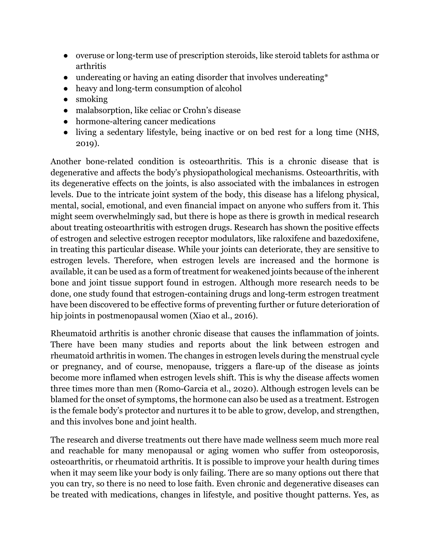- overuse or long-term use of prescription steroids, like steroid tablets for asthma or arthritis
- undereating or having an eating disorder that involves undereating\*
- heavy and long-term consumption of alcohol
- smoking
- malabsorption, like celiac or Crohn's disease
- hormone-altering cancer medications
- living a sedentary lifestyle, being inactive or on bed rest for a long time (NHS, 2019).

Another bone-related condition is osteoarthritis. This is a chronic disease that is degenerative and affects the body's physiopathological mechanisms. Osteoarthritis, with its degenerative effects on the joints, is also associated with the imbalances in estrogen levels. Due to the intricate joint system of the body, this disease has a lifelong physical, mental, social, emotional, and even financial impact on anyone who suffers from it. This might seem overwhelmingly sad, but there is hope as there is growth in medical research about treating osteoarthritis with estrogen drugs. Research has shown the positive effects of estrogen and selective estrogen receptor modulators, like raloxifene and bazedoxifene, in treating this particular disease. While your joints can deteriorate, they are sensitive to estrogen levels. Therefore, when estrogen levels are increased and the hormone is available, it can be used as a form of treatment for weakened joints because of the inherent bone and joint tissue support found in estrogen. Although more research needs to be done, one study found that estrogen-containing drugs and long-term estrogen treatment have been discovered to be effective forms of preventing further or future deterioration of hip joints in postmenopausal women (Xiao et al., 2016).

Rheumatoid arthritis is another chronic disease that causes the inflammation of joints. There have been many studies and reports about the link between estrogen and rheumatoid arthritis in women. The changes in estrogen levels during the menstrual cycle or pregnancy, and of course, menopause, triggers a flare-up of the disease as joints become more inflamed when estrogen levels shift. This is why the disease affects women three times more than men (Romo-Garcia et al., 2020). Although estrogen levels can be blamed for the onset of symptoms, the hormone can also be used as a treatment. Estrogen is the female body's protector and nurtures it to be able to grow, develop, and strengthen, and this involves bone and joint health.

The research and diverse treatments out there have made wellness seem much more real and reachable for many menopausal or aging women who suffer from osteoporosis, osteoarthritis, or rheumatoid arthritis. It is possible to improve your health during times when it may seem like your body is only failing. There are so many options out there that you can try, so there is no need to lose faith. Even chronic and degenerative diseases can be treated with medications, changes in lifestyle, and positive thought patterns. Yes, as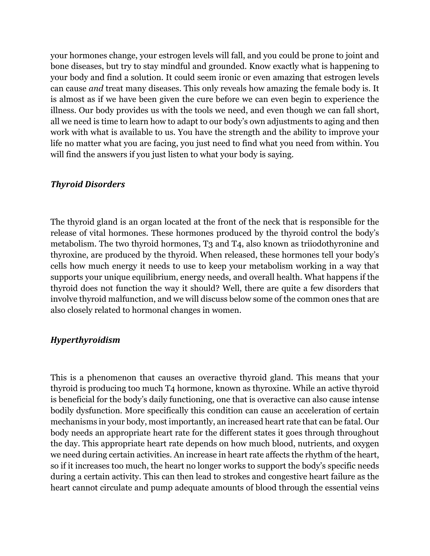your hormones change, your estrogen levels will fall, and you could be prone to joint and bone diseases, but try to stay mindful and grounded. Know exactly what is happening to your body and find a solution. It could seem ironic or even amazing that estrogen levels can cause *and* treat many diseases. This only reveals how amazing the female body is. It is almost as if we have been given the cure before we can even begin to experience the illness. Our body provides us with the tools we need, and even though we can fall short, all we need is time to learn how to adapt to our body's own adjustments to aging and then work with what is available to us. You have the strength and the ability to improve your life no matter what you are facing, you just need to find what you need from within. You will find the answers if you just listen to what your body is saying.

### *Thyroid Disorders*

The thyroid gland is an organ located at the front of the neck that is responsible for the release of vital hormones. These hormones produced by the thyroid control the body's metabolism. The two thyroid hormones, T3 and T4, also known as triiodothyronine and thyroxine, are produced by the thyroid. When released, these hormones tell your body's cells how much energy it needs to use to keep your metabolism working in a way that supports your unique equilibrium, energy needs, and overall health. What happens if the thyroid does not function the way it should? Well, there are quite a few disorders that involve thyroid malfunction, and we will discuss below some of the common ones that are also closely related to hormonal changes in women.

### *Hyperthyroidism*

This is a phenomenon that causes an overactive thyroid gland. This means that your thyroid is producing too much T4 hormone, known as thyroxine. While an active thyroid is beneficial for the body's daily functioning, one that is overactive can also cause intense bodily dysfunction. More specifically this condition can cause an acceleration of certain mechanisms in your body, most importantly, an increased heart rate that can be fatal. Our body needs an appropriate heart rate for the different states it goes through throughout the day. This appropriate heart rate depends on how much blood, nutrients, and oxygen we need during certain activities. An increase in heart rate affects the rhythm of the heart, so if it increases too much, the heart no longer works to support the body's specific needs during a certain activity. This can then lead to strokes and congestive heart failure as the heart cannot circulate and pump adequate amounts of blood through the essential veins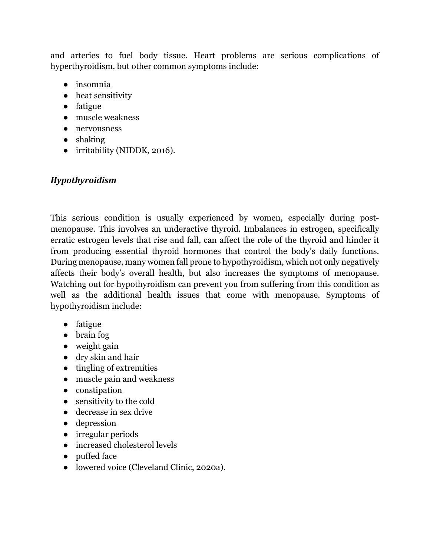and arteries to fuel body tissue. Heart problems are serious complications of hyperthyroidism, but other common symptoms include:

- insomnia
- heat sensitivity
- fatigue
- muscle weakness
- nervousness
- shaking
- irritability (NIDDK, 2016).

### *Hypothyroidism*

This serious condition is usually experienced by women, especially during postmenopause. This involves an underactive thyroid. Imbalances in estrogen, specifically erratic estrogen levels that rise and fall, can affect the role of the thyroid and hinder it from producing essential thyroid hormones that control the body's daily functions. During menopause, many women fall prone to hypothyroidism, which not only negatively affects their body's overall health, but also increases the symptoms of menopause. Watching out for hypothyroidism can prevent you from suffering from this condition as well as the additional health issues that come with menopause. Symptoms of hypothyroidism include:

- fatigue
- brain fog
- weight gain
- dry skin and hair
- tingling of extremities
- muscle pain and weakness
- constipation
- sensitivity to the cold
- decrease in sex drive
- depression
- irregular periods
- increased cholesterol levels
- puffed face
- lowered voice (Cleveland Clinic, 2020a).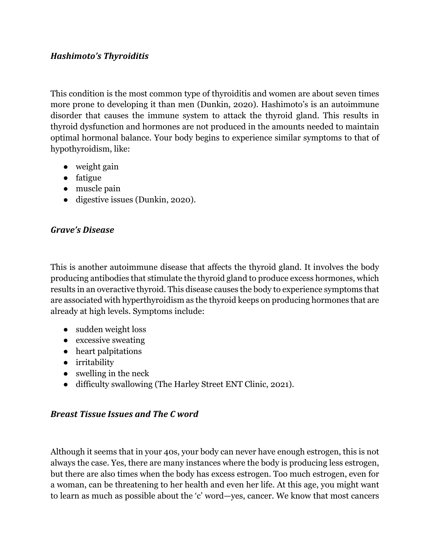### *Hashimoto's Thyroiditis*

This condition is the most common type of thyroiditis and women are about seven times more prone to developing it than men (Dunkin, 2020). Hashimoto's is an autoimmune disorder that causes the immune system to attack the thyroid gland. This results in thyroid dysfunction and hormones are not produced in the amounts needed to maintain optimal hormonal balance. Your body begins to experience similar symptoms to that of hypothyroidism, like:

- weight gain
- fatigue
- muscle pain
- digestive issues (Dunkin, 2020).

### *Grave's Disease*

This is another autoimmune disease that affects the thyroid gland. It involves the body producing antibodies that stimulate the thyroid gland to produce excess hormones, which results in an overactive thyroid. This disease causes the body to experience symptoms that are associated with hyperthyroidism as the thyroid keeps on producing hormones that are already at high levels. Symptoms include:

- sudden weight loss
- excessive sweating
- heart palpitations
- irritability
- $\bullet$  swelling in the neck
- difficulty swallowing (The Harley Street ENT Clinic, 2021).

### *Breast Tissue Issues and The C word*

Although it seems that in your 40s, your body can never have enough estrogen, this is not always the case. Yes, there are many instances where the body is producing less estrogen, but there are also times when the body has excess estrogen. Too much estrogen, even for a woman, can be threatening to her health and even her life. At this age, you might want to learn as much as possible about the 'c' word—yes, cancer. We know that most cancers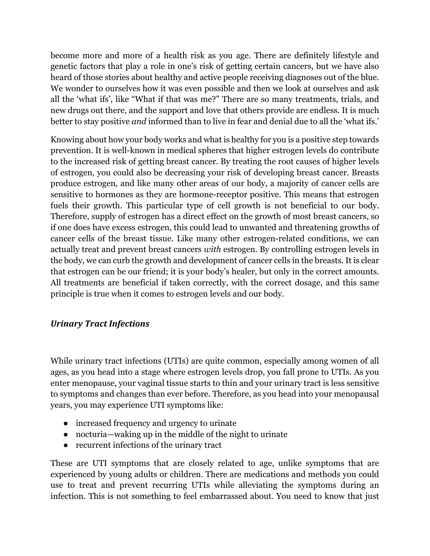become more and more of a health risk as you age. There are definitely lifestyle and genetic factors that play a role in one's risk of getting certain cancers, but we have also heard of those stories about healthy and active people receiving diagnoses out of the blue. We wonder to ourselves how it was even possible and then we look at ourselves and ask all the 'what ifs', like "What if that was me?" There are so many treatments, trials, and new drugs out there, and the support and love that others provide are endless. It is much better to stay positive *and* informed than to live in fear and denial due to all the 'what ifs.'

Knowing about how your body works and what is healthy for you is a positive step towards prevention. It is well-known in medical spheres that higher estrogen levels do contribute to the increased risk of getting breast cancer. By treating the root causes of higher levels of estrogen, you could also be decreasing your risk of developing breast cancer. Breasts produce estrogen, and like many other areas of our body, a majority of cancer cells are sensitive to hormones as they are hormone-receptor positive. This means that estrogen fuels their growth. This particular type of cell growth is not beneficial to our body. Therefore, supply of estrogen has a direct effect on the growth of most breast cancers, so if one does have excess estrogen, this could lead to unwanted and threatening growths of cancer cells of the breast tissue. Like many other estrogen-related conditions, we can actually treat and prevent breast cancers *with* estrogen. By controlling estrogen levels in the body, we can curb the growth and development of cancer cells in the breasts. It is clear that estrogen can be our friend; it is your body's healer, but only in the correct amounts. All treatments are beneficial if taken correctly, with the correct dosage, and this same principle is true when it comes to estrogen levels and our body.

### *Urinary Tract Infections*

While urinary tract infections (UTIs) are quite common, especially among women of all ages, as you head into a stage where estrogen levels drop, you fall prone to UTIs. As you enter menopause, your vaginal tissue starts to thin and your urinary tract is less sensitive to symptoms and changes than ever before. Therefore, as you head into your menopausal years, you may experience UTI symptoms like:

- increased frequency and urgency to urinate
- nocturia—waking up in the middle of the night to urinate
- recurrent infections of the urinary tract

These are UTI symptoms that are closely related to age, unlike symptoms that are experienced by young adults or children. There are medications and methods you could use to treat and prevent recurring UTIs while alleviating the symptoms during an infection. This is not something to feel embarrassed about. You need to know that just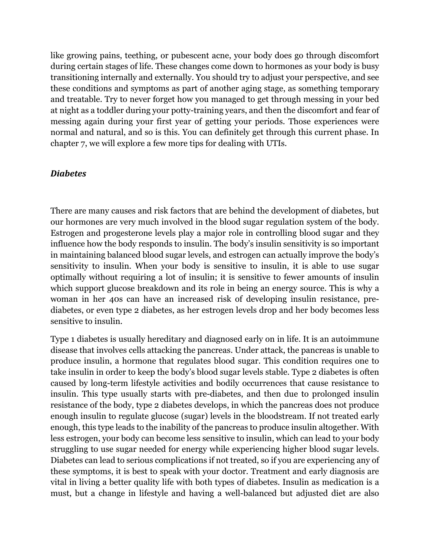like growing pains, teething, or pubescent acne, your body does go through discomfort during certain stages of life. These changes come down to hormones as your body is busy transitioning internally and externally. You should try to adjust your perspective, and see these conditions and symptoms as part of another aging stage, as something temporary and treatable. Try to never forget how you managed to get through messing in your bed at night as a toddler during your potty-training years, and then the discomfort and fear of messing again during your first year of getting your periods. Those experiences were normal and natural, and so is this. You can definitely get through this current phase. In chapter 7, we will explore a few more tips for dealing with UTIs.

### *Diabetes*

There are many causes and risk factors that are behind the development of diabetes, but our hormones are very much involved in the blood sugar regulation system of the body. Estrogen and progesterone levels play a major role in controlling blood sugar and they influence how the body responds to insulin. The body's insulin sensitivity is so important in maintaining balanced blood sugar levels, and estrogen can actually improve the body's sensitivity to insulin. When your body is sensitive to insulin, it is able to use sugar optimally without requiring a lot of insulin; it is sensitive to fewer amounts of insulin which support glucose breakdown and its role in being an energy source. This is why a woman in her 40s can have an increased risk of developing insulin resistance, prediabetes, or even type 2 diabetes, as her estrogen levels drop and her body becomes less sensitive to insulin.

Type 1 diabetes is usually hereditary and diagnosed early on in life. It is an autoimmune disease that involves cells attacking the pancreas. Under attack, the pancreas is unable to produce insulin, a hormone that regulates blood sugar. This condition requires one to take insulin in order to keep the body's blood sugar levels stable. Type 2 diabetes is often caused by long-term lifestyle activities and bodily occurrences that cause resistance to insulin. This type usually starts with pre-diabetes, and then due to prolonged insulin resistance of the body, type 2 diabetes develops, in which the pancreas does not produce enough insulin to regulate glucose (sugar) levels in the bloodstream. If not treated early enough, this type leads to the inability of the pancreas to produce insulin altogether. With less estrogen, your body can become less sensitive to insulin, which can lead to your body struggling to use sugar needed for energy while experiencing higher blood sugar levels. Diabetes can lead to serious complications if not treated, so if you are experiencing any of these symptoms, it is best to speak with your doctor. Treatment and early diagnosis are vital in living a better quality life with both types of diabetes. Insulin as medication is a must, but a change in lifestyle and having a well-balanced but adjusted diet are also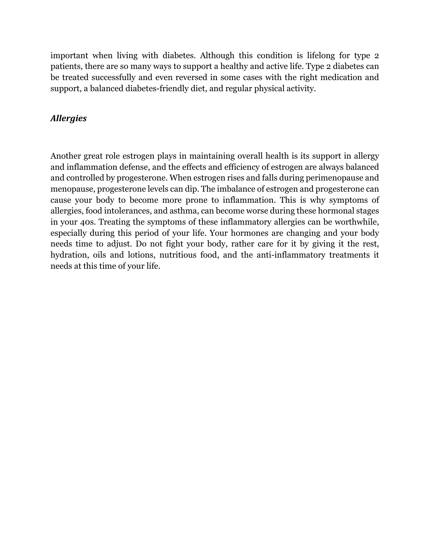important when living with diabetes. Although this condition is lifelong for type 2 patients, there are so many ways to support a healthy and active life. Type 2 diabetes can be treated successfully and even reversed in some cases with the right medication and support, a balanced diabetes-friendly diet, and regular physical activity.

### *Allergies*

Another great role estrogen plays in maintaining overall health is its support in allergy and inflammation defense, and the effects and efficiency of estrogen are always balanced and controlled by progesterone. When estrogen rises and falls during perimenopause and menopause, progesterone levels can dip. The imbalance of estrogen and progesterone can cause your body to become more prone to inflammation. This is why symptoms of allergies, food intolerances, and asthma, can become worse during these hormonal stages in your 40s. Treating the symptoms of these inflammatory allergies can be worthwhile, especially during this period of your life. Your hormones are changing and your body needs time to adjust. Do not fight your body, rather care for it by giving it the rest, hydration, oils and lotions, nutritious food, and the anti-inflammatory treatments it needs at this time of your life.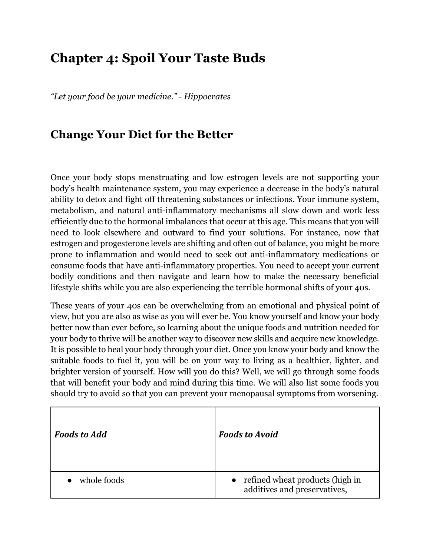# **Chapter 4: Spoil Your Taste Buds**

*"Let your food be your medicine." - Hippocrates*

## **Change Your Diet for the Better**

Once your body stops menstruating and low estrogen levels are not supporting your body's health maintenance system, you may experience a decrease in the body's natural ability to detox and fight off threatening substances or infections. Your immune system, metabolism, and natural anti-inflammatory mechanisms all slow down and work less efficiently due to the hormonal imbalances that occur at this age. This means that you will need to look elsewhere and outward to find your solutions. For instance, now that estrogen and progesterone levels are shifting and often out of balance, you might be more prone to inflammation and would need to seek out anti-inflammatory medications or consume foods that have anti-inflammatory properties. You need to accept your current bodily conditions and then navigate and learn how to make the necessary beneficial lifestyle shifts while you are also experiencing the terrible hormonal shifts of your 40s.

These years of your 40s can be overwhelming from an emotional and physical point of view, but you are also as wise as you will ever be. You know yourself and know your body better now than ever before, so learning about the unique foods and nutrition needed for your body to thrive will be another way to discover new skills and acquire new knowledge. It is possible to heal your body through your diet. Once you know your body and know the suitable foods to fuel it, you will be on your way to living as a healthier, lighter, and brighter version of yourself. How will you do this? Well, we will go through some foods that will benefit your body and mind during this time. We will also list some foods you should try to avoid so that you can prevent your menopausal symptoms from worsening.

| <b>Foods to Add</b> | <b>Foods to Avoid</b>                                             |
|---------------------|-------------------------------------------------------------------|
| whole foods         | • refined wheat products (high in<br>additives and preservatives, |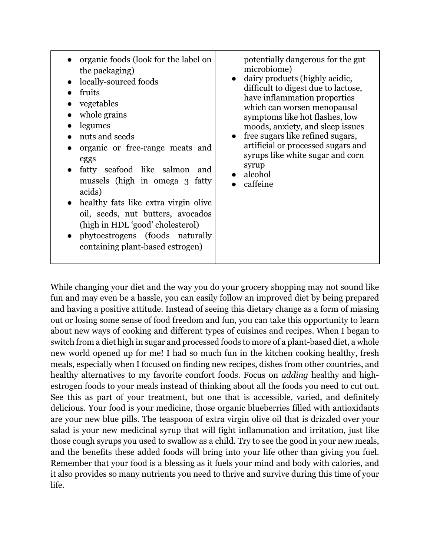| organic foods (look for the label on<br>the packaging)<br>locally-sourced foods<br>fruits<br>vegetables<br>whole grains<br>legumes<br>nuts and seeds<br>organic or free-range meats and<br>eggs<br>fatty seafood like salmon<br>and<br>mussels (high in omega 3 fatty<br>acids)<br>healthy fats like extra virgin olive<br>oil, seeds, nut butters, avocados<br>(high in HDL 'good' cholesterol)<br>phytoestrogens (foods naturally<br>containing plant-based estrogen) | potentially dangerous for the gut<br>microbiome)<br>dairy products (highly acidic,<br>difficult to digest due to lactose,<br>have inflammation properties<br>which can worsen menopausal<br>symptoms like hot flashes, low<br>moods, anxiety, and sleep issues<br>free sugars like refined sugars,<br>artificial or processed sugars and<br>syrups like white sugar and corn<br>syrup<br>alcohol<br>caffeine |
|-------------------------------------------------------------------------------------------------------------------------------------------------------------------------------------------------------------------------------------------------------------------------------------------------------------------------------------------------------------------------------------------------------------------------------------------------------------------------|--------------------------------------------------------------------------------------------------------------------------------------------------------------------------------------------------------------------------------------------------------------------------------------------------------------------------------------------------------------------------------------------------------------|
|-------------------------------------------------------------------------------------------------------------------------------------------------------------------------------------------------------------------------------------------------------------------------------------------------------------------------------------------------------------------------------------------------------------------------------------------------------------------------|--------------------------------------------------------------------------------------------------------------------------------------------------------------------------------------------------------------------------------------------------------------------------------------------------------------------------------------------------------------------------------------------------------------|

While changing your diet and the way you do your grocery shopping may not sound like fun and may even be a hassle, you can easily follow an improved diet by being prepared and having a positive attitude. Instead of seeing this dietary change as a form of missing out or losing some sense of food freedom and fun, you can take this opportunity to learn about new ways of cooking and different types of cuisines and recipes. When I began to switch from a diet high in sugar and processed foods to more of a plant-based diet, a whole new world opened up for me! I had so much fun in the kitchen cooking healthy, fresh meals, especially when I focused on finding new recipes, dishes from other countries, and healthy alternatives to my favorite comfort foods. Focus on *adding* healthy and highestrogen foods to your meals instead of thinking about all the foods you need to cut out. See this as part of your treatment, but one that is accessible, varied, and definitely delicious. Your food is your medicine, those organic blueberries filled with antioxidants are your new blue pills. The teaspoon of extra virgin olive oil that is drizzled over your salad is your new medicinal syrup that will fight inflammation and irritation, just like those cough syrups you used to swallow as a child. Try to see the good in your new meals, and the benefits these added foods will bring into your life other than giving you fuel. Remember that your food is a blessing as it fuels your mind and body with calories, and it also provides so many nutrients you need to thrive and survive during this time of your life.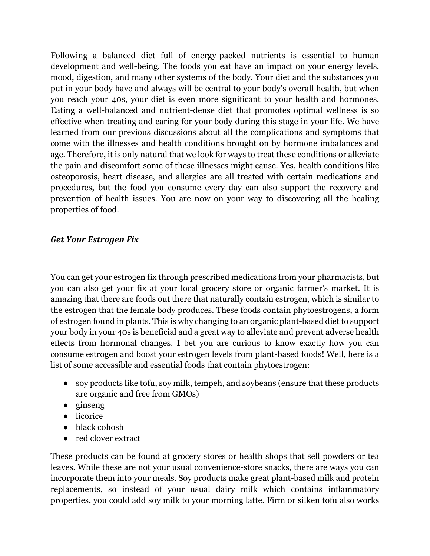Following a balanced diet full of energy-packed nutrients is essential to human development and well-being. The foods you eat have an impact on your energy levels, mood, digestion, and many other systems of the body. Your diet and the substances you put in your body have and always will be central to your body's overall health, but when you reach your 40s, your diet is even more significant to your health and hormones. Eating a well-balanced and nutrient-dense diet that promotes optimal wellness is so effective when treating and caring for your body during this stage in your life. We have learned from our previous discussions about all the complications and symptoms that come with the illnesses and health conditions brought on by hormone imbalances and age. Therefore, it is only natural that we look for ways to treat these conditions or alleviate the pain and discomfort some of these illnesses might cause. Yes, health conditions like osteoporosis, heart disease, and allergies are all treated with certain medications and procedures, but the food you consume every day can also support the recovery and prevention of health issues. You are now on your way to discovering all the healing properties of food.

### *Get Your Estrogen Fix*

You can get your estrogen fix through prescribed medications from your pharmacists, but you can also get your fix at your local grocery store or organic farmer's market. It is amazing that there are foods out there that naturally contain estrogen, which is similar to the estrogen that the female body produces. These foods contain phytoestrogens, a form of estrogen found in plants. This is why changing to an organic plant-based diet to support your body in your 40s is beneficial and a great way to alleviate and prevent adverse health effects from hormonal changes. I bet you are curious to know exactly how you can consume estrogen and boost your estrogen levels from plant-based foods! Well, here is a list of some accessible and essential foods that contain phytoestrogen:

- soy products like tofu, soy milk, tempeh, and soybeans (ensure that these products are organic and free from GMOs)
- ginseng
- licorice
- black cohosh
- red clover extract

These products can be found at grocery stores or health shops that sell powders or tea leaves. While these are not your usual convenience-store snacks, there are ways you can incorporate them into your meals. Soy products make great plant-based milk and protein replacements, so instead of your usual dairy milk which contains inflammatory properties, you could add soy milk to your morning latte. Firm or silken tofu also works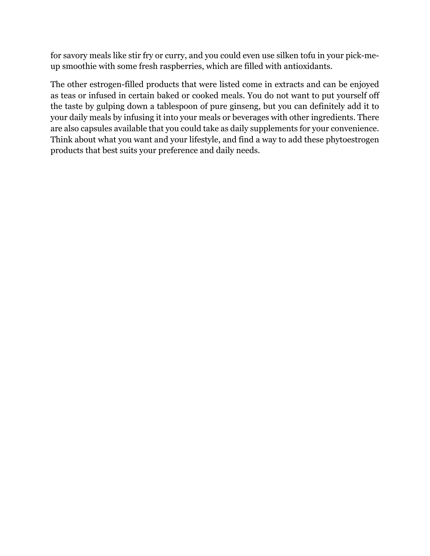for savory meals like stir fry or curry, and you could even use silken tofu in your pick-meup smoothie with some fresh raspberries, which are filled with antioxidants.

The other estrogen-filled products that were listed come in extracts and can be enjoyed as teas or infused in certain baked or cooked meals. You do not want to put yourself off the taste by gulping down a tablespoon of pure ginseng, but you can definitely add it to your daily meals by infusing it into your meals or beverages with other ingredients. There are also capsules available that you could take as daily supplements for your convenience. Think about what you want and your lifestyle, and find a way to add these phytoestrogen products that best suits your preference and daily needs.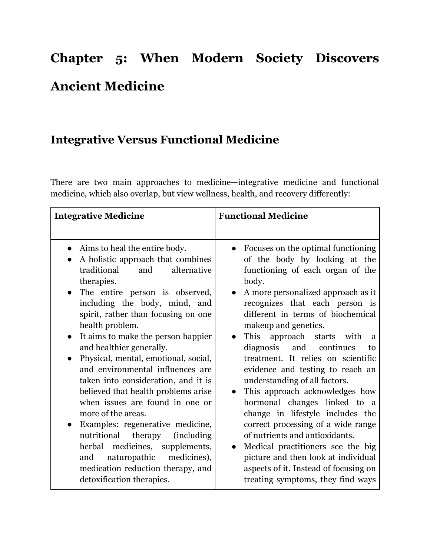# **Chapter 5: When Modern Society Discovers Ancient Medicine**

## **Integrative Versus Functional Medicine**

There are two main approaches to medicine—integrative medicine and functional medicine, which also overlap, but view wellness, health, and recovery differently:

| <b>Integrative Medicine</b>                                                                                                                                                                                                                                                                                                                                                                                                                                                                                                                                                                                                                                                                                                                                                               | <b>Functional Medicine</b>                                                                                                                                                                                                                                                                                                                                                                                                                                                                                                                                                                                                                                                                                                                                                     |
|-------------------------------------------------------------------------------------------------------------------------------------------------------------------------------------------------------------------------------------------------------------------------------------------------------------------------------------------------------------------------------------------------------------------------------------------------------------------------------------------------------------------------------------------------------------------------------------------------------------------------------------------------------------------------------------------------------------------------------------------------------------------------------------------|--------------------------------------------------------------------------------------------------------------------------------------------------------------------------------------------------------------------------------------------------------------------------------------------------------------------------------------------------------------------------------------------------------------------------------------------------------------------------------------------------------------------------------------------------------------------------------------------------------------------------------------------------------------------------------------------------------------------------------------------------------------------------------|
| Aims to heal the entire body.<br>A holistic approach that combines<br>traditional<br>and<br>alternative<br>therapies.<br>The entire person is observed,<br>$\bullet$<br>including the body, mind, and<br>spirit, rather than focusing on one<br>health problem.<br>It aims to make the person happier<br>$\bullet$<br>and healthier generally.<br>Physical, mental, emotional, social,<br>and environmental influences are<br>taken into consideration, and it is<br>believed that health problems arise<br>when issues are found in one or<br>more of the areas.<br>Examples: regenerative medicine,<br>nutritional therapy<br><i>(including)</i><br>herbal medicines, supplements,<br>naturopathic medicines),<br>and<br>medication reduction therapy, and<br>detoxification therapies. | Focuses on the optimal functioning<br>of the body by looking at the<br>functioning of each organ of the<br>body.<br>A more personalized approach as it<br>recognizes that each person is<br>different in terms of biochemical<br>makeup and genetics.<br>approach starts with<br>This<br>a<br>diagnosis and continues<br>to<br>treatment. It relies on scientific<br>evidence and testing to reach an<br>understanding of all factors.<br>This approach acknowledges how<br>hormonal changes linked to a<br>change in lifestyle includes the<br>correct processing of a wide range<br>of nutrients and antioxidants.<br>Medical practitioners see the big<br>picture and then look at individual<br>aspects of it. Instead of focusing on<br>treating symptoms, they find ways |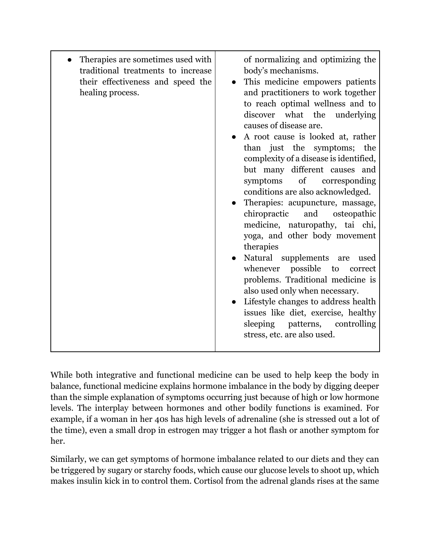| Therapies are sometimes used with<br>traditional treatments to increase<br>their effectiveness and speed the<br>healing process. | of normalizing and optimizing the<br>body's mechanisms.<br>This medicine empowers patients<br>and practitioners to work together<br>to reach optimal wellness and to<br>discover what the underlying<br>causes of disease are.<br>A root cause is looked at, rather<br>than just the symptoms; the<br>complexity of a disease is identified,<br>but many different causes and<br>$\sigma f$<br>symptoms<br>corresponding<br>conditions are also acknowledged.<br>Therapies: acupuncture, massage,<br>chiropractic<br>and<br>osteopathic<br>medicine, naturopathy, tai chi,<br>yoga, and other body movement<br>therapies<br>Natural supplements are<br>used<br>whenever possible<br>to<br>correct<br>problems. Traditional medicine is<br>also used only when necessary.<br>• Lifestyle changes to address health<br>issues like diet, exercise, healthy<br>sleeping patterns, controlling<br>stress, etc. are also used. |
|----------------------------------------------------------------------------------------------------------------------------------|---------------------------------------------------------------------------------------------------------------------------------------------------------------------------------------------------------------------------------------------------------------------------------------------------------------------------------------------------------------------------------------------------------------------------------------------------------------------------------------------------------------------------------------------------------------------------------------------------------------------------------------------------------------------------------------------------------------------------------------------------------------------------------------------------------------------------------------------------------------------------------------------------------------------------|

While both integrative and functional medicine can be used to help keep the body in balance, functional medicine explains hormone imbalance in the body by digging deeper than the simple explanation of symptoms occurring just because of high or low hormone levels. The interplay between hormones and other bodily functions is examined. For example, if a woman in her 40s has high levels of adrenaline (she is stressed out a lot of the time), even a small drop in estrogen may trigger a hot flash or another symptom for her.

Similarly, we can get symptoms of hormone imbalance related to our diets and they can be triggered by sugary or starchy foods, which cause our glucose levels to shoot up, which makes insulin kick in to control them. Cortisol from the adrenal glands rises at the same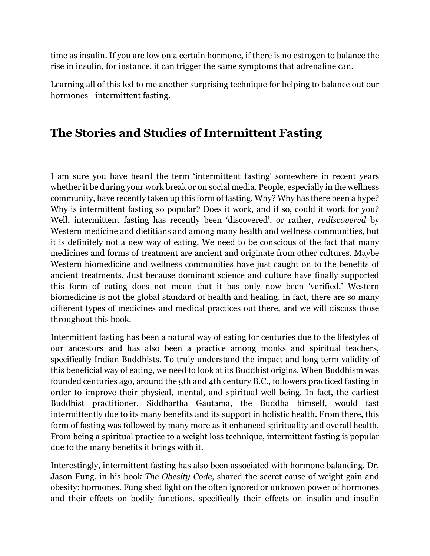time as insulin. If you are low on a certain hormone, if there is no estrogen to balance the rise in insulin, for instance, it can trigger the same symptoms that adrenaline can.

Learning all of this led to me another surprising technique for helping to balance out our hormones—intermittent fasting.

## **The Stories and Studies of Intermittent Fasting**

I am sure you have heard the term 'intermittent fasting' somewhere in recent years whether it be during your work break or on social media. People, especially in the wellness community, have recently taken up this form of fasting. Why? Why has there been a hype? Why is intermittent fasting so popular? Does it work, and if so, could it work for you? Well, intermittent fasting has recently been 'discovered', or rather, *rediscovered* by Western medicine and dietitians and among many health and wellness communities, but it is definitely not a new way of eating. We need to be conscious of the fact that many medicines and forms of treatment are ancient and originate from other cultures. Maybe Western biomedicine and wellness communities have just caught on to the benefits of ancient treatments. Just because dominant science and culture have finally supported this form of eating does not mean that it has only now been 'verified.' Western biomedicine is not the global standard of health and healing, in fact, there are so many different types of medicines and medical practices out there, and we will discuss those throughout this book.

Intermittent fasting has been a natural way of eating for centuries due to the lifestyles of our ancestors and has also been a practice among monks and spiritual teachers, specifically Indian Buddhists. To truly understand the impact and long term validity of this beneficial way of eating, we need to look at its Buddhist origins. When Buddhism was founded centuries ago, around the 5th and 4th century B.C., followers practiced fasting in order to improve their physical, mental, and spiritual well-being. In fact, the earliest Buddhist practitioner, Siddhartha Gautama, the Buddha himself, would fast intermittently due to its many benefits and its support in holistic health. From there, this form of fasting was followed by many more as it enhanced spirituality and overall health. From being a spiritual practice to a weight loss technique, intermittent fasting is popular due to the many benefits it brings with it.

Interestingly, intermittent fasting has also been associated with hormone balancing. Dr. Jason Fung, in his book *The Obesity Code*, shared the secret cause of weight gain and obesity: hormones. Fung shed light on the often ignored or unknown power of hormones and their effects on bodily functions, specifically their effects on insulin and insulin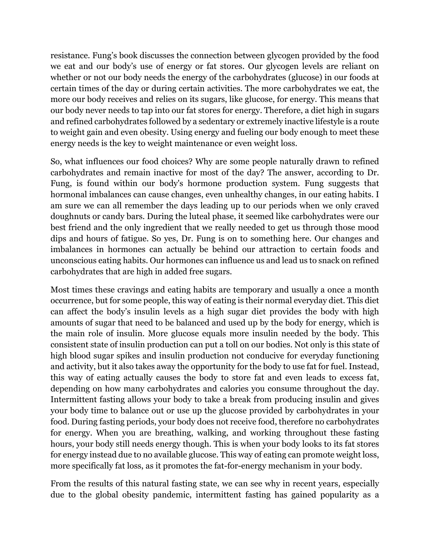resistance. Fung's book discusses the connection between glycogen provided by the food we eat and our body's use of energy or fat stores. Our glycogen levels are reliant on whether or not our body needs the energy of the carbohydrates (glucose) in our foods at certain times of the day or during certain activities. The more carbohydrates we eat, the more our body receives and relies on its sugars, like glucose, for energy. This means that our body never needs to tap into our fat stores for energy. Therefore, a diet high in sugars and refined carbohydrates followed by a sedentary or extremely inactive lifestyle is a route to weight gain and even obesity. Using energy and fueling our body enough to meet these energy needs is the key to weight maintenance or even weight loss.

So, what influences our food choices? Why are some people naturally drawn to refined carbohydrates and remain inactive for most of the day? The answer, according to Dr. Fung, is found within our body's hormone production system. Fung suggests that hormonal imbalances can cause changes, even unhealthy changes, in our eating habits. I am sure we can all remember the days leading up to our periods when we only craved doughnuts or candy bars. During the luteal phase, it seemed like carbohydrates were our best friend and the only ingredient that we really needed to get us through those mood dips and hours of fatigue. So yes, Dr. Fung is on to something here. Our changes and imbalances in hormones can actually be behind our attraction to certain foods and unconscious eating habits. Our hormones can influence us and lead us to snack on refined carbohydrates that are high in added free sugars.

Most times these cravings and eating habits are temporary and usually a once a month occurrence, but for some people, this way of eating is their normal everyday diet. This diet can affect the body's insulin levels as a high sugar diet provides the body with high amounts of sugar that need to be balanced and used up by the body for energy, which is the main role of insulin. More glucose equals more insulin needed by the body. This consistent state of insulin production can put a toll on our bodies. Not only is this state of high blood sugar spikes and insulin production not conducive for everyday functioning and activity, but it also takes away the opportunity for the body to use fat for fuel. Instead, this way of eating actually causes the body to store fat and even leads to excess fat, depending on how many carbohydrates and calories you consume throughout the day. Intermittent fasting allows your body to take a break from producing insulin and gives your body time to balance out or use up the glucose provided by carbohydrates in your food. During fasting periods, your body does not receive food, therefore no carbohydrates for energy. When you are breathing, walking, and working throughout these fasting hours, your body still needs energy though. This is when your body looks to its fat stores for energy instead due to no available glucose. This way of eating can promote weight loss, more specifically fat loss, as it promotes the fat-for-energy mechanism in your body.

From the results of this natural fasting state, we can see why in recent years, especially due to the global obesity pandemic, intermittent fasting has gained popularity as a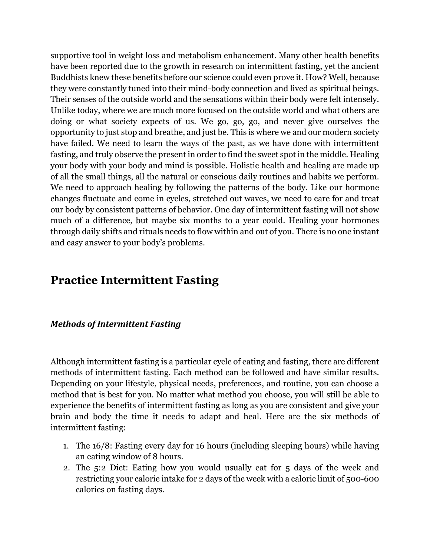supportive tool in weight loss and metabolism enhancement. Many other health benefits have been reported due to the growth in research on intermittent fasting, yet the ancient Buddhists knew these benefits before our science could even prove it. How? Well, because they were constantly tuned into their mind-body connection and lived as spiritual beings. Their senses of the outside world and the sensations within their body were felt intensely. Unlike today, where we are much more focused on the outside world and what others are doing or what society expects of us. We go, go, go, and never give ourselves the opportunity to just stop and breathe, and just be. This is where we and our modern society have failed. We need to learn the ways of the past, as we have done with intermittent fasting, and truly observe the present in order to find the sweet spot in the middle. Healing your body with your body and mind is possible. Holistic health and healing are made up of all the small things, all the natural or conscious daily routines and habits we perform. We need to approach healing by following the patterns of the body. Like our hormone changes fluctuate and come in cycles, stretched out waves, we need to care for and treat our body by consistent patterns of behavior. One day of intermittent fasting will not show much of a difference, but maybe six months to a year could. Healing your hormones through daily shifts and rituals needs to flow within and out of you. There is no one instant and easy answer to your body's problems.

#### **Practice Intermittent Fasting**

#### **Methods of Intermittent Fasting**

Although intermittent fasting is a particular cycle of eating and fasting, there are different methods of intermittent fasting. Each method can be followed and have similar results. Depending on your lifestyle, physical needs, preferences, and routine, you can choose a method that is best for you. No matter what method you choose, you will still be able to experience the benefits of intermittent fasting as long as you are consistent and give your brain and body the time it needs to adapt and heal. Here are the six methods of intermittent fasting:

- 1. The 16/8: Fasting every day for 16 hours (including sleeping hours) while having an eating window of 8 hours.
- 2. The 5:2 Diet: Eating how you would usually eat for 5 days of the week and restricting your calorie intake for 2 days of the week with a caloric limit of 500-600 calories on fasting days.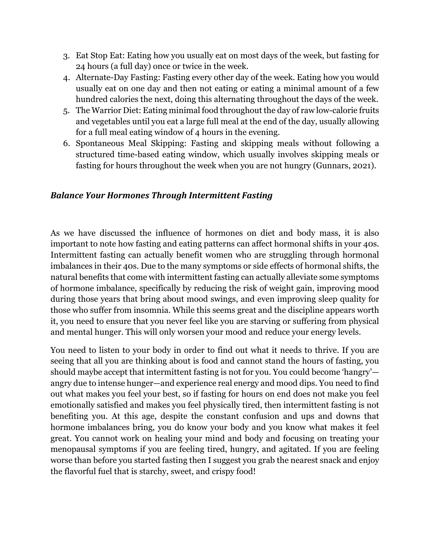- 3. Eat Stop Eat: Eating how you usually eat on most days of the week, but fasting for 24 hours (a full day) once or twice in the week.
- 4. Alternate-Day Fasting: Fasting every other day of the week. Eating how you would usually eat on one day and then not eating or eating a minimal amount of a few hundred calories the next, doing this alternating throughout the days of the week.
- 5. The Warrior Diet: Eating minimal food throughout the day of raw low-calorie fruits and vegetables until you eat a large full meal at the end of the day, usually allowing for a full meal eating window of 4 hours in the evening.
- 6. Spontaneous Meal Skipping: Fasting and skipping meals without following a structured time-based eating window, which usually involves skipping meals or fasting for hours throughout the week when you are not hungry (Gunnars, 2021).

#### **Balance Your Hormones Through Intermittent Fasting**

As we have discussed the influence of hormones on diet and body mass, it is also important to note how fasting and eating patterns can affect hormonal shifts in your 40s. Intermittent fasting can actually benefit women who are struggling through hormonal imbalances in their 40s. Due to the many symptoms or side effects of hormonal shifts, the natural benefits that come with intermittent fasting can actually alleviate some symptoms of hormone imbalance, specifically by reducing the risk of weight gain, improving mood during those years that bring about mood swings, and even improving sleep quality for those who suffer from insomnia. While this seems great and the discipline appears worth it, you need to ensure that you never feel like you are starving or suffering from physical and mental hunger. This will only worsen your mood and reduce your energy levels.

You need to listen to your body in order to find out what it needs to thrive. If you are seeing that all you are thinking about is food and cannot stand the hours of fasting, you should maybe accept that intermittent fasting is not for you. You could become 'hangry' angry due to intense hunger—and experience real energy and mood dips. You need to find out what makes you feel your best, so if fasting for hours on end does not make you feel emotionally satisfied and makes you feel physically tired, then intermittent fasting is not benefiting you. At this age, despite the constant confusion and ups and downs that hormone imbalances bring, you do know your body and you know what makes it feel great. You cannot work on healing your mind and body and focusing on treating your menopausal symptoms if you are feeling tired, hungry, and agitated. If you are feeling worse than before you started fasting then I suggest you grab the nearest snack and enjoy the flavorful fuel that is starchy, sweet, and crispy food!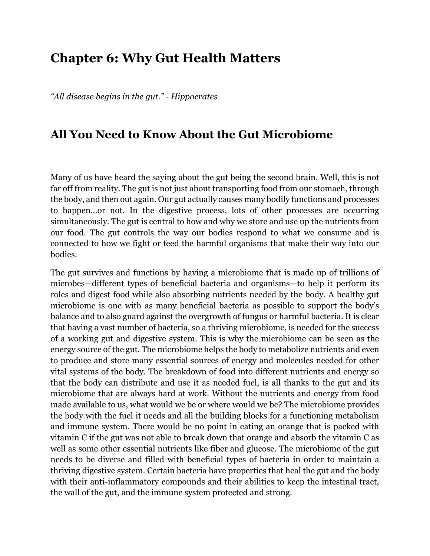## **Chapter 6: Why Gut Health Matters**

*"All disease begins in the gut." - Hippocrates* 

#### **All You Need to Know About the Gut Microbiome**

Many of us have heard the saying about the gut being the second brain. Well, this is not far off from reality. The gut is not just about transporting food from our stomach, through the body, and then out again. Our gut actually causes many bodily functions and processes to happen…or not. In the digestive process, lots of other processes are occurring simultaneously. The gut is central to how and why we store and use up the nutrients from our food. The gut controls the way our bodies respond to what we consume and is connected to how we fight or feed the harmful organisms that make their way into our bodies.

The gut survives and functions by having a microbiome that is made up of trillions of microbes—different types of beneficial bacteria and organisms—to help it perform its roles and digest food while also absorbing nutrients needed by the body. A healthy gut microbiome is one with as many beneficial bacteria as possible to support the body's balance and to also guard against the overgrowth of fungus or harmful bacteria. It is clear that having a vast number of bacteria, so a thriving microbiome, is needed for the success of a working gut and digestive system. This is why the microbiome can be seen as the energy source of the gut. The microbiome helps the body to metabolize nutrients and even to produce and store many essential sources of energy and molecules needed for other vital systems of the body. The breakdown of food into different nutrients and energy so that the body can distribute and use it as needed fuel, is all thanks to the gut and its microbiome that are always hard at work. Without the nutrients and energy from food made available to us, what would we be or where would we be? The microbiome provides the body with the fuel it needs and all the building blocks for a functioning metabolism and immune system. There would be no point in eating an orange that is packed with vitamin C if the gut was not able to break down that orange and absorb the vitamin C as well as some other essential nutrients like fiber and glucose. The microbiome of the gut needs to be diverse and filled with beneficial types of bacteria in order to maintain a thriving digestive system. Certain bacteria have properties that heal the gut and the body with their anti-inflammatory compounds and their abilities to keep the intestinal tract, the wall of the gut, and the immune system protected and strong.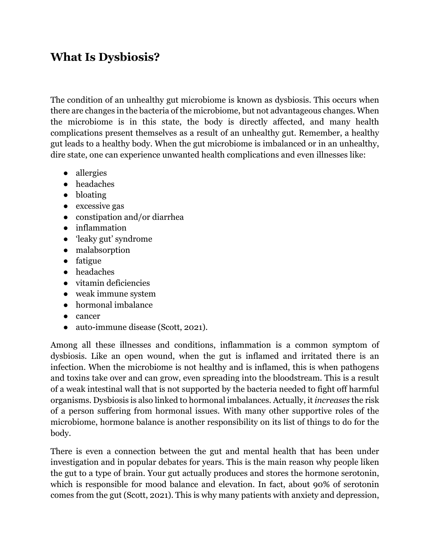## **What Is Dysbiosis?**

The condition of an unhealthy gut microbiome is known as dysbiosis. This occurs when there are changes in the bacteria of the microbiome, but not advantageous changes. When the microbiome is in this state, the body is directly affected, and many health complications present themselves as a result of an unhealthy gut. Remember, a healthy gut leads to a healthy body. When the gut microbiome is imbalanced or in an unhealthy, dire state, one can experience unwanted health complications and even illnesses like:

- allergies
- headaches
- bloating
- excessive gas
- constipation and/or diarrhea
- inflammation
- 'leaky gut' syndrome
- malabsorption
- fatigue
- headaches
- vitamin deficiencies
- weak immune system
- hormonal imbalance
- cancer
- auto-immune disease (Scott, 2021).

Among all these illnesses and conditions, inflammation is a common symptom of dysbiosis. Like an open wound, when the gut is inflamed and irritated there is an infection. When the microbiome is not healthy and is inflamed, this is when pathogens and toxins take over and can grow, even spreading into the bloodstream. This is a result of a weak intestinal wall that is not supported by the bacteria needed to fight off harmful organisms. Dysbiosis is also linked to hormonal imbalances. Actually, it *increases* the risk of a person suffering from hormonal issues. With many other supportive roles of the microbiome, hormone balance is another responsibility on its list of things to do for the body.

There is even a connection between the gut and mental health that has been under investigation and in popular debates for years. This is the main reason why people liken the gut to a type of brain. Your gut actually produces and stores the hormone serotonin, which is responsible for mood balance and elevation. In fact, about 90% of serotonin comes from the gut (Scott, 2021). This is why many patients with anxiety and depression,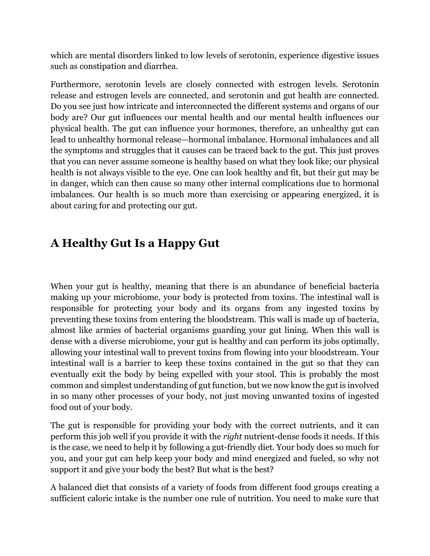which are mental disorders linked to low levels of serotonin, experience digestive issues such as constipation and diarrhea.

Furthermore, serotonin levels are closely connected with estrogen levels. Serotonin release and estrogen levels are connected, and serotonin and gut health are connected. Do you see just how intricate and interconnected the different systems and organs of our body are? Our gut influences our mental health and our mental health influences our physical health. The gut can influence your hormones, therefore, an unhealthy gut can lead to unhealthy hormonal release—hormonal imbalance. Hormonal imbalances and all the symptoms and struggles that it causes can be traced back to the gut. This just proves that you can never assume someone is healthy based on what they look like; our physical health is not always visible to the eye. One can look healthy and fit, but their gut may be in danger, which can then cause so many other internal complications due to hormonal imbalances. Our health is so much more than exercising or appearing energized, it is about caring for and protecting our gut.

## **A Healthy Gut Is a Happy Gut**

When your gut is healthy, meaning that there is an abundance of beneficial bacteria making up your microbiome, your body is protected from toxins. The intestinal wall is responsible for protecting your body and its organs from any ingested toxins by preventing these toxins from entering the bloodstream. This wall is made up of bacteria, almost like armies of bacterial organisms guarding your gut lining. When this wall is dense with a diverse microbiome, your gut is healthy and can perform its jobs optimally, allowing your intestinal wall to prevent toxins from flowing into your bloodstream. Your intestinal wall is a barrier to keep these toxins contained in the gut so that they can eventually exit the body by being expelled with your stool. This is probably the most common and simplest understanding of gut function, but we now know the gut is involved in so many other processes of your body, not just moving unwanted toxins of ingested food out of your body.

The gut is responsible for providing your body with the correct nutrients, and it can perform this job well if you provide it with the *right* nutrient-dense foods it needs. If this is the case, we need to help it by following a gut-friendly diet. Your body does so much for you, and your gut can help keep your body and mind energized and fueled, so why not support it and give your body the best? But what is the best?

A balanced diet that consists of a variety of foods from different food groups creating a sufficient caloric intake is the number one rule of nutrition. You need to make sure that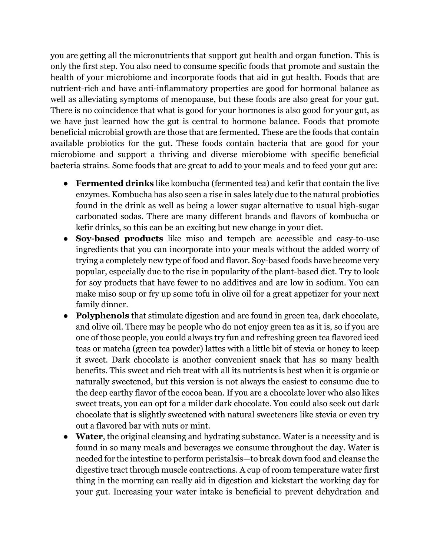you are getting all the micronutrients that support gut health and organ function. This is only the first step. You also need to consume specific foods that promote and sustain the health of your microbiome and incorporate foods that aid in gut health. Foods that are nutrient-rich and have anti-inflammatory properties are good for hormonal balance as well as alleviating symptoms of menopause, but these foods are also great for your gut. There is no coincidence that what is good for your hormones is also good for your gut, as we have just learned how the gut is central to hormone balance. Foods that promote beneficial microbial growth are those that are fermented. These are the foods that contain available probiotics for the gut. These foods contain bacteria that are good for your microbiome and support a thriving and diverse microbiome with specific beneficial bacteria strains. Some foods that are great to add to your meals and to feed your gut are:

- **Fermented drinks** like kombucha (fermented tea) and kefir that contain the live enzymes. Kombucha has also seen a rise in sales lately due to the natural probiotics found in the drink as well as being a lower sugar alternative to usual high-sugar carbonated sodas. There are many different brands and flavors of kombucha or kefir drinks, so this can be an exciting but new change in your diet.
- **Soy-based products** like miso and tempeh are accessible and easy-to-use ingredients that you can incorporate into your meals without the added worry of trying a completely new type of food and flavor. Soy-based foods have become very popular, especially due to the rise in popularity of the plant-based diet. Try to look for soy products that have fewer to no additives and are low in sodium. You can make miso soup or fry up some tofu in olive oil for a great appetizer for your next family dinner.
- **Polyphenols** that stimulate digestion and are found in green tea, dark chocolate, and olive oil. There may be people who do not enjoy green tea as it is, so if you are one of those people, you could always try fun and refreshing green tea flavored iced teas or matcha (green tea powder) lattes with a little bit of stevia or honey to keep it sweet. Dark chocolate is another convenient snack that has so many health benefits. This sweet and rich treat with all its nutrients is best when it is organic or naturally sweetened, but this version is not always the easiest to consume due to the deep earthy flavor of the cocoa bean. If you are a chocolate lover who also likes sweet treats, you can opt for a milder dark chocolate. You could also seek out dark chocolate that is slightly sweetened with natural sweeteners like stevia or even try out a flavored bar with nuts or mint.
- **Water**, the original cleansing and hydrating substance. Water is a necessity and is found in so many meals and beverages we consume throughout the day. Water is needed for the intestine to perform peristalsis—to break down food and cleanse the digestive tract through muscle contractions. A cup of room temperature water first thing in the morning can really aid in digestion and kickstart the working day for your gut. Increasing your water intake is beneficial to prevent dehydration and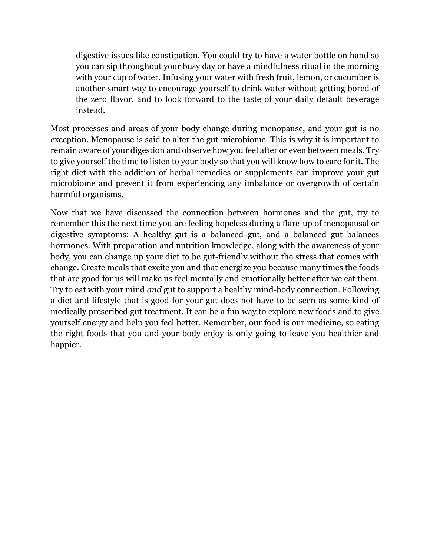digestive issues like constipation. You could try to have a water bottle on hand so you can sip throughout your busy day or have a mindfulness ritual in the morning with your cup of water. Infusing your water with fresh fruit, lemon, or cucumber is another smart way to encourage yourself to drink water without getting bored of the zero flavor, and to look forward to the taste of your daily default beverage instead.

Most processes and areas of your body change during menopause, and your gut is no exception. Menopause is said to alter the gut microbiome. This is why it is important to remain aware of your digestion and observe how you feel after or even between meals. Try to give yourself the time to listen to your body so that you will know how to care for it. The right diet with the addition of herbal remedies or supplements can improve your gut microbiome and prevent it from experiencing any imbalance or overgrowth of certain harmful organisms.

Now that we have discussed the connection between hormones and the gut, try to remember this the next time you are feeling hopeless during a flare-up of menopausal or digestive symptoms: A healthy gut is a balanced gut, and a balanced gut balances hormones. With preparation and nutrition knowledge, along with the awareness of your body, you can change up your diet to be gut-friendly without the stress that comes with change. Create meals that excite you and that energize you because many times the foods that are good for us will make us feel mentally and emotionally better after we eat them. Try to eat with your mind *and* gut to support a healthy mind-body connection. Following a diet and lifestyle that is good for your gut does not have to be seen as some kind of medically prescribed gut treatment. It can be a fun way to explore new foods and to give yourself energy and help you feel better. Remember, our food is our medicine, so eating the right foods that you and your body enjoy is only going to leave you healthier and happier.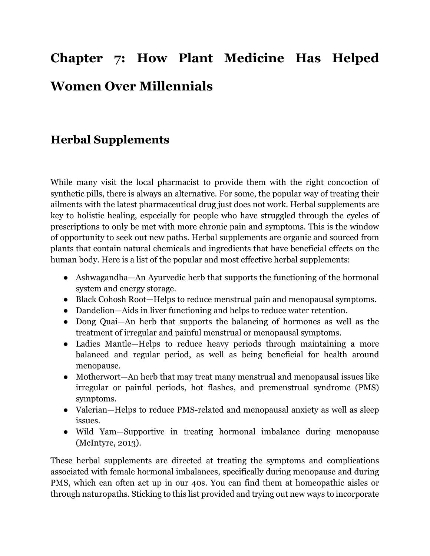# **Chapter 7: How Plant Medicine Has Helped Women Over Millennials**

## **Herbal Supplements**

While many visit the local pharmacist to provide them with the right concoction of synthetic pills, there is always an alternative. For some, the popular way of treating their ailments with the latest pharmaceutical drug just does not work. Herbal supplements are key to holistic healing, especially for people who have struggled through the cycles of prescriptions to only be met with more chronic pain and symptoms. This is the window of opportunity to seek out new paths. Herbal supplements are organic and sourced from plants that contain natural chemicals and ingredients that have beneficial effects on the human body. Here is a list of the popular and most effective herbal supplements:

- Ashwagandha—An Ayurvedic herb that supports the functioning of the hormonal system and energy storage.
- Black Cohosh Root—Helps to reduce menstrual pain and menopausal symptoms.
- Dandelion—Aids in liver functioning and helps to reduce water retention.
- Dong Quai—An herb that supports the balancing of hormones as well as the treatment of irregular and painful menstrual or menopausal symptoms.
- Ladies Mantle—Helps to reduce heavy periods through maintaining a more balanced and regular period, as well as being beneficial for health around menopause.
- Motherwort—An herb that may treat many menstrual and menopausal issues like irregular or painful periods, hot flashes, and premenstrual syndrome (PMS) symptoms.
- Valerian—Helps to reduce PMS-related and menopausal anxiety as well as sleep issues.
- Wild Yam—Supportive in treating hormonal imbalance during menopause (McIntyre, 2013).

These herbal supplements are directed at treating the symptoms and complications associated with female hormonal imbalances, specifically during menopause and during PMS, which can often act up in our 40s. You can find them at homeopathic aisles or through naturopaths. Sticking to this list provided and trying out new ways to incorporate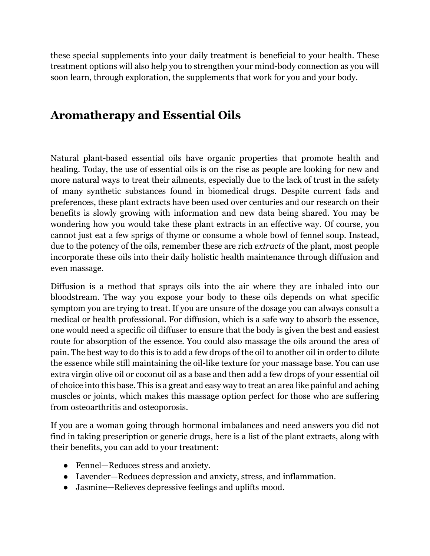these special supplements into your daily treatment is beneficial to your health. These treatment options will also help you to strengthen your mind-body connection as you will soon learn, through exploration, the supplements that work for you and your body.

## **Aromatherapy and Essential Oils**

Natural plant-based essential oils have organic properties that promote health and healing. Today, the use of essential oils is on the rise as people are looking for new and more natural ways to treat their ailments, especially due to the lack of trust in the safety of many synthetic substances found in biomedical drugs. Despite current fads and preferences, these plant extracts have been used over centuries and our research on their benefits is slowly growing with information and new data being shared. You may be wondering how you would take these plant extracts in an effective way. Of course, you cannot just eat a few sprigs of thyme or consume a whole bowl of fennel soup. Instead, due to the potency of the oils, remember these are rich *extracts* of the plant, most people incorporate these oils into their daily holistic health maintenance through diffusion and even massage.

Diffusion is a method that sprays oils into the air where they are inhaled into our bloodstream. The way you expose your body to these oils depends on what specific symptom you are trying to treat. If you are unsure of the dosage you can always consult a medical or health professional. For diffusion, which is a safe way to absorb the essence, one would need a specific oil diffuser to ensure that the body is given the best and easiest route for absorption of the essence. You could also massage the oils around the area of pain. The best way to do this is to add a few drops of the oil to another oil in order to dilute the essence while still maintaining the oil-like texture for your massage base. You can use extra virgin olive oil or coconut oil as a base and then add a few drops of your essential oil of choice into this base. This is a great and easy way to treat an area like painful and aching muscles or joints, which makes this massage option perfect for those who are suffering from osteoarthritis and osteoporosis.

If you are a woman going through hormonal imbalances and need answers you did not find in taking prescription or generic drugs, here is a list of the plant extracts, along with their benefits, you can add to your treatment:

- Fennel—Reduces stress and anxiety.
- Lavender—Reduces depression and anxiety, stress, and inflammation.
- Jasmine—Relieves depressive feelings and uplifts mood.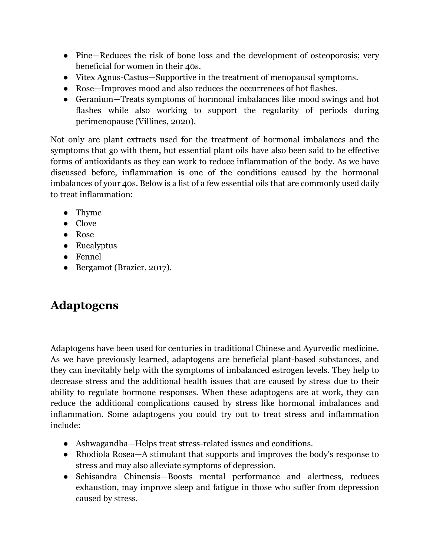- Pine—Reduces the risk of bone loss and the development of osteoporosis; very beneficial for women in their 40s.
- Vitex Agnus-Castus—Supportive in the treatment of menopausal symptoms.
- Rose—Improves mood and also reduces the occurrences of hot flashes.
- Geranium—Treats symptoms of hormonal imbalances like mood swings and hot flashes while also working to support the regularity of periods during perimenopause (Villines, 2020).

Not only are plant extracts used for the treatment of hormonal imbalances and the symptoms that go with them, but essential plant oils have also been said to be effective forms of antioxidants as they can work to reduce inflammation of the body. As we have discussed before, inflammation is one of the conditions caused by the hormonal imbalances of your 40s. Below is a list of a few essential oils that are commonly used daily to treat inflammation:

- Thyme
- Clove
- Rose
- Eucalyptus
- Fennel
- Bergamot (Brazier, 2017).

## **Adaptogens**

Adaptogens have been used for centuries in traditional Chinese and Ayurvedic medicine. As we have previously learned, adaptogens are beneficial plant-based substances, and they can inevitably help with the symptoms of imbalanced estrogen levels. They help to decrease stress and the additional health issues that are caused by stress due to their ability to regulate hormone responses. When these adaptogens are at work, they can reduce the additional complications caused by stress like hormonal imbalances and inflammation. Some adaptogens you could try out to treat stress and inflammation include:

- Ashwagandha—Helps treat stress-related issues and conditions.
- Rhodiola Rosea—A stimulant that supports and improves the body's response to stress and may also alleviate symptoms of depression.
- Schisandra Chinensis—Boosts mental performance and alertness, reduces exhaustion, may improve sleep and fatigue in those who suffer from depression caused by stress.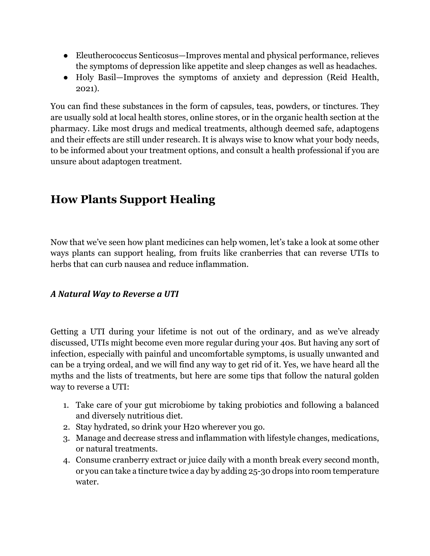- Eleutherococcus Senticosus—Improves mental and physical performance, relieves the symptoms of depression like appetite and sleep changes as well as headaches.
- Holy Basil—Improves the symptoms of anxiety and depression (Reid Health, 2021).

You can find these substances in the form of capsules, teas, powders, or tinctures. They are usually sold at local health stores, online stores, or in the organic health section at the pharmacy. Like most drugs and medical treatments, although deemed safe, adaptogens and their effects are still under research. It is always wise to know what your body needs, to be informed about your treatment options, and consult a health professional if you are unsure about adaptogen treatment.

## **How Plants Support Healing**

Now that we've seen how plant medicines can help women, let's take a look at some other ways plants can support healing, from fruits like cranberries that can reverse UTIs to herbs that can curb nausea and reduce inflammation.

#### *A Natural Way to Reverse a UTI*

Getting a UTI during your lifetime is not out of the ordinary, and as we've already discussed, UTIs might become even more regular during your 40s. But having any sort of infection, especially with painful and uncomfortable symptoms, is usually unwanted and can be a trying ordeal, and we will find any way to get rid of it. Yes, we have heard all the myths and the lists of treatments, but here are some tips that follow the natural golden way to reverse a UTI:

- 1. Take care of your gut microbiome by taking probiotics and following a balanced and diversely nutritious diet.
- 2. Stay hydrated, so drink your H20 wherever you go.
- 3. Manage and decrease stress and inflammation with lifestyle changes, medications, or natural treatments.
- 4. Consume cranberry extract or juice daily with a month break every second month, or you can take a tincture twice a day by adding 25-30 drops into room temperature water.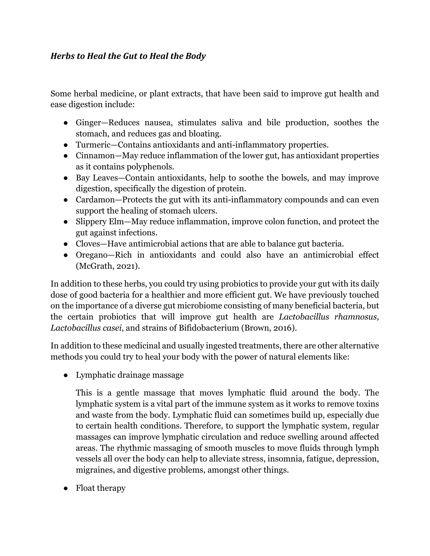#### *Herbs* to *Heal* the Gut to *Heal* the Body

Some herbal medicine, or plant extracts, that have been said to improve gut health and ease digestion include:

- Ginger—Reduces nausea, stimulates saliva and bile production, soothes the stomach, and reduces gas and bloating.
- Turmeric—Contains antioxidants and anti-inflammatory properties.
- Cinnamon—May reduce inflammation of the lower gut, has antioxidant properties as it contains polyphenols.
- Bay Leaves—Contain antioxidants, help to soothe the bowels, and may improve digestion, specifically the digestion of protein.
- Cardamon—Protects the gut with its anti-inflammatory compounds and can even support the healing of stomach ulcers.
- Slippery Elm—May reduce inflammation, improve colon function, and protect the gut against infections.
- Cloves—Have antimicrobial actions that are able to balance gut bacteria.
- Oregano—Rich in antioxidants and could also have an antimicrobial effect (McGrath, 2021).

In addition to these herbs, you could try using probiotics to provide your gut with its daily dose of good bacteria for a healthier and more efficient gut. We have previously touched on the importance of a diverse gut microbiome consisting of many beneficial bacteria, but the certain probiotics that will improve gut health are *Lactobacillus rhamnosus, Lactobacillus casei*, and strains of Bifidobacterium (Brown, 2016).

In addition to these medicinal and usually ingested treatments, there are other alternative methods you could try to heal your body with the power of natural elements like:

● Lymphatic drainage massage

This is a gentle massage that moves lymphatic fluid around the body. The lymphatic system is a vital part of the immune system as it works to remove toxins and waste from the body. Lymphatic fluid can sometimes build up, especially due to certain health conditions. Therefore, to support the lymphatic system, regular massages can improve lymphatic circulation and reduce swelling around affected areas. The rhythmic massaging of smooth muscles to move fluids through lymph vessels all over the body can help to alleviate stress, insomnia, fatigue, depression, migraines, and digestive problems, amongst other things.

• Float therapy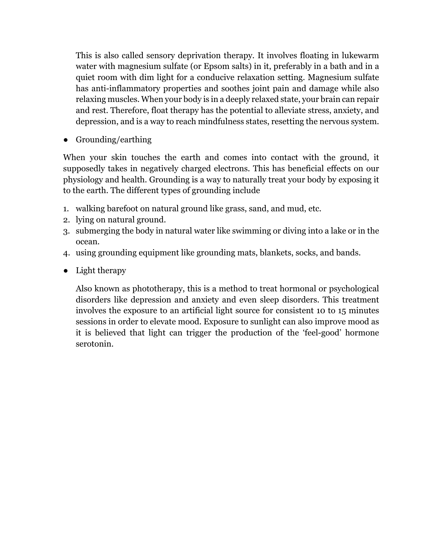This is also called sensory deprivation therapy. It involves floating in lukewarm water with magnesium sulfate (or Epsom salts) in it, preferably in a bath and in a quiet room with dim light for a conducive relaxation setting. Magnesium sulfate has anti-inflammatory properties and soothes joint pain and damage while also relaxing muscles. When your body is in a deeply relaxed state, your brain can repair and rest. Therefore, float therapy has the potential to alleviate stress, anxiety, and depression, and is a way to reach mindfulness states, resetting the nervous system.

● Grounding/earthing

When your skin touches the earth and comes into contact with the ground, it supposedly takes in negatively charged electrons. This has beneficial effects on our physiology and health. Grounding is a way to naturally treat your body by exposing it to the earth. The different types of grounding include

- 1. walking barefoot on natural ground like grass, sand, and mud, etc.
- 2. lying on natural ground.
- 3. submerging the body in natural water like swimming or diving into a lake or in the ocean.
- 4. using grounding equipment like grounding mats, blankets, socks, and bands.
- Light therapy

Also known as phototherapy, this is a method to treat hormonal or psychological disorders like depression and anxiety and even sleep disorders. This treatment involves the exposure to an artificial light source for consistent 10 to 15 minutes sessions in order to elevate mood. Exposure to sunlight can also improve mood as it is believed that light can trigger the production of the 'feel-good' hormone serotonin.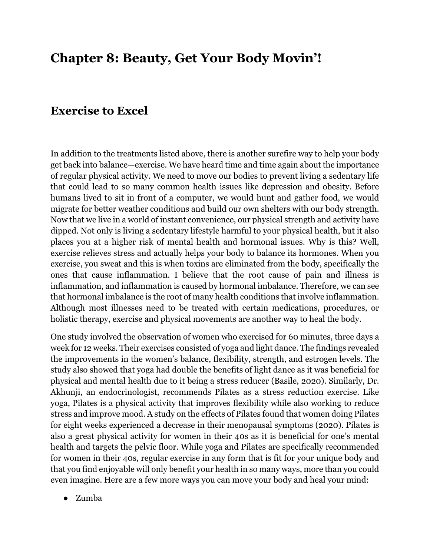# **Chapter 8: Beauty, Get Your Body Movin'!**

#### **Exercise to Excel**

In addition to the treatments listed above, there is another surefire way to help your body get back into balance—exercise. We have heard time and time again about the importance of regular physical activity. We need to move our bodies to prevent living a sedentary life that could lead to so many common health issues like depression and obesity. Before humans lived to sit in front of a computer, we would hunt and gather food, we would migrate for better weather conditions and build our own shelters with our body strength. Now that we live in a world of instant convenience, our physical strength and activity have dipped. Not only is living a sedentary lifestyle harmful to your physical health, but it also places you at a higher risk of mental health and hormonal issues. Why is this? Well, exercise relieves stress and actually helps your body to balance its hormones. When you exercise, you sweat and this is when toxins are eliminated from the body, specifically the ones that cause inflammation. I believe that the root cause of pain and illness is inflammation, and inflammation is caused by hormonal imbalance. Therefore, we can see that hormonal imbalance is the root of many health conditions that involve inflammation. Although most illnesses need to be treated with certain medications, procedures, or holistic therapy, exercise and physical movements are another way to heal the body.

One study involved the observation of women who exercised for 60 minutes, three days a week for 12 weeks. Their exercises consisted of yoga and light dance. The findings revealed the improvements in the women's balance, flexibility, strength, and estrogen levels. The study also showed that yoga had double the benefits of light dance as it was beneficial for physical and mental health due to it being a stress reducer (Basile, 2020). Similarly, Dr. Akhunji, an endocrinologist, recommends Pilates as a stress reduction exercise. Like yoga, Pilates is a physical activity that improves flexibility while also working to reduce stress and improve mood. A study on the effects of Pilates found that women doing Pilates for eight weeks experienced a decrease in their menopausal symptoms (2020). Pilates is also a great physical activity for women in their 40s as it is beneficial for one's mental health and targets the pelvic floor. While yoga and Pilates are specifically recommended for women in their 40s, regular exercise in any form that is fit for your unique body and that you find enjoyable will only benefit your health in so many ways, more than you could even imagine. Here are a few more ways you can move your body and heal your mind:

● Zumba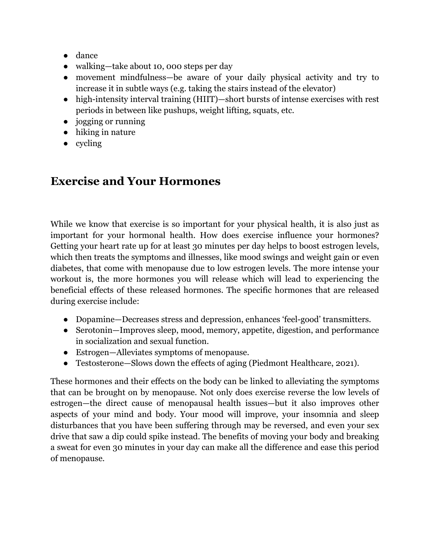- dance
- walking—take about 10, 000 steps per day
- movement mindfulness—be aware of your daily physical activity and try to increase it in subtle ways (e.g. taking the stairs instead of the elevator)
- high-intensity interval training (HIIT)—short bursts of intense exercises with rest periods in between like pushups, weight lifting, squats, etc.
- jogging or running
- hiking in nature
- cycling

### **Exercise and Your Hormones**

While we know that exercise is so important for your physical health, it is also just as important for your hormonal health. How does exercise influence your hormones? Getting your heart rate up for at least 30 minutes per day helps to boost estrogen levels, which then treats the symptoms and illnesses, like mood swings and weight gain or even diabetes, that come with menopause due to low estrogen levels. The more intense your workout is, the more hormones you will release which will lead to experiencing the beneficial effects of these released hormones. The specific hormones that are released during exercise include:

- Dopamine—Decreases stress and depression, enhances 'feel-good' transmitters.
- Serotonin—Improves sleep, mood, memory, appetite, digestion, and performance in socialization and sexual function.
- Estrogen—Alleviates symptoms of menopause.
- Testosterone—Slows down the effects of aging (Piedmont Healthcare, 2021).

These hormones and their effects on the body can be linked to alleviating the symptoms that can be brought on by menopause. Not only does exercise reverse the low levels of estrogen—the direct cause of menopausal health issues—but it also improves other aspects of your mind and body. Your mood will improve, your insomnia and sleep disturbances that you have been suffering through may be reversed, and even your sex drive that saw a dip could spike instead. The benefits of moving your body and breaking a sweat for even 30 minutes in your day can make all the difference and ease this period of menopause.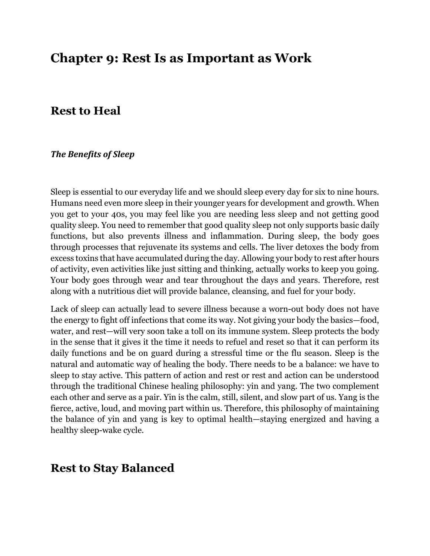## **Chapter 9: Rest Is as Important as Work**

#### **Rest to Heal**

#### **The Benefits of Sleep**

Sleep is essential to our everyday life and we should sleep every day for six to nine hours. Humans need even more sleep in their younger years for development and growth. When you get to your 40s, you may feel like you are needing less sleep and not getting good quality sleep. You need to remember that good quality sleep not only supports basic daily functions, but also prevents illness and inflammation. During sleep, the body goes through processes that rejuvenate its systems and cells. The liver detoxes the body from excess toxins that have accumulated during the day. Allowing your body to rest after hours of activity, even activities like just sitting and thinking, actually works to keep you going. Your body goes through wear and tear throughout the days and years. Therefore, rest along with a nutritious diet will provide balance, cleansing, and fuel for your body.

Lack of sleep can actually lead to severe illness because a worn-out body does not have the energy to fight off infections that come its way. Not giving your body the basics—food, water, and rest—will very soon take a toll on its immune system. Sleep protects the body in the sense that it gives it the time it needs to refuel and reset so that it can perform its daily functions and be on guard during a stressful time or the flu season. Sleep is the natural and automatic way of healing the body. There needs to be a balance: we have to sleep to stay active. This pattern of action and rest or rest and action can be understood through the traditional Chinese healing philosophy: yin and yang. The two complement each other and serve as a pair. Yin is the calm, still, silent, and slow part of us. Yang is the fierce, active, loud, and moving part within us. Therefore, this philosophy of maintaining the balance of yin and yang is key to optimal health—staying energized and having a healthy sleep-wake cycle.

#### **Rest to Stay Balanced**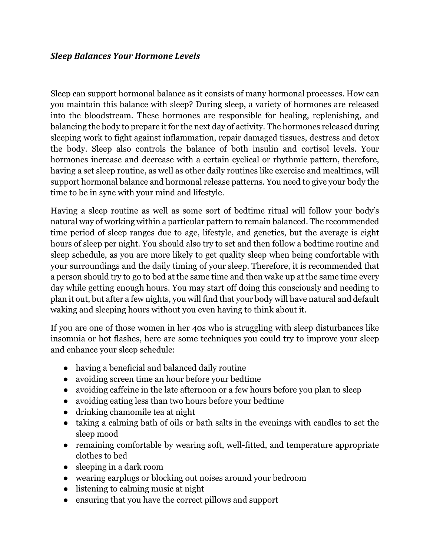#### **Sleep Balances Your Hormone Levels**

Sleep can support hormonal balance as it consists of many hormonal processes. How can you maintain this balance with sleep? During sleep, a variety of hormones are released into the bloodstream. These hormones are responsible for healing, replenishing, and balancing the body to prepare it for the next day of activity. The hormones released during sleeping work to fight against inflammation, repair damaged tissues, destress and detox the body. Sleep also controls the balance of both insulin and cortisol levels. Your hormones increase and decrease with a certain cyclical or rhythmic pattern, therefore, having a set sleep routine, as well as other daily routines like exercise and mealtimes, will support hormonal balance and hormonal release patterns. You need to give your body the time to be in sync with your mind and lifestyle.

Having a sleep routine as well as some sort of bedtime ritual will follow your body's natural way of working within a particular pattern to remain balanced. The recommended time period of sleep ranges due to age, lifestyle, and genetics, but the average is eight hours of sleep per night. You should also try to set and then follow a bedtime routine and sleep schedule, as you are more likely to get quality sleep when being comfortable with your surroundings and the daily timing of your sleep. Therefore, it is recommended that a person should try to go to bed at the same time and then wake up at the same time every day while getting enough hours. You may start off doing this consciously and needing to plan it out, but after a few nights, you will find that your body will have natural and default waking and sleeping hours without you even having to think about it.

If you are one of those women in her 40s who is struggling with sleep disturbances like insomnia or hot flashes, here are some techniques you could try to improve your sleep and enhance your sleep schedule:

- having a beneficial and balanced daily routine
- avoiding screen time an hour before your bedtime
- avoiding caffeine in the late afternoon or a few hours before you plan to sleep
- avoiding eating less than two hours before your bedtime
- drinking chamomile tea at night
- taking a calming bath of oils or bath salts in the evenings with candles to set the sleep mood
- remaining comfortable by wearing soft, well-fitted, and temperature appropriate clothes to bed
- sleeping in a dark room
- wearing earplugs or blocking out noises around your bedroom
- listening to calming music at night
- ensuring that you have the correct pillows and support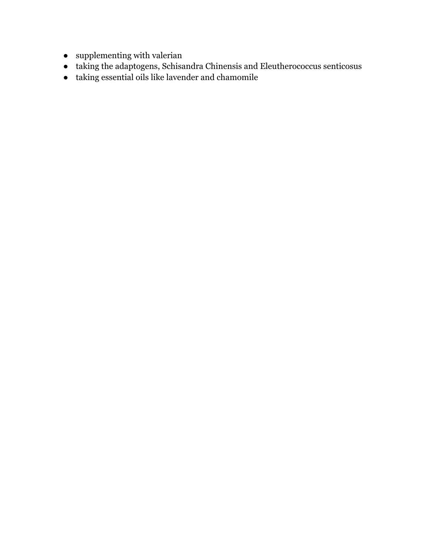- $\bullet$  –supplementing with valerian
- taking the adaptogens, Schisandra Chinensis and Eleutherococcus senticosus
- $\bullet~$  taking essential oils like lavender and chamomile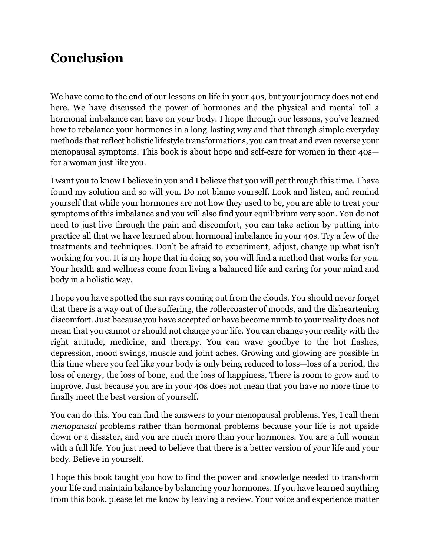# **Conclusion**

We have come to the end of our lessons on life in your 40s, but your journey does not end here. We have discussed the power of hormones and the physical and mental toll a hormonal imbalance can have on your body. I hope through our lessons, you've learned how to rebalance your hormones in a long-lasting way and that through simple everyday methods that reflect holistic lifestyle transformations, you can treat and even reverse your menopausal symptoms. This book is about hope and self-care for women in their 40s for a woman just like you.

I want you to know I believe in you and I believe that you will get through this time. I have found my solution and so will you. Do not blame yourself. Look and listen, and remind yourself that while your hormones are not how they used to be, you are able to treat your symptoms of this imbalance and you will also find your equilibrium very soon. You do not need to just live through the pain and discomfort, you can take action by putting into practice all that we have learned about hormonal imbalance in your 40s. Try a few of the treatments and techniques. Don't be afraid to experiment, adjust, change up what isn't working for you. It is my hope that in doing so, you will find a method that works for you. Your health and wellness come from living a balanced life and caring for your mind and body in a holistic way.

I hope you have spotted the sun rays coming out from the clouds. You should never forget that there is a way out of the suffering, the rollercoaster of moods, and the disheartening discomfort. Just because you have accepted or have become numb to your reality does not mean that you cannot or should not change your life. You can change your reality with the right attitude, medicine, and therapy. You can wave goodbye to the hot flashes, depression, mood swings, muscle and joint aches. Growing and glowing are possible in this time where you feel like your body is only being reduced to loss—loss of a period, the loss of energy, the loss of bone, and the loss of happiness. There is room to grow and to improve. Just because you are in your 40s does not mean that you have no more time to finally meet the best version of yourself.

You can do this. You can find the answers to your menopausal problems. Yes, I call them *menopausal* problems rather than hormonal problems because your life is not upside down or a disaster, and you are much more than your hormones. You are a full woman with a full life. You just need to believe that there is a better version of your life and your body. Believe in yourself.

I hope this book taught you how to find the power and knowledge needed to transform your life and maintain balance by balancing your hormones. If you have learned anything from this book, please let me know by leaving a review. Your voice and experience matter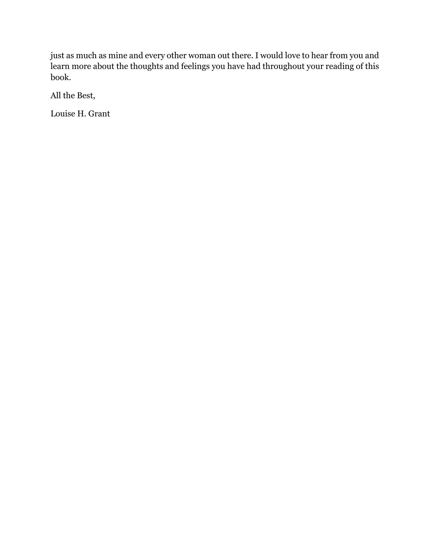just as much as mine and every other woman out there. I would love to hear from you and learn more about the thoughts and feelings you have had throughout your reading of this book.

All the Best,

Louise H. Grant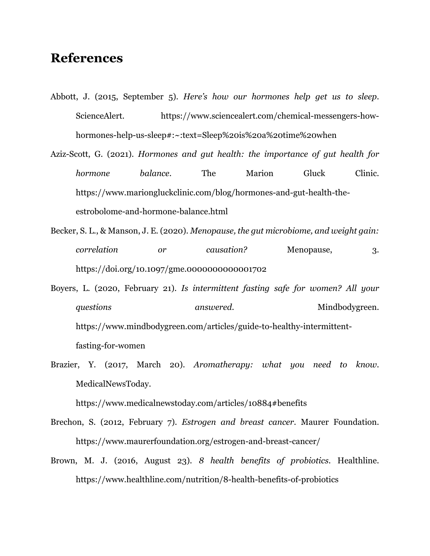### **References**

- Abbott, J. (2015, September 5). *Here's how our hormones help get us to sleep*. ScienceAlert. https://www.sciencealert.com/chemical-messengers-howhormones-help-us-sleep#:~:text=Sleep%20is%20a%20time%20when
- Aziz-Scott, G. (2021). *Hormones and gut health: the importance of gut health for hormone balance*. The Marion Gluck Clinic. https://www.mariongluckclinic.com/blog/hormones-and-gut-health-theestrobolome-and-hormone-balance.html
- Becker, S. L., & Manson, J. E. (2020). *Menopause, the gut microbiome, and weight gain: correlation or causation?* Menopause, 3. https://doi.org/10.1097/gme.0000000000001702
- Boyers, L. (2020, February 21). *Is intermittent fasting safe for women? All your questions* answered. Mindbodygreen. https://www.mindbodygreen.com/articles/guide-to-healthy-intermittentfasting-for-women
- Brazier, Y. (2017, March 20). *Aromatherapy: what you need to know*. MedicalNewsToday.

https://www.medicalnewstoday.com/articles/10884#benefits

- Brechon, S. (2012, February 7). *Estrogen and breast cancer*. Maurer Foundation. https://www.maurerfoundation.org/estrogen-and-breast-cancer/
- Brown, M. J. (2016, August 23). *8 health benefits of probiotics*. Healthline. https://www.healthline.com/nutrition/8-health-benefits-of-probiotics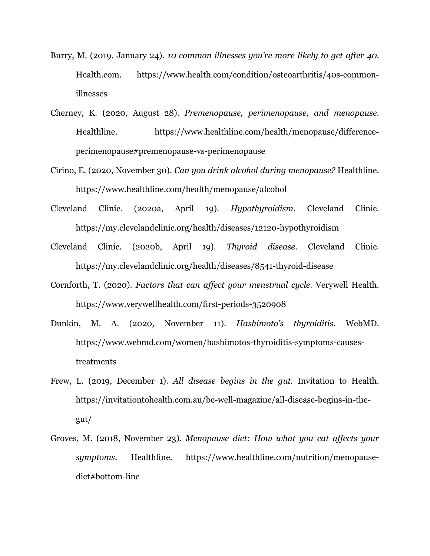- Burry, M. (2019, January 24). *10 common illnesses you're more likely to get after 40*. Health.com. https://www.health.com/condition/osteoarthritis/40s-commonillnesses
- Cherney, K. (2020, August 28). *Premenopause, perimenopause, and menopause*. Healthline. https://www.healthline.com/health/menopause/differenceperimenopause#premenopause-vs-perimenopause
- Cirino, E. (2020, November 30). *Can you drink alcohol during menopause?* Healthline. https://www.healthline.com/health/menopause/alcohol
- Cleveland Clinic. (2020a, April 19). *Hypothyroidism*. Cleveland Clinic. https://my.clevelandclinic.org/health/diseases/12120-hypothyroidism
- Cleveland Clinic. (2020b, April 19). *Thyroid disease*. Cleveland Clinic. https://my.clevelandclinic.org/health/diseases/8541-thyroid-disease
- Cornforth, T. (2020). *Factors that can affect your menstrual cycle*. Verywell Health. https://www.verywellhealth.com/first-periods-3520908
- Dunkin, M. A. (2020, November 11). *Hashimoto's thyroiditis*. WebMD. https://www.webmd.com/women/hashimotos-thyroiditis-symptoms-causestreatments
- Frew, L. (2019, December 1). *All disease begins in the gut*. Invitation to Health. https://invitationtohealth.com.au/be-well-magazine/all-disease-begins-in-thegut/
- Groves, M. (2018, November 23). *Menopause diet: How what you eat affects your symptoms*. Healthline. https://www.healthline.com/nutrition/menopausediet#bottom-line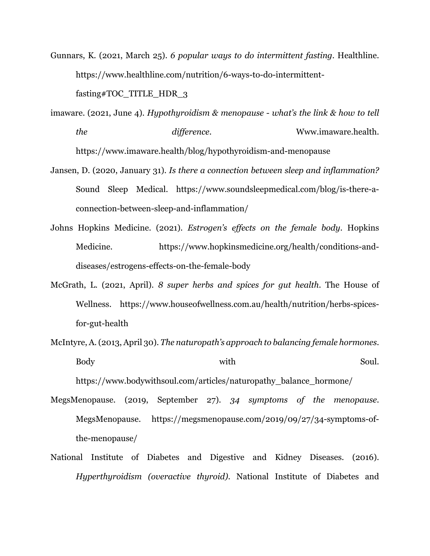- Gunnars, K. (2021, March 25). *6 popular ways to do intermittent fasting*. Healthline. https://www.healthline.com/nutrition/6-ways-to-do-intermittentfasting#TOC\_TITLE\_HDR\_3
- imaware. (2021, June 4). *Hypothyroidism & menopause - what's the link & how to tell the difference*. Www.imaware.health. https://www.imaware.health/blog/hypothyroidism-and-menopause
- Jansen, D. (2020, January 31). *Is there a connection between sleep and inflammation?* Sound Sleep Medical. https://www.soundsleepmedical.com/blog/is-there-aconnection-between-sleep-and-inflammation/
- Johns Hopkins Medicine. (2021). *Estrogen's effects on the female body*. Hopkins Medicine. https://www.hopkinsmedicine.org/health/conditions-anddiseases/estrogens-effects-on-the-female-body
- McGrath, L. (2021, April). *8 super herbs and spices for gut health*. The House of Wellness. https://www.houseofwellness.com.au/health/nutrition/herbs-spicesfor-gut-health
- McIntyre, A. (2013, April 30). *The naturopath's approach to balancing female hormones*. Body with Soul.

https://www.bodywithsoul.com/articles/naturopathy\_balance\_hormone/

- MegsMenopause. (2019, September 27). *34 symptoms of the menopause*. MegsMenopause. https://megsmenopause.com/2019/09/27/34-symptoms-ofthe-menopause/
- National Institute of Diabetes and Digestive and Kidney Diseases. (2016). *Hyperthyroidism (overactive thyroid)*. National Institute of Diabetes and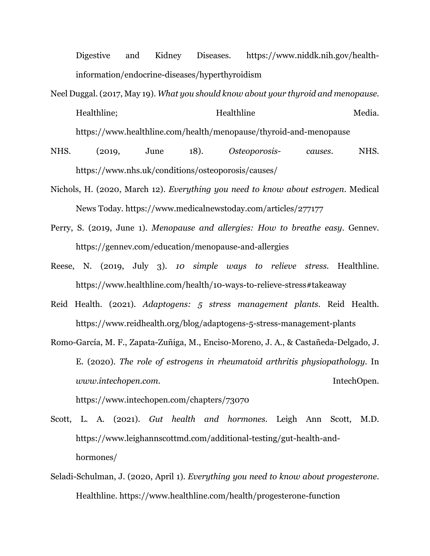Digestive and Kidney Diseases. https://www.niddk.nih.gov/healthinformation/endocrine-diseases/hyperthyroidism

- Neel Duggal. (2017, May 19). *What you should know about your thyroid and menopause*. Healthline: Healthline Media. https://www.healthline.com/health/menopause/thyroid-and-menopause
- NHS. (2019, June 18). *Osteoporosis- causes*. NHS. https://www.nhs.uk/conditions/osteoporosis/causes/
- Nichols, H. (2020, March 12). *Everything you need to know about estrogen*. Medical News Today. https://www.medicalnewstoday.com/articles/277177
- Perry, S. (2019, June 1). *Menopause and allergies: How to breathe easy*. Gennev. https://gennev.com/education/menopause-and-allergies
- Reese, N. (2019, July 3). *10 simple ways to relieve stress*. Healthline. https://www.healthline.com/health/10-ways-to-relieve-stress#takeaway
- Reid Health. (2021). *Adaptogens: 5 stress management plants*. Reid Health. https://www.reidhealth.org/blog/adaptogens-5-stress-management-plants
- Romo-García, M. F., Zapata-Zuñiga, M., Enciso-Moreno, J. A., & Castañeda-Delgado, J. E. (2020). *The role of estrogens in rheumatoid arthritis physiopathology*. In *www.intechopen.com*. IntechOpen. https://www.intechopen.com/chapters/73070
- Scott, L. A. (2021). *Gut health and hormones*. Leigh Ann Scott, M.D. https://www.leighannscottmd.com/additional-testing/gut-health-andhormones/
- Seladi-Schulman, J. (2020, April 1). *Everything you need to know about progesterone*. Healthline. https://www.healthline.com/health/progesterone-function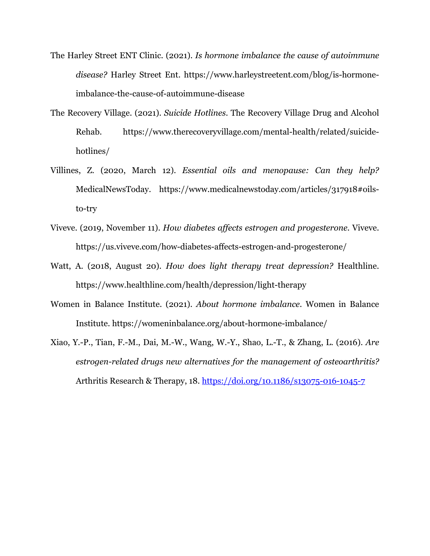- The Harley Street ENT Clinic. (2021). *Is hormone imbalance the cause of autoimmune disease?* Harley Street Ent. https://www.harleystreetent.com/blog/is-hormoneimbalance-the-cause-of-autoimmune-disease
- The Recovery Village. (2021). *Suicide Hotlines*. The Recovery Village Drug and Alcohol Rehab. https://www.therecoveryvillage.com/mental-health/related/suicidehotlines/
- Villines, Z. (2020, March 12). *Essential oils and menopause: Can they help?* MedicalNewsToday. https://www.medicalnewstoday.com/articles/317918#oilsto-try
- Viveve. (2019, November 11). *How diabetes affects estrogen and progesterone*. Viveve. https://us.viveve.com/how-diabetes-affects-estrogen-and-progesterone/
- Watt, A. (2018, August 20). *How does light therapy treat depression?* Healthline. https://www.healthline.com/health/depression/light-therapy
- Women in Balance Institute. (2021). *About hormone imbalance*. Women in Balance Institute. https://womeninbalance.org/about-hormone-imbalance/
- Xiao, Y.-P., Tian, F.-M., Dai, M.-W., Wang, W.-Y., Shao, L.-T., & Zhang, L. (2016). *Are estrogen-related drugs new alternatives for the management of osteoarthritis?* Arthritis Research & Therapy, 18. https://doi.org/10.1186/s13075-016-1045-7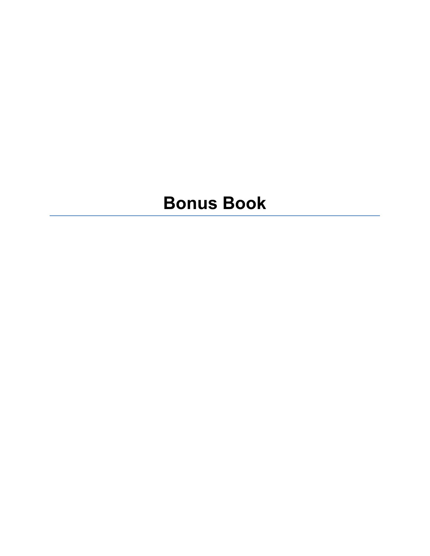# **Bonus Book**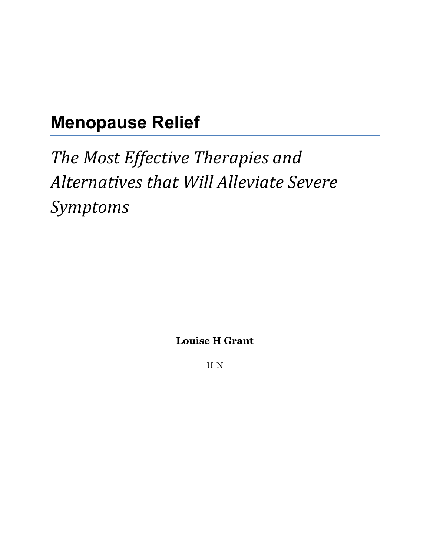# **Menopause Relief**

**The Most Effective Therapies and** Alternatives that Will Alleviate Severe *Symptoms*

**Louise H Grant**

H|N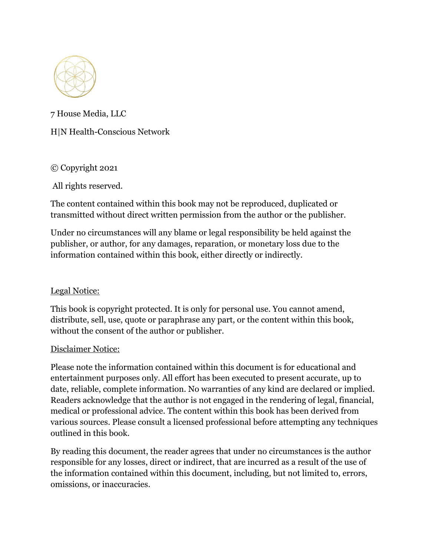

7 House Media, LLC

H|N Health-Conscious Network

© Copyright 2021

All rights reserved.

The content contained within this book may not be reproduced, duplicated or transmitted without direct written permission from the author or the publisher.

Under no circumstances will any blame or legal responsibility be held against the publisher, or author, for any damages, reparation, or monetary loss due to the information contained within this book, either directly or indirectly.

#### Legal Notice:

This book is copyright protected. It is only for personal use. You cannot amend, distribute, sell, use, quote or paraphrase any part, or the content within this book, without the consent of the author or publisher.

#### Disclaimer Notice:

Please note the information contained within this document is for educational and entertainment purposes only. All effort has been executed to present accurate, up to date, reliable, complete information. No warranties of any kind are declared or implied. Readers acknowledge that the author is not engaged in the rendering of legal, financial, medical or professional advice. The content within this book has been derived from various sources. Please consult a licensed professional before attempting any techniques outlined in this book.

By reading this document, the reader agrees that under no circumstances is the author responsible for any losses, direct or indirect, that are incurred as a result of the use of the information contained within this document, including, but not limited to, errors, omissions, or inaccuracies.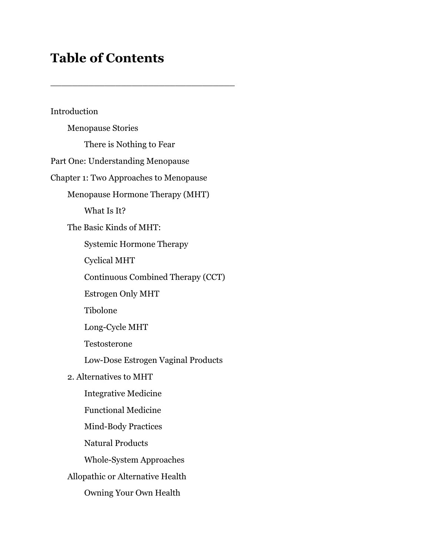# **Table of Contents**

\_\_\_\_\_\_\_\_\_\_\_\_\_\_\_\_\_\_\_\_\_\_\_\_\_\_\_\_\_\_\_\_\_\_

Introduction Menopause Stories There is Nothing to Fear Part One: Understanding Menopause Chapter 1: Two Approaches to Menopause Menopause Hormone Therapy (MHT) What Is It? The Basic Kinds of MHT: Systemic Hormone Therapy Cyclical MHT Continuous Combined Therapy (CCT) Estrogen Only MHT Tibolone Long-Cycle MHT Testosterone Low-Dose Estrogen Vaginal Products 2. Alternatives to MHT Integrative Medicine Functional Medicine Mind-Body Practices Natural Products Whole-System Approaches Allopathic or Alternative Health Owning Your Own Health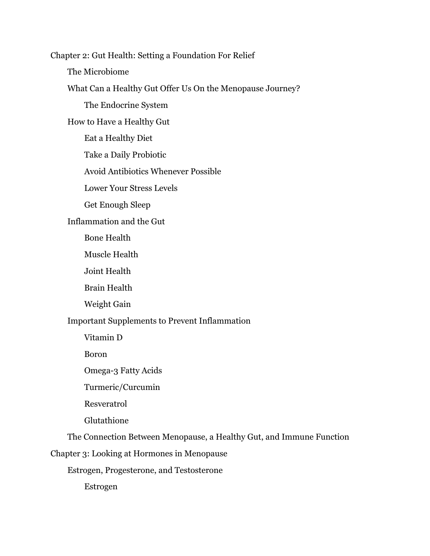Chapter 2: Gut Health: Setting a Foundation For Relief The Microbiome What Can a Healthy Gut Offer Us On the Menopause Journey? The Endocrine System How to Have a Healthy Gut Eat a Healthy Diet Take a Daily Probiotic Avoid Antibiotics Whenever Possible Lower Your Stress Levels Get Enough Sleep Inflammation and the Gut Bone Health Muscle Health Joint Health Brain Health Weight Gain Important Supplements to Prevent Inflammation Vitamin D Boron Omega-3 Fatty Acids Turmeric/Curcumin Resveratrol Glutathione The Connection Between Menopause, a Healthy Gut, and Immune Function Chapter 3: Looking at Hormones in Menopause Estrogen, Progesterone, and Testosterone

Estrogen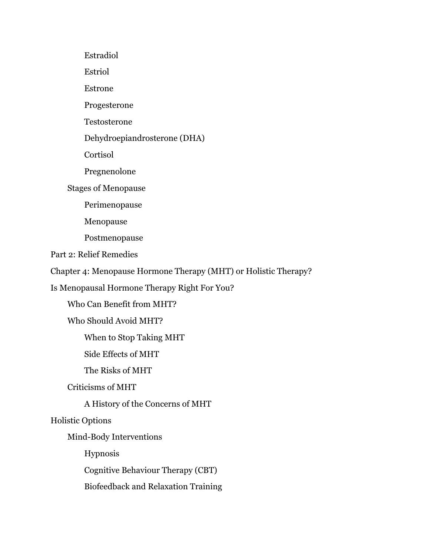Estradiol Estriol Estrone Progesterone Testosterone Dehydroepiandrosterone (DHA) Cortisol Pregnenolone Stages of Menopause Perimenopause Menopause Postmenopause Part 2: Relief Remedies Chapter 4: Menopause Hormone Therapy (MHT) or Holistic Therapy? Is Menopausal Hormone Therapy Right For You? Who Can Benefit from MHT? Who Should Avoid MHT? When to Stop Taking MHT Side Effects of MHT The Risks of MHT Criticisms of MHT A History of the Concerns of MHT Holistic Options Mind-Body Interventions Hypnosis Cognitive Behaviour Therapy (CBT) Biofeedback and Relaxation Training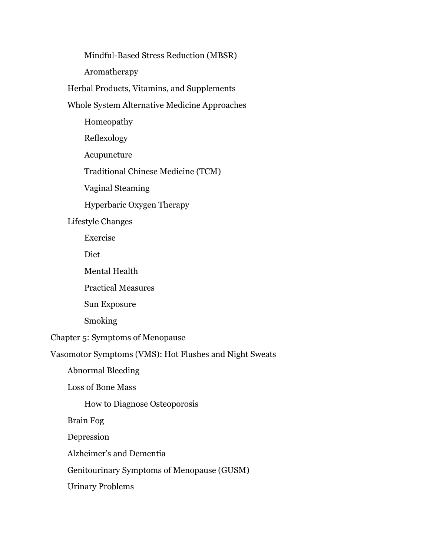Mindful-Based Stress Reduction (MBSR)

Aromatherapy

Herbal Products, Vitamins, and Supplements

### Whole System Alternative Medicine Approaches

Homeopathy

Reflexology

Acupuncture

Traditional Chinese Medicine (TCM)

Vaginal Steaming

Hyperbaric Oxygen Therapy

#### Lifestyle Changes

Exercise

Diet

Mental Health

Practical Measures

Sun Exposure

**Smoking** 

Chapter 5: Symptoms of Menopause

Vasomotor Symptoms (VMS): Hot Flushes and Night Sweats

Abnormal Bleeding

Loss of Bone Mass

How to Diagnose Osteoporosis

Brain Fog

Depression

Alzheimer's and Dementia

Genitourinary Symptoms of Menopause (GUSM)

Urinary Problems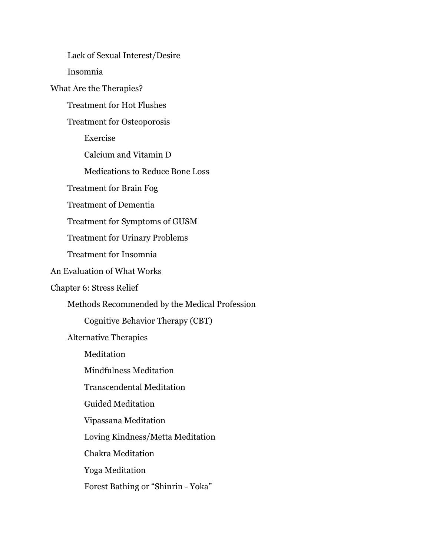Lack of Sexual Interest/Desire Insomnia What Are the Therapies? Treatment for Hot Flushes Treatment for Osteoporosis Exercise Calcium and Vitamin D Medications to Reduce Bone Loss Treatment for Brain Fog Treatment of Dementia Treatment for Symptoms of GUSM Treatment for Urinary Problems Treatment for Insomnia An Evaluation of What Works Chapter 6: Stress Relief Methods Recommended by the Medical Profession Cognitive Behavior Therapy (CBT) Alternative Therapies **Meditation** Mindfulness Meditation Transcendental Meditation Guided Meditation Vipassana Meditation Loving Kindness/Metta Meditation Chakra Meditation Yoga Meditation Forest Bathing or "Shinrin - Yoka"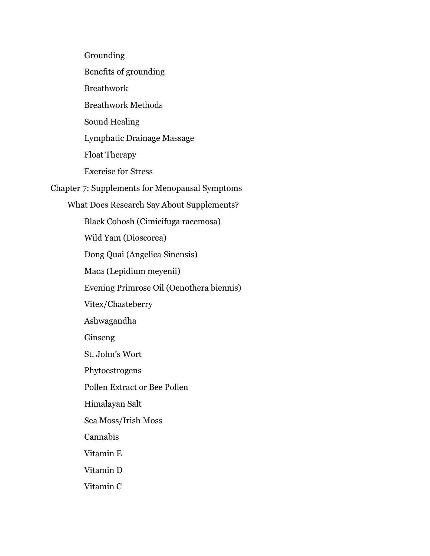Grounding

Benefits of grounding

**Breathwork** 

Breathwork Methods

Sound Healing

Lymphatic Drainage Massage

Float Therapy

Exercise for Stress

Chapter 7: Supplements for Menopausal Symptoms

What Does Research Say About Supplements?

Black Cohosh (Cimicifuga racemosa)

Wild Yam (Dioscorea)

Dong Quai (Angelica Sinensis)

Maca (Lepidium meyenii)

Evening Primrose Oil (Oenothera biennis)

Vitex/Chasteberry

Ashwagandha

Ginseng

St. John's Wort

Phytoestrogens

Pollen Extract or Bee Pollen

Himalayan Salt

Sea Moss/Irish Moss

Cannabis

Vitamin E

Vitamin D

Vitamin C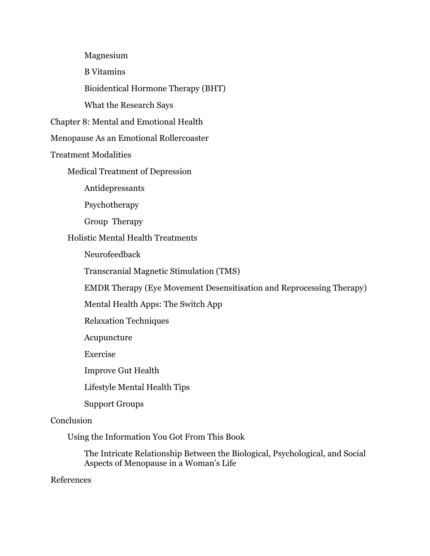Magnesium

B Vitamins

Bioidentical Hormone Therapy (BHT)

What the Research Says

Chapter 8: Mental and Emotional Health

Menopause As an Emotional Rollercoaster

Treatment Modalities

Medical Treatment of Depression

Antidepressants

Psychotherapy

Group Therapy

Holistic Mental Health Treatments

Neurofeedback

Transcranial Magnetic Stimulation (TMS)

EMDR Therapy (Eye Movement Desensitisation and Reprocessing Therapy)

Mental Health Apps: The Switch App

Relaxation Techniques

Acupuncture

Exercise

Improve Gut Health

Lifestyle Mental Health Tips

Support Groups

#### Conclusion

Using the Information You Got From This Book

The Intricate Relationship Between the Biological, Psychological, and Social Aspects of Menopause in a Woman's Life

References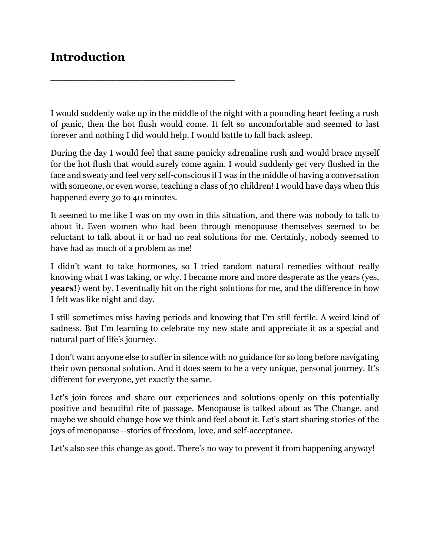### **Introduction**

\_\_\_\_\_\_\_\_\_\_\_\_\_\_\_\_\_\_\_\_\_\_\_\_\_\_\_\_\_\_\_\_\_\_

I would suddenly wake up in the middle of the night with a pounding heart feeling a rush of panic, then the hot flush would come. It felt so uncomfortable and seemed to last forever and nothing I did would help. I would battle to fall back asleep.

During the day I would feel that same panicky adrenaline rush and would brace myself for the hot flush that would surely come again. I would suddenly get very flushed in the face and sweaty and feel very self-conscious if I was in the middle of having a conversation with someone, or even worse, teaching a class of 30 children! I would have days when this happened every 30 to 40 minutes.

It seemed to me like I was on my own in this situation, and there was nobody to talk to about it. Even women who had been through menopause themselves seemed to be reluctant to talk about it or had no real solutions for me. Certainly, nobody seemed to have had as much of a problem as me!

I didn't want to take hormones, so I tried random natural remedies without really knowing what I was taking, or why. I became more and more desperate as the years (yes, **years!**) went by. I eventually hit on the right solutions for me, and the difference in how I felt was like night and day.

I still sometimes miss having periods and knowing that I'm still fertile. A weird kind of sadness. But I'm learning to celebrate my new state and appreciate it as a special and natural part of life's journey.

I don't want anyone else to suffer in silence with no guidance for so long before navigating their own personal solution. And it does seem to be a very unique, personal journey. It's different for everyone, yet exactly the same.

Let's join forces and share our experiences and solutions openly on this potentially positive and beautiful rite of passage. Menopause is talked about as The Change, and maybe we should change how we think and feel about it. Let's start sharing stories of the joys of menopause—stories of freedom, love, and self-acceptance.

Let's also see this change as good. There's no way to prevent it from happening anyway!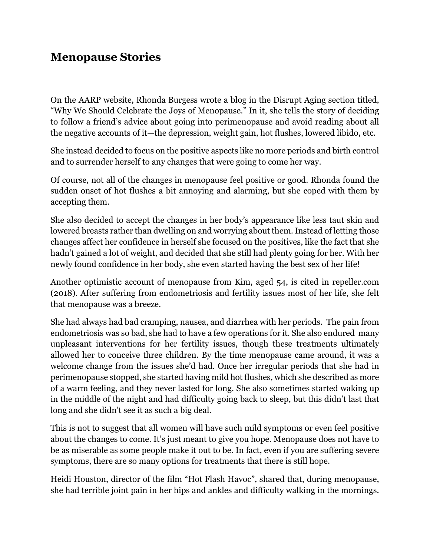### **Menopause Stories**

On the AARP website, Rhonda Burgess wrote a blog in the Disrupt Aging section titled, "Why We Should Celebrate the Joys of Menopause." In it, she tells the story of deciding to follow a friend's advice about going into perimenopause and avoid reading about all the negative accounts of it—the depression, weight gain, hot flushes, lowered libido, etc.

She instead decided to focus on the positive aspects like no more periods and birth control and to surrender herself to any changes that were going to come her way.

Of course, not all of the changes in menopause feel positive or good. Rhonda found the sudden onset of hot flushes a bit annoying and alarming, but she coped with them by accepting them.

She also decided to accept the changes in her body's appearance like less taut skin and lowered breasts rather than dwelling on and worrying about them. Instead of letting those changes affect her confidence in herself she focused on the positives, like the fact that she hadn't gained a lot of weight, and decided that she still had plenty going for her. With her newly found confidence in her body, she even started having the best sex of her life!

Another optimistic account of menopause from Kim, aged 54, is cited in repeller.com (2018). After suffering from endometriosis and fertility issues most of her life, she felt that menopause was a breeze.

She had always had bad cramping, nausea, and diarrhea with her periods. The pain from endometriosis was so bad, she had to have a few operations for it. She also endured many unpleasant interventions for her fertility issues, though these treatments ultimately allowed her to conceive three children. By the time menopause came around, it was a welcome change from the issues she'd had. Once her irregular periods that she had in perimenopause stopped, she started having mild hot flushes, which she described as more of a warm feeling, and they never lasted for long. She also sometimes started waking up in the middle of the night and had difficulty going back to sleep, but this didn't last that long and she didn't see it as such a big deal.

This is not to suggest that all women will have such mild symptoms or even feel positive about the changes to come. It's just meant to give you hope. Menopause does not have to be as miserable as some people make it out to be. In fact, even if you are suffering severe symptoms, there are so many options for treatments that there is still hope.

Heidi Houston, director of the film "Hot Flash Havoc", shared that, during menopause, she had terrible joint pain in her hips and ankles and difficulty walking in the mornings.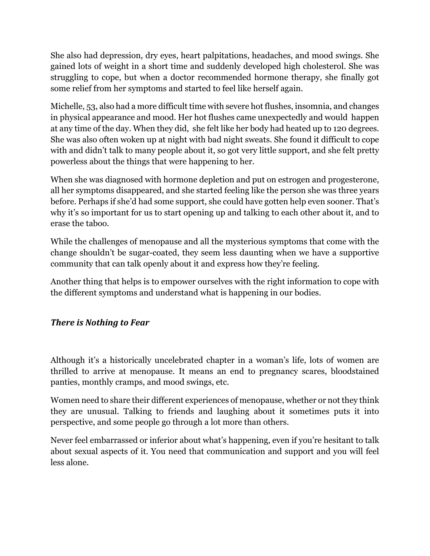She also had depression, dry eyes, heart palpitations, headaches, and mood swings. She gained lots of weight in a short time and suddenly developed high cholesterol. She was struggling to cope, but when a doctor recommended hormone therapy, she finally got some relief from her symptoms and started to feel like herself again.

Michelle, 53, also had a more difficult time with severe hot flushes, insomnia, and changes in physical appearance and mood. Her hot flushes came unexpectedly and would happen at any time of the day. When they did, she felt like her body had heated up to 120 degrees. She was also often woken up at night with bad night sweats. She found it difficult to cope with and didn't talk to many people about it, so got very little support, and she felt pretty powerless about the things that were happening to her.

When she was diagnosed with hormone depletion and put on estrogen and progesterone, all her symptoms disappeared, and she started feeling like the person she was three years before. Perhaps if she'd had some support, she could have gotten help even sooner. That's why it's so important for us to start opening up and talking to each other about it, and to erase the taboo.

While the challenges of menopause and all the mysterious symptoms that come with the change shouldn't be sugar-coated, they seem less daunting when we have a supportive community that can talk openly about it and express how they're feeling.

Another thing that helps is to empower ourselves with the right information to cope with the different symptoms and understand what is happening in our bodies.

### **There** is Nothing to Fear

Although it's a historically uncelebrated chapter in a woman's life, lots of women are thrilled to arrive at menopause. It means an end to pregnancy scares, bloodstained panties, monthly cramps, and mood swings, etc.

Women need to share their different experiences of menopause, whether or not they think they are unusual. Talking to friends and laughing about it sometimes puts it into perspective, and some people go through a lot more than others.

Never feel embarrassed or inferior about what's happening, even if you're hesitant to talk about sexual aspects of it. You need that communication and support and you will feel less alone.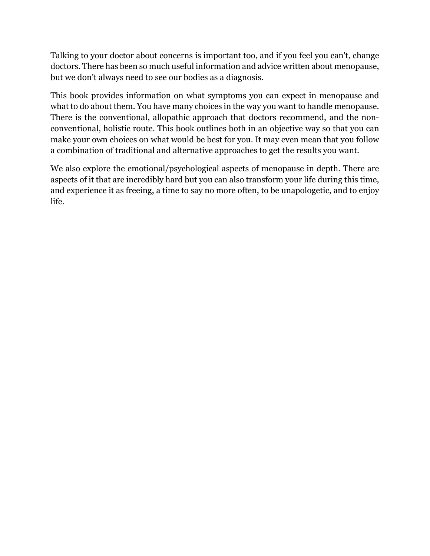Talking to your doctor about concerns is important too, and if you feel you can't, change doctors. There has been so much useful information and advice written about menopause, but we don't always need to see our bodies as a diagnosis.

This book provides information on what symptoms you can expect in menopause and what to do about them. You have many choices in the way you want to handle menopause. There is the conventional, allopathic approach that doctors recommend, and the nonconventional, holistic route. This book outlines both in an objective way so that you can make your own choices on what would be best for you. It may even mean that you follow a combination of traditional and alternative approaches to get the results you want.

We also explore the emotional/psychological aspects of menopause in depth. There are aspects of it that are incredibly hard but you can also transform your life during this time, and experience it as freeing, a time to say no more often, to be unapologetic, and to enjoy life.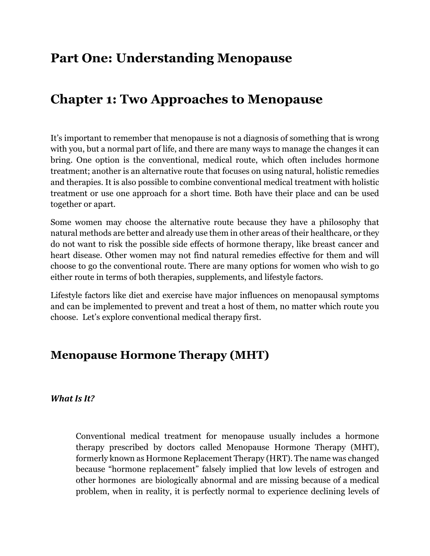# **Part One: Understanding Menopause**

# **Chapter 1: Two Approaches to Menopause**

It's important to remember that menopause is not a diagnosis of something that is wrong with you, but a normal part of life, and there are many ways to manage the changes it can bring. One option is the conventional, medical route, which often includes hormone treatment; another is an alternative route that focuses on using natural, holistic remedies and therapies. It is also possible to combine conventional medical treatment with holistic treatment or use one approach for a short time. Both have their place and can be used together or apart.

Some women may choose the alternative route because they have a philosophy that natural methods are better and already use them in other areas of their healthcare, or they do not want to risk the possible side effects of hormone therapy, like breast cancer and heart disease. Other women may not find natural remedies effective for them and will choose to go the conventional route. There are many options for women who wish to go either route in terms of both therapies, supplements, and lifestyle factors.

Lifestyle factors like diet and exercise have major influences on menopausal symptoms and can be implemented to prevent and treat a host of them, no matter which route you choose. Let's explore conventional medical therapy first.

### **Menopause Hormone Therapy (MHT)**

### *What Is It?*

Conventional medical treatment for menopause usually includes a hormone therapy prescribed by doctors called Menopause Hormone Therapy (MHT), formerly known as Hormone Replacement Therapy (HRT). The name was changed because "hormone replacement" falsely implied that low levels of estrogen and other hormones are biologically abnormal and are missing because of a medical problem, when in reality, it is perfectly normal to experience declining levels of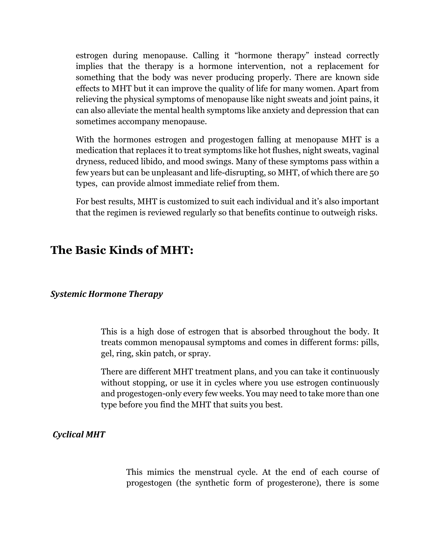estrogen during menopause. Calling it "hormone therapy" instead correctly implies that the therapy is a hormone intervention, not a replacement for something that the body was never producing properly. There are known side effects to MHT but it can improve the quality of life for many women. Apart from relieving the physical symptoms of menopause like night sweats and joint pains, it can also alleviate the mental health symptoms like anxiety and depression that can sometimes accompany menopause.

With the hormones estrogen and progestogen falling at menopause MHT is a medication that replaces it to treat symptoms like hot flushes, night sweats, vaginal dryness, reduced libido, and mood swings. Many of these symptoms pass within a few years but can be unpleasant and life-disrupting, so MHT, of which there are 50 types, can provide almost immediate relief from them.

For best results, MHT is customized to suit each individual and it's also important that the regimen is reviewed regularly so that benefits continue to outweigh risks.

### **The Basic Kinds of MHT:**

#### *Systemic Hormone Therapy*

This is a high dose of estrogen that is absorbed throughout the body. It treats common menopausal symptoms and comes in different forms: pills, gel, ring, skin patch, or spray.

There are different MHT treatment plans, and you can take it continuously without stopping, or use it in cycles where you use estrogen continuously and progestogen-only every few weeks. You may need to take more than one type before you find the MHT that suits you best.

### *Cyclical MHT*

This mimics the menstrual cycle. At the end of each course of progestogen (the synthetic form of progesterone), there is some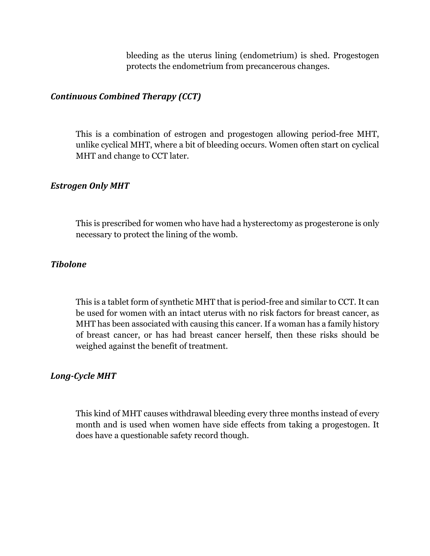bleeding as the uterus lining (endometrium) is shed. Progestogen protects the endometrium from precancerous changes.

### *Continuous Combined Therapy (CCT)*

This is a combination of estrogen and progestogen allowing period-free MHT, unlike cyclical MHT, where a bit of bleeding occurs. Women often start on cyclical MHT and change to CCT later.

#### **Estrogen Only MHT**

This is prescribed for women who have had a hysterectomy as progesterone is only necessary to protect the lining of the womb.

#### *Tibolone*

This is a tablet form of synthetic MHT that is period-free and similar to CCT. It can be used for women with an intact uterus with no risk factors for breast cancer, as MHT has been associated with causing this cancer. If a woman has a family history of breast cancer, or has had breast cancer herself, then these risks should be weighed against the benefit of treatment.

### Long-Cycle **MHT**

This kind of MHT causes withdrawal bleeding every three months instead of every month and is used when women have side effects from taking a progestogen. It does have a questionable safety record though.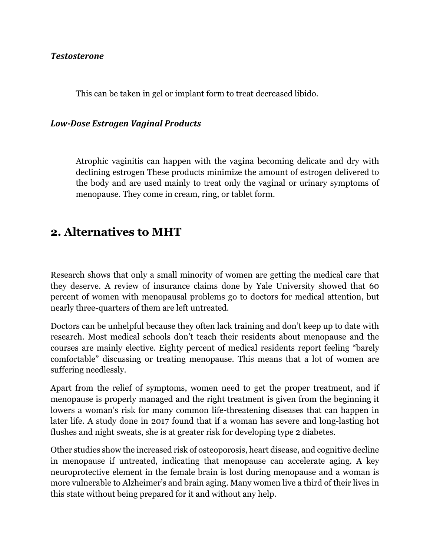#### *Testosterone*

This can be taken in gel or implant form to treat decreased libido.

#### *Low-Dose Estrogen Vaginal Products*

Atrophic vaginitis can happen with the vagina becoming delicate and dry with declining estrogen These products minimize the amount of estrogen delivered to the body and are used mainly to treat only the vaginal or urinary symptoms of menopause. They come in cream, ring, or tablet form.

### **2. Alternatives to MHT**

Research shows that only a small minority of women are getting the medical care that they deserve. A review of insurance claims done by Yale University showed that 60 percent of women with menopausal problems go to doctors for medical attention, but nearly three-quarters of them are left untreated.

Doctors can be unhelpful because they often lack training and don't keep up to date with research. Most medical schools don't teach their residents about menopause and the courses are mainly elective. Eighty percent of medical residents report feeling "barely comfortable" discussing or treating menopause. This means that a lot of women are suffering needlessly.

Apart from the relief of symptoms, women need to get the proper treatment, and if menopause is properly managed and the right treatment is given from the beginning it lowers a woman's risk for many common life-threatening diseases that can happen in later life. A study done in 2017 found that if a woman has severe and long-lasting hot flushes and night sweats, she is at greater risk for developing type 2 diabetes.

Other studies show the increased risk of osteoporosis, heart disease, and cognitive decline in menopause if untreated, indicating that menopause can accelerate aging. A key neuroprotective element in the female brain is lost during menopause and a woman is more vulnerable to Alzheimer's and brain aging. Many women live a third of their lives in this state without being prepared for it and without any help.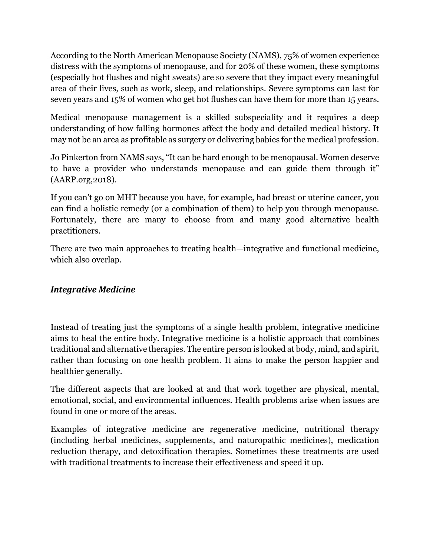According to the North American Menopause Society (NAMS), 75% of women experience distress with the symptoms of menopause, and for 20% of these women, these symptoms (especially hot flushes and night sweats) are so severe that they impact every meaningful area of their lives, such as work, sleep, and relationships. Severe symptoms can last for seven years and 15% of women who get hot flushes can have them for more than 15 years.

Medical menopause management is a skilled subspeciality and it requires a deep understanding of how falling hormones affect the body and detailed medical history. It may not be an area as profitable as surgery or delivering babies for the medical profession.

Jo Pinkerton from NAMS says, "It can be hard enough to be menopausal. Women deserve to have a provider who understands menopause and can guide them through it" (AARP.org,2018).

If you can't go on MHT because you have, for example, had breast or uterine cancer, you can find a holistic remedy (or a combination of them) to help you through menopause. Fortunately, there are many to choose from and many good alternative health practitioners.

There are two main approaches to treating health—integrative and functional medicine, which also overlap.

### *Integrative Medicine*

Instead of treating just the symptoms of a single health problem, integrative medicine aims to heal the entire body. Integrative medicine is a holistic approach that combines traditional and alternative therapies. The entire person is looked at body, mind, and spirit, rather than focusing on one health problem. It aims to make the person happier and healthier generally.

The different aspects that are looked at and that work together are physical, mental, emotional, social, and environmental influences. Health problems arise when issues are found in one or more of the areas.

Examples of integrative medicine are regenerative medicine, nutritional therapy (including herbal medicines, supplements, and naturopathic medicines), medication reduction therapy, and detoxification therapies. Sometimes these treatments are used with traditional treatments to increase their effectiveness and speed it up.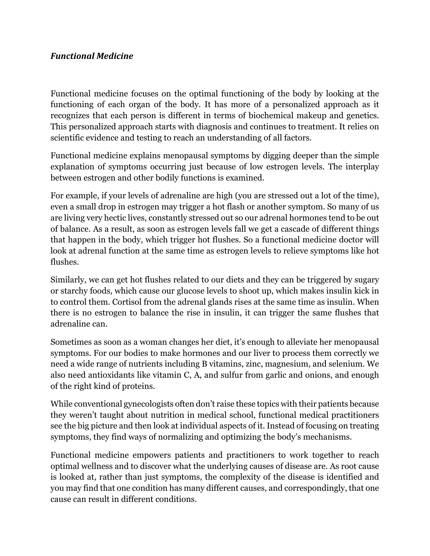### *Functional Medicine*

Functional medicine focuses on the optimal functioning of the body by looking at the functioning of each organ of the body. It has more of a personalized approach as it recognizes that each person is different in terms of biochemical makeup and genetics. This personalized approach starts with diagnosis and continues to treatment. It relies on scientific evidence and testing to reach an understanding of all factors.

Functional medicine explains menopausal symptoms by digging deeper than the simple explanation of symptoms occurring just because of low estrogen levels. The interplay between estrogen and other bodily functions is examined.

For example, if your levels of adrenaline are high (you are stressed out a lot of the time), even a small drop in estrogen may trigger a hot flash or another symptom. So many of us are living very hectic lives, constantly stressed out so our adrenal hormones tend to be out of balance. As a result, as soon as estrogen levels fall we get a cascade of different things that happen in the body, which trigger hot flushes. So a functional medicine doctor will look at adrenal function at the same time as estrogen levels to relieve symptoms like hot flushes.

Similarly, we can get hot flushes related to our diets and they can be triggered by sugary or starchy foods, which cause our glucose levels to shoot up, which makes insulin kick in to control them. Cortisol from the adrenal glands rises at the same time as insulin. When there is no estrogen to balance the rise in insulin, it can trigger the same flushes that adrenaline can.

Sometimes as soon as a woman changes her diet, it's enough to alleviate her menopausal symptoms. For our bodies to make hormones and our liver to process them correctly we need a wide range of nutrients including B vitamins, zinc, magnesium, and selenium. We also need antioxidants like vitamin C, A, and sulfur from garlic and onions, and enough of the right kind of proteins.

While conventional gynecologists often don't raise these topics with their patients because they weren't taught about nutrition in medical school, functional medical practitioners see the big picture and then look at individual aspects of it. Instead of focusing on treating symptoms, they find ways of normalizing and optimizing the body's mechanisms.

Functional medicine empowers patients and practitioners to work together to reach optimal wellness and to discover what the underlying causes of disease are. As root cause is looked at, rather than just symptoms, the complexity of the disease is identified and you may find that one condition has many different causes, and correspondingly, that one cause can result in different conditions.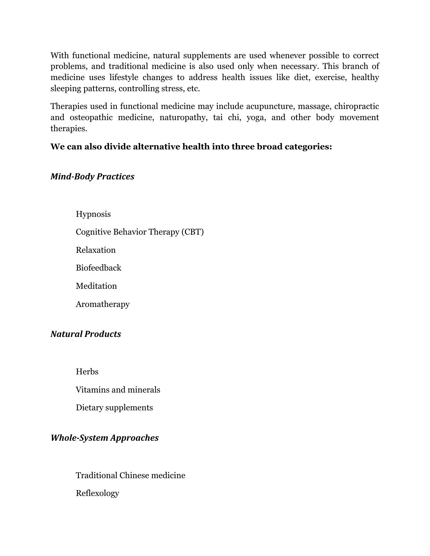With functional medicine, natural supplements are used whenever possible to correct problems, and traditional medicine is also used only when necessary. This branch of medicine uses lifestyle changes to address health issues like diet, exercise, healthy sleeping patterns, controlling stress, etc.

Therapies used in functional medicine may include acupuncture, massage, chiropractic and osteopathic medicine, naturopathy, tai chi, yoga, and other body movement therapies.

### **We can also divide alternative health into three broad categories:**

### *Mind-Body Practices*

Hypnosis Cognitive Behavior Therapy (CBT) Relaxation Biofeedback Meditation

Aromatherapy

### *Natural Products*

**Herbs** 

Vitamins and minerals

Dietary supplements

### *Whole-System Approaches*

Traditional Chinese medicine

Reflexology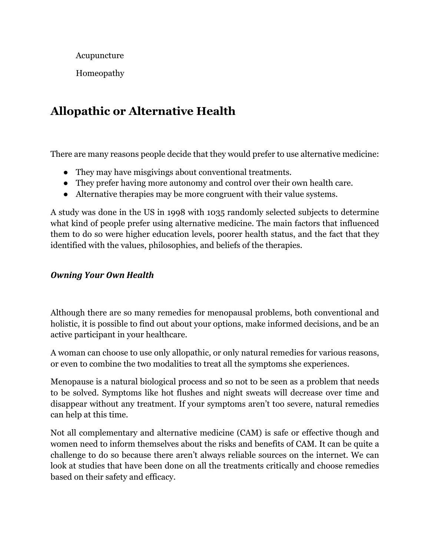Acupuncture

Homeopathy

### **Allopathic or Alternative Health**

There are many reasons people decide that they would prefer to use alternative medicine:

- They may have misgivings about conventional treatments.
- They prefer having more autonomy and control over their own health care.
- Alternative therapies may be more congruent with their value systems.

A study was done in the US in 1998 with 1035 randomly selected subjects to determine what kind of people prefer using alternative medicine. The main factors that influenced them to do so were higher education levels, poorer health status, and the fact that they identified with the values, philosophies, and beliefs of the therapies.

### *Owning Your Own Health*

Although there are so many remedies for menopausal problems, both conventional and holistic, it is possible to find out about your options, make informed decisions, and be an active participant in your healthcare.

A woman can choose to use only allopathic, or only natural remedies for various reasons, or even to combine the two modalities to treat all the symptoms she experiences.

Menopause is a natural biological process and so not to be seen as a problem that needs to be solved. Symptoms like hot flushes and night sweats will decrease over time and disappear without any treatment. If your symptoms aren't too severe, natural remedies can help at this time.

Not all complementary and alternative medicine (CAM) is safe or effective though and women need to inform themselves about the risks and benefits of CAM. It can be quite a challenge to do so because there aren't always reliable sources on the internet. We can look at studies that have been done on all the treatments critically and choose remedies based on their safety and efficacy.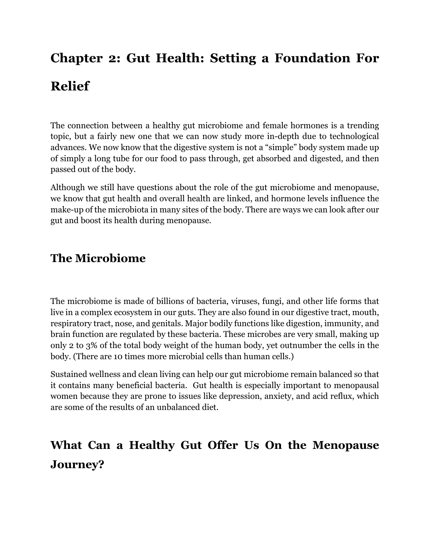# **Chapter 2: Gut Health: Setting a Foundation For Relief**

The connection between a healthy gut microbiome and female hormones is a trending topic, but a fairly new one that we can now study more in-depth due to technological advances. We now know that the digestive system is not a "simple" body system made up of simply a long tube for our food to pass through, get absorbed and digested, and then passed out of the body.

Although we still have questions about the role of the gut microbiome and menopause, we know that gut health and overall health are linked, and hormone levels influence the make-up of the microbiota in many sites of the body. There are ways we can look after our gut and boost its health during menopause.

### **The Microbiome**

The microbiome is made of billions of bacteria, viruses, fungi, and other life forms that live in a complex ecosystem in our guts. They are also found in our digestive tract, mouth, respiratory tract, nose, and genitals. Major bodily functions like digestion, immunity, and brain function are regulated by these bacteria. These microbes are very small, making up only 2 to 3% of the total body weight of the human body, yet outnumber the cells in the body. (There are 10 times more microbial cells than human cells.)

Sustained wellness and clean living can help our gut microbiome remain balanced so that it contains many beneficial bacteria. Gut health is especially important to menopausal women because they are prone to issues like depression, anxiety, and acid reflux, which are some of the results of an unbalanced diet.

# **What Can a Healthy Gut Offer Us On the Menopause Journey?**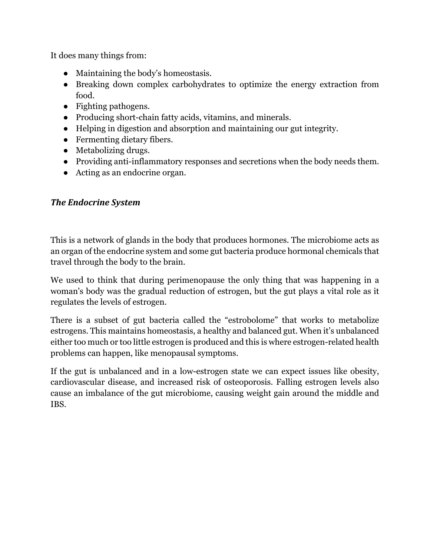It does many things from:

- Maintaining the body's homeostasis.
- Breaking down complex carbohydrates to optimize the energy extraction from food.
- Fighting pathogens.
- Producing short-chain fatty acids, vitamins, and minerals.
- Helping in digestion and absorption and maintaining our gut integrity.
- Fermenting dietary fibers.
- Metabolizing drugs.
- Providing anti-inflammatory responses and secretions when the body needs them.
- Acting as an endocrine organ.

### **The Endocrine System**

This is a network of glands in the body that produces hormones. The microbiome acts as an organ of the endocrine system and some gut bacteria produce hormonal chemicals that travel through the body to the brain.

We used to think that during perimenopause the only thing that was happening in a woman's body was the gradual reduction of estrogen, but the gut plays a vital role as it regulates the levels of estrogen.

There is a subset of gut bacteria called the "estrobolome" that works to metabolize estrogens. This maintains homeostasis, a healthy and balanced gut. When it's unbalanced either too much or too little estrogen is produced and this is where estrogen-related health problems can happen, like menopausal symptoms.

If the gut is unbalanced and in a low-estrogen state we can expect issues like obesity, cardiovascular disease, and increased risk of osteoporosis. Falling estrogen levels also cause an imbalance of the gut microbiome, causing weight gain around the middle and IBS.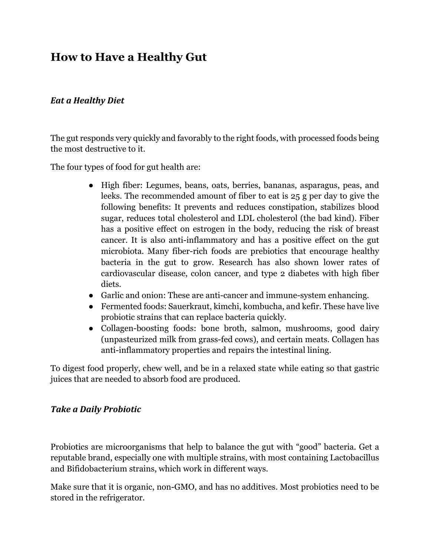### **How to Have a Healthy Gut**

### *Eat a Healthy Diet*

The gut responds very quickly and favorably to the right foods, with processed foods being the most destructive to it.

The four types of food for gut health are:

- High fiber: Legumes, beans, oats, berries, bananas, asparagus, peas, and leeks. The recommended amount of fiber to eat is 25 g per day to give the following benefits: It prevents and reduces constipation, stabilizes blood sugar, reduces total cholesterol and LDL cholesterol (the bad kind). Fiber has a positive effect on estrogen in the body, reducing the risk of breast cancer. It is also anti-inflammatory and has a positive effect on the gut microbiota. Many fiber-rich foods are prebiotics that encourage healthy bacteria in the gut to grow. Research has also shown lower rates of cardiovascular disease, colon cancer, and type 2 diabetes with high fiber diets.
- Garlic and onion: These are anti-cancer and immune-system enhancing.
- Fermented foods: Sauerkraut, kimchi, kombucha, and kefir. These have live probiotic strains that can replace bacteria quickly.
- Collagen-boosting foods: bone broth, salmon, mushrooms, good dairy (unpasteurized milk from grass-fed cows), and certain meats. Collagen has anti-inflammatory properties and repairs the intestinal lining.

To digest food properly, chew well, and be in a relaxed state while eating so that gastric juices that are needed to absorb food are produced.

### *Take a Daily Probiotic*

Probiotics are microorganisms that help to balance the gut with "good" bacteria. Get a reputable brand, especially one with multiple strains, with most containing Lactobacillus and Bifidobacterium strains, which work in different ways.

Make sure that it is organic, non-GMO, and has no additives. Most probiotics need to be stored in the refrigerator.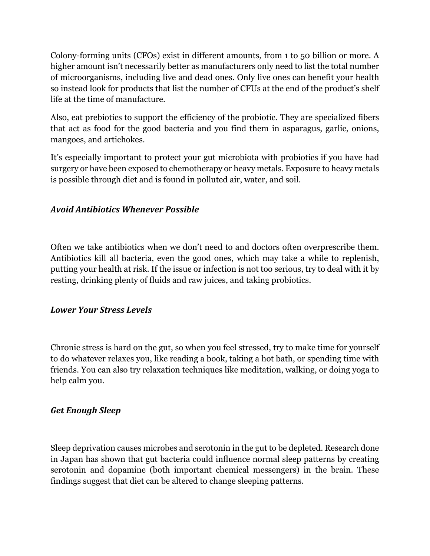Colony-forming units (CFOs) exist in different amounts, from 1 to 50 billion or more. A higher amount isn't necessarily better as manufacturers only need to list the total number of microorganisms, including live and dead ones. Only live ones can benefit your health so instead look for products that list the number of CFUs at the end of the product's shelf life at the time of manufacture.

Also, eat prebiotics to support the efficiency of the probiotic. They are specialized fibers that act as food for the good bacteria and you find them in asparagus, garlic, onions, mangoes, and artichokes.

It's especially important to protect your gut microbiota with probiotics if you have had surgery or have been exposed to chemotherapy or heavy metals. Exposure to heavy metals is possible through diet and is found in polluted air, water, and soil.

### *Avoid Antibiotics Whenever Possible*

Often we take antibiotics when we don't need to and doctors often overprescribe them. Antibiotics kill all bacteria, even the good ones, which may take a while to replenish, putting your health at risk. If the issue or infection is not too serious, try to deal with it by resting, drinking plenty of fluids and raw juices, and taking probiotics.

### *Lower Your Stress Levels*

Chronic stress is hard on the gut, so when you feel stressed, try to make time for yourself to do whatever relaxes you, like reading a book, taking a hot bath, or spending time with friends. You can also try relaxation techniques like meditation, walking, or doing yoga to help calm you.

### *Get Enough Sleep*

Sleep deprivation causes microbes and serotonin in the gut to be depleted. Research done in Japan has shown that gut bacteria could influence normal sleep patterns by creating serotonin and dopamine (both important chemical messengers) in the brain. These findings suggest that diet can be altered to change sleeping patterns.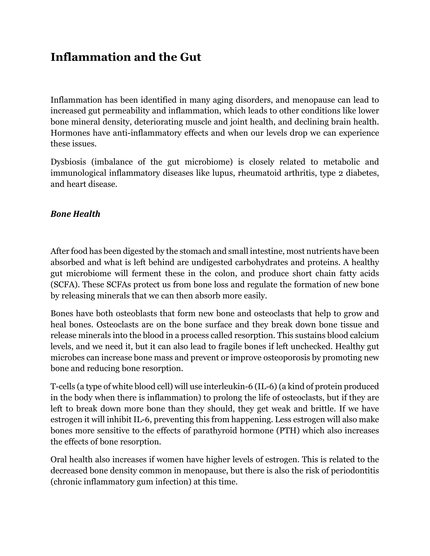### **Inflammation and the Gut**

Inflammation has been identified in many aging disorders, and menopause can lead to increased gut permeability and inflammation, which leads to other conditions like lower bone mineral density, deteriorating muscle and joint health, and declining brain health. Hormones have anti-inflammatory effects and when our levels drop we can experience these issues.

Dysbiosis (imbalance of the gut microbiome) is closely related to metabolic and immunological inflammatory diseases like lupus, rheumatoid arthritis, type 2 diabetes, and heart disease.

### *Bone Health*

After food has been digested by the stomach and small intestine, most nutrients have been absorbed and what is left behind are undigested carbohydrates and proteins. A healthy gut microbiome will ferment these in the colon, and produce short chain fatty acids (SCFA). These SCFAs protect us from bone loss and regulate the formation of new bone by releasing minerals that we can then absorb more easily.

Bones have both osteoblasts that form new bone and osteoclasts that help to grow and heal bones. Osteoclasts are on the bone surface and they break down bone tissue and release minerals into the blood in a process called resorption. This sustains blood calcium levels, and we need it, but it can also lead to fragile bones if left unchecked. Healthy gut microbes can increase bone mass and prevent or improve osteoporosis by promoting new bone and reducing bone resorption.

T-cells (a type of white blood cell) will use interleukin-6 (IL-6) (a kind of protein produced in the body when there is inflammation) to prolong the life of osteoclasts, but if they are left to break down more bone than they should, they get weak and brittle. If we have estrogen it will inhibit IL-6, preventing this from happening. Less estrogen will also make bones more sensitive to the effects of parathyroid hormone (PTH) which also increases the effects of bone resorption.

Oral health also increases if women have higher levels of estrogen. This is related to the decreased bone density common in menopause, but there is also the risk of periodontitis (chronic inflammatory gum infection) at this time.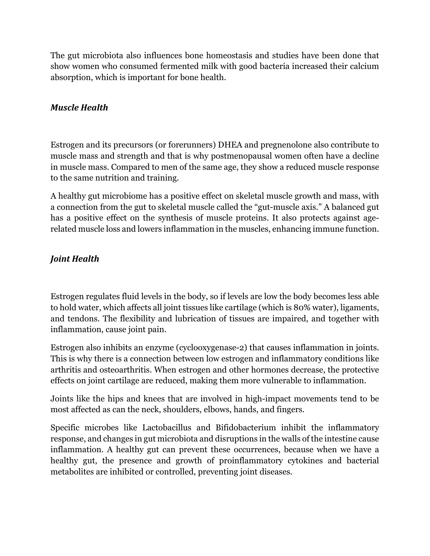The gut microbiota also influences bone homeostasis and studies have been done that show women who consumed fermented milk with good bacteria increased their calcium absorption, which is important for bone health.

### *Muscle Health*

Estrogen and its precursors (or forerunners) DHEA and pregnenolone also contribute to muscle mass and strength and that is why postmenopausal women often have a decline in muscle mass. Compared to men of the same age, they show a reduced muscle response to the same nutrition and training.

A healthy gut microbiome has a positive effect on skeletal muscle growth and mass, with a connection from the gut to skeletal muscle called the "gut-muscle axis." A balanced gut has a positive effect on the synthesis of muscle proteins. It also protects against agerelated muscle loss and lowers inflammation in the muscles, enhancing immune function.

### *Joint Health*

Estrogen regulates fluid levels in the body, so if levels are low the body becomes less able to hold water, which affects all joint tissues like cartilage (which is 80% water), ligaments, and tendons. The flexibility and lubrication of tissues are impaired, and together with inflammation, cause joint pain.

Estrogen also inhibits an enzyme (cyclooxygenase-2) that causes inflammation in joints. This is why there is a connection between low estrogen and inflammatory conditions like arthritis and osteoarthritis. When estrogen and other hormones decrease, the protective effects on joint cartilage are reduced, making them more vulnerable to inflammation.

Joints like the hips and knees that are involved in high-impact movements tend to be most affected as can the neck, shoulders, elbows, hands, and fingers.

Specific microbes like Lactobacillus and Bifidobacterium inhibit the inflammatory response, and changes in gut microbiota and disruptions in the walls of the intestine cause inflammation. A healthy gut can prevent these occurrences, because when we have a healthy gut, the presence and growth of proinflammatory cytokines and bacterial metabolites are inhibited or controlled, preventing joint diseases.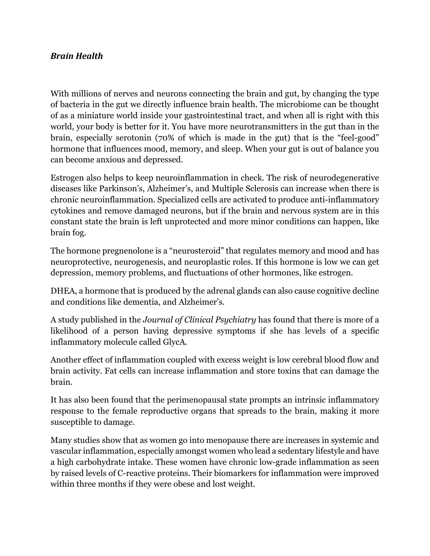### *Brain Health*

With millions of nerves and neurons connecting the brain and gut, by changing the type of bacteria in the gut we directly influence brain health. The microbiome can be thought of as a miniature world inside your gastrointestinal tract, and when all is right with this world, your body is better for it. You have more neurotransmitters in the gut than in the brain, especially serotonin (70% of which is made in the gut) that is the "feel-good" hormone that influences mood, memory, and sleep. When your gut is out of balance you can become anxious and depressed.

Estrogen also helps to keep neuroinflammation in check. The risk of neurodegenerative diseases like Parkinson's, Alzheimer's, and Multiple Sclerosis can increase when there is chronic neuroinflammation. Specialized cells are activated to produce anti-inflammatory cytokines and remove damaged neurons, but if the brain and nervous system are in this constant state the brain is left unprotected and more minor conditions can happen, like brain fog.

The hormone pregnenolone is a "neurosteroid" that regulates memory and mood and has neuroprotective, neurogenesis, and neuroplastic roles. If this hormone is low we can get depression, memory problems, and fluctuations of other hormones, like estrogen.

DHEA, a hormone that is produced by the adrenal glands can also cause cognitive decline and conditions like dementia, and Alzheimer's.

A study published in the *Journal of Clinical Psychiatry* has found that there is more of a likelihood of a person having depressive symptoms if she has levels of a specific inflammatory molecule called GlycA.

Another effect of inflammation coupled with excess weight is low cerebral blood flow and brain activity. Fat cells can increase inflammation and store toxins that can damage the brain.

It has also been found that the perimenopausal state prompts an intrinsic inflammatory response to the female reproductive organs that spreads to the brain, making it more susceptible to damage.

Many studies show that as women go into menopause there are increases in systemic and vascular inflammation, especially amongst women who lead a sedentary lifestyle and have a high carbohydrate intake. These women have chronic low-grade inflammation as seen by raised levels of C-reactive proteins. Their biomarkers for inflammation were improved within three months if they were obese and lost weight.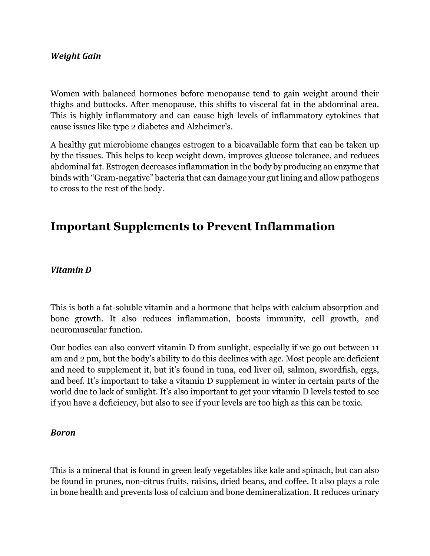### *Weight Gain*

Women with balanced hormones before menopause tend to gain weight around their thighs and buttocks. After menopause, this shifts to visceral fat in the abdominal area. This is highly inflammatory and can cause high levels of inflammatory cytokines that cause issues like type 2 diabetes and Alzheimer's.

A healthy gut microbiome changes estrogen to a bioavailable form that can be taken up by the tissues. This helps to keep weight down, improves glucose tolerance, and reduces abdominal fat. Estrogen decreases inflammation in the body by producing an enzyme that binds with "Gram-negative" bacteria that can damage your gut lining and allow pathogens to cross to the rest of the body.

### **Important Supplements to Prevent Inflammation**

#### *Vitamin D*

This is both a fat-soluble vitamin and a hormone that helps with calcium absorption and bone growth. It also reduces inflammation, boosts immunity, cell growth, and neuromuscular function.

Our bodies can also convert vitamin D from sunlight, especially if we go out between 11 am and 2 pm, but the body's ability to do this declines with age. Most people are deficient and need to supplement it, but it's found in tuna, cod liver oil, salmon, swordfish, eggs, and beef. It's important to take a vitamin D supplement in winter in certain parts of the world due to lack of sunlight. It's also important to get your vitamin D levels tested to see if you have a deficiency, but also to see if your levels are too high as this can be toxic.

#### *Boron*

This is a mineral that is found in green leafy vegetables like kale and spinach, but can also be found in prunes, non-citrus fruits, raisins, dried beans, and coffee. It also plays a role in bone health and prevents loss of calcium and bone demineralization. It reduces urinary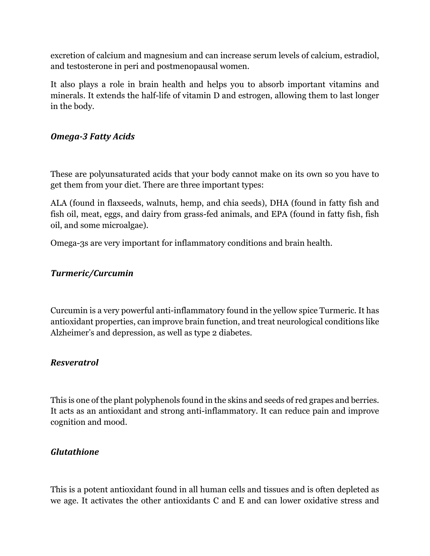excretion of calcium and magnesium and can increase serum levels of calcium, estradiol, and testosterone in peri and postmenopausal women.

It also plays a role in brain health and helps you to absorb important vitamins and minerals. It extends the half-life of vitamin D and estrogen, allowing them to last longer in the body.

### *Omega-3 Fatty Acids*

These are polyunsaturated acids that your body cannot make on its own so you have to get them from your diet. There are three important types:

ALA (found in flaxseeds, walnuts, hemp, and chia seeds), DHA (found in fatty fish and fish oil, meat, eggs, and dairy from grass-fed animals, and EPA (found in fatty fish, fish oil, and some microalgae).

Omega-3s are very important for inflammatory conditions and brain health.

### *Turmeric/Curcumin*

Curcumin is a very powerful anti-inflammatory found in the yellow spice Turmeric. It has antioxidant properties, can improve brain function, and treat neurological conditions like Alzheimer's and depression, as well as type 2 diabetes.

### *Resveratrol*

This is one of the plant polyphenols found in the skins and seeds of red grapes and berries. It acts as an antioxidant and strong anti-inflammatory. It can reduce pain and improve cognition and mood.

### *Glutathione*

This is a potent antioxidant found in all human cells and tissues and is often depleted as we age. It activates the other antioxidants C and E and can lower oxidative stress and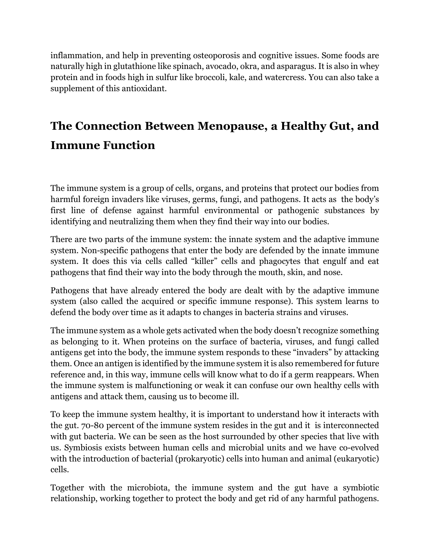inflammation, and help in preventing osteoporosis and cognitive issues. Some foods are naturally high in glutathione like spinach, avocado, okra, and asparagus. It is also in whey protein and in foods high in sulfur like broccoli, kale, and watercress. You can also take a supplement of this antioxidant.

# **The Connection Between Menopause, a Healthy Gut, and Immune Function**

The immune system is a group of cells, organs, and proteins that protect our bodies from harmful foreign invaders like viruses, germs, fungi, and pathogens. It acts as the body's first line of defense against harmful environmental or pathogenic substances by identifying and neutralizing them when they find their way into our bodies.

There are two parts of the immune system: the innate system and the adaptive immune system. Non-specific pathogens that enter the body are defended by the innate immune system. It does this via cells called "killer" cells and phagocytes that engulf and eat pathogens that find their way into the body through the mouth, skin, and nose.

Pathogens that have already entered the body are dealt with by the adaptive immune system (also called the acquired or specific immune response). This system learns to defend the body over time as it adapts to changes in bacteria strains and viruses.

The immune system as a whole gets activated when the body doesn't recognize something as belonging to it. When proteins on the surface of bacteria, viruses, and fungi called antigens get into the body, the immune system responds to these "invaders" by attacking them. Once an antigen is identified by the immune system it is also remembered for future reference and, in this way, immune cells will know what to do if a germ reappears. When the immune system is malfunctioning or weak it can confuse our own healthy cells with antigens and attack them, causing us to become ill.

To keep the immune system healthy, it is important to understand how it interacts with the gut. 70-80 percent of the immune system resides in the gut and it is interconnected with gut bacteria. We can be seen as the host surrounded by other species that live with us. Symbiosis exists between human cells and microbial units and we have co-evolved with the introduction of bacterial (prokaryotic) cells into human and animal (eukaryotic) cells.

Together with the microbiota, the immune system and the gut have a symbiotic relationship, working together to protect the body and get rid of any harmful pathogens.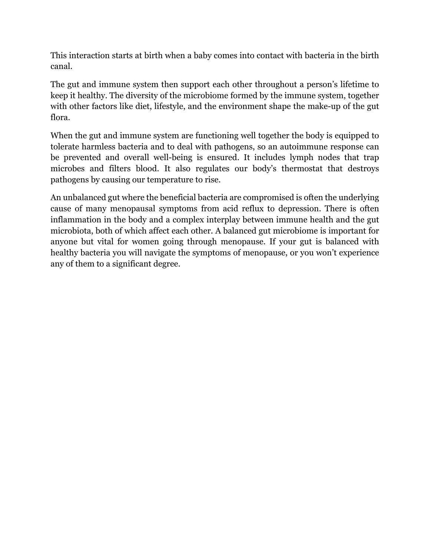This interaction starts at birth when a baby comes into contact with bacteria in the birth canal.

The gut and immune system then support each other throughout a person's lifetime to keep it healthy. The diversity of the microbiome formed by the immune system, together with other factors like diet, lifestyle, and the environment shape the make-up of the gut flora.

When the gut and immune system are functioning well together the body is equipped to tolerate harmless bacteria and to deal with pathogens, so an autoimmune response can be prevented and overall well-being is ensured. It includes lymph nodes that trap microbes and filters blood. It also regulates our body's thermostat that destroys pathogens by causing our temperature to rise.

An unbalanced gut where the beneficial bacteria are compromised is often the underlying cause of many menopausal symptoms from acid reflux to depression. There is often inflammation in the body and a complex interplay between immune health and the gut microbiota, both of which affect each other. A balanced gut microbiome is important for anyone but vital for women going through menopause. If your gut is balanced with healthy bacteria you will navigate the symptoms of menopause, or you won't experience any of them to a significant degree.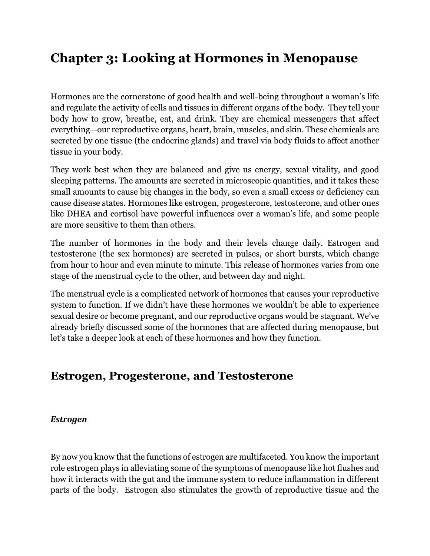# **Chapter 3: Looking at Hormones in Menopause**

Hormones are the cornerstone of good health and well-being throughout a woman's life and regulate the activity of cells and tissues in different organs of the body. They tell your body how to grow, breathe, eat, and drink. They are chemical messengers that affect everything—our reproductive organs, heart, brain, muscles, and skin. These chemicals are secreted by one tissue (the endocrine glands) and travel via body fluids to affect another tissue in your body.

They work best when they are balanced and give us energy, sexual vitality, and good sleeping patterns. The amounts are secreted in microscopic quantities, and it takes these small amounts to cause big changes in the body, so even a small excess or deficiency can cause disease states. Hormones like estrogen, progesterone, testosterone, and other ones like DHEA and cortisol have powerful influences over a woman's life, and some people are more sensitive to them than others.

The number of hormones in the body and their levels change daily. Estrogen and testosterone (the sex hormones) are secreted in pulses, or short bursts, which change from hour to hour and even minute to minute. This release of hormones varies from one stage of the menstrual cycle to the other, and between day and night.

The menstrual cycle is a complicated network of hormones that causes your reproductive system to function. If we didn't have these hormones we wouldn't be able to experience sexual desire or become pregnant, and our reproductive organs would be stagnant. We've already briefly discussed some of the hormones that are affected during menopause, but let's take a deeper look at each of these hormones and how they function.

### **Estrogen, Progesterone, and Testosterone**

### *Estrogen*

By now you know that the functions of estrogen are multifaceted. You know the important role estrogen plays in alleviating some of the symptoms of menopause like hot flushes and how it interacts with the gut and the immune system to reduce inflammation in different parts of the body. Estrogen also stimulates the growth of reproductive tissue and the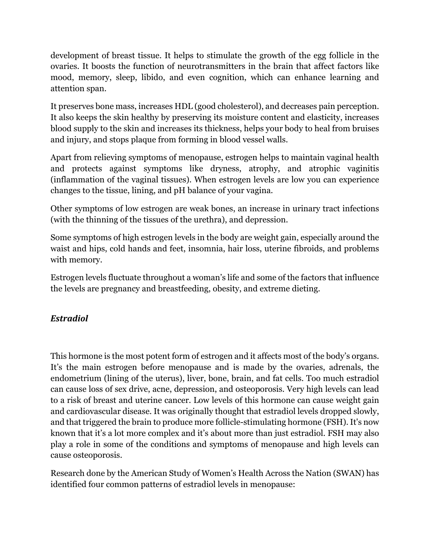development of breast tissue. It helps to stimulate the growth of the egg follicle in the ovaries. It boosts the function of neurotransmitters in the brain that affect factors like mood, memory, sleep, libido, and even cognition, which can enhance learning and attention span.

It preserves bone mass, increases HDL (good cholesterol), and decreases pain perception. It also keeps the skin healthy by preserving its moisture content and elasticity, increases blood supply to the skin and increases its thickness, helps your body to heal from bruises and injury, and stops plaque from forming in blood vessel walls.

Apart from relieving symptoms of menopause, estrogen helps to maintain vaginal health and protects against symptoms like dryness, atrophy, and atrophic vaginitis (inflammation of the vaginal tissues). When estrogen levels are low you can experience changes to the tissue, lining, and pH balance of your vagina.

Other symptoms of low estrogen are weak bones, an increase in urinary tract infections (with the thinning of the tissues of the urethra), and depression.

Some symptoms of high estrogen levels in the body are weight gain, especially around the waist and hips, cold hands and feet, insomnia, hair loss, uterine fibroids, and problems with memory.

Estrogen levels fluctuate throughout a woman's life and some of the factors that influence the levels are pregnancy and breastfeeding, obesity, and extreme dieting.

### *Estradiol*

This hormone is the most potent form of estrogen and it affects most of the body's organs. It's the main estrogen before menopause and is made by the ovaries, adrenals, the endometrium (lining of the uterus), liver, bone, brain, and fat cells. Too much estradiol can cause loss of sex drive, acne, depression, and osteoporosis. Very high levels can lead to a risk of breast and uterine cancer. Low levels of this hormone can cause weight gain and cardiovascular disease. It was originally thought that estradiol levels dropped slowly, and that triggered the brain to produce more follicle-stimulating hormone (FSH). It's now known that it's a lot more complex and it's about more than just estradiol. FSH may also play a role in some of the conditions and symptoms of menopause and high levels can cause osteoporosis.

Research done by the American Study of Women's Health Across the Nation (SWAN) has identified four common patterns of estradiol levels in menopause: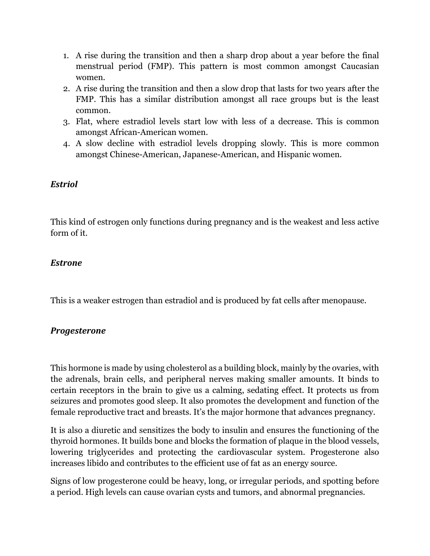- 1. A rise during the transition and then a sharp drop about a year before the final menstrual period (FMP). This pattern is most common amongst Caucasian women.
- 2. A rise during the transition and then a slow drop that lasts for two years after the FMP. This has a similar distribution amongst all race groups but is the least common.
- 3. Flat, where estradiol levels start low with less of a decrease. This is common amongst African-American women.
- 4. A slow decline with estradiol levels dropping slowly. This is more common amongst Chinese-American, Japanese-American, and Hispanic women.

### *Estriol*

This kind of estrogen only functions during pregnancy and is the weakest and less active form of it.

### *Estrone*

This is a weaker estrogen than estradiol and is produced by fat cells after menopause.

### *Progesterone*

This hormone is made by using cholesterol as a building block, mainly by the ovaries, with the adrenals, brain cells, and peripheral nerves making smaller amounts. It binds to certain receptors in the brain to give us a calming, sedating effect. It protects us from seizures and promotes good sleep. It also promotes the development and function of the female reproductive tract and breasts. It's the major hormone that advances pregnancy.

It is also a diuretic and sensitizes the body to insulin and ensures the functioning of the thyroid hormones. It builds bone and blocks the formation of plaque in the blood vessels, lowering triglycerides and protecting the cardiovascular system. Progesterone also increases libido and contributes to the efficient use of fat as an energy source.

Signs of low progesterone could be heavy, long, or irregular periods, and spotting before a period. High levels can cause ovarian cysts and tumors, and abnormal pregnancies.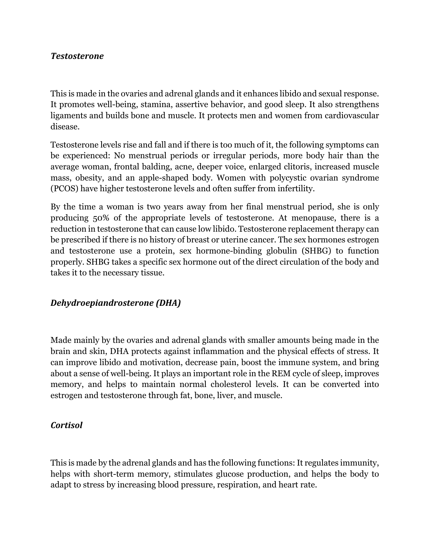#### *Testosterone*

This is made in the ovaries and adrenal glands and it enhances libido and sexual response. It promotes well-being, stamina, assertive behavior, and good sleep. It also strengthens ligaments and builds bone and muscle. It protects men and women from cardiovascular disease.

Testosterone levels rise and fall and if there is too much of it, the following symptoms can be experienced: No menstrual periods or irregular periods, more body hair than the average woman, frontal balding, acne, deeper voice, enlarged clitoris, increased muscle mass, obesity, and an apple-shaped body. Women with polycystic ovarian syndrome (PCOS) have higher testosterone levels and often suffer from infertility.

By the time a woman is two years away from her final menstrual period, she is only producing 50% of the appropriate levels of testosterone. At menopause, there is a reduction in testosterone that can cause low libido. Testosterone replacement therapy can be prescribed if there is no history of breast or uterine cancer. The sex hormones estrogen and testosterone use a protein, sex hormone-binding globulin (SHBG) to function properly. SHBG takes a specific sex hormone out of the direct circulation of the body and takes it to the necessary tissue.

### *Dehydroepiandrosterone (DHA)*

Made mainly by the ovaries and adrenal glands with smaller amounts being made in the brain and skin, DHA protects against inflammation and the physical effects of stress. It can improve libido and motivation, decrease pain, boost the immune system, and bring about a sense of well-being. It plays an important role in the REM cycle of sleep, improves memory, and helps to maintain normal cholesterol levels. It can be converted into estrogen and testosterone through fat, bone, liver, and muscle.

#### *Cortisol*

This is made by the adrenal glands and has the following functions: It regulates immunity, helps with short-term memory, stimulates glucose production, and helps the body to adapt to stress by increasing blood pressure, respiration, and heart rate.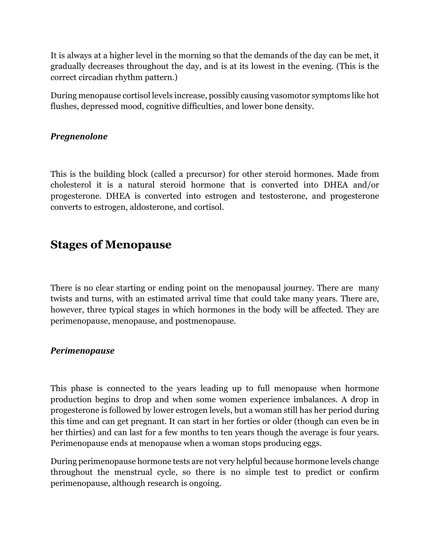It is always at a higher level in the morning so that the demands of the day can be met, it gradually decreases throughout the day, and is at its lowest in the evening. (This is the correct circadian rhythm pattern.)

During menopause cortisol levels increase, possibly causing vasomotor symptoms like hot flushes, depressed mood, cognitive difficulties, and lower bone density.

### *Pregnenolone*

This is the building block (called a precursor) for other steroid hormones. Made from cholesterol it is a natural steroid hormone that is converted into DHEA and/or progesterone. DHEA is converted into estrogen and testosterone, and progesterone converts to estrogen, aldosterone, and cortisol.

### **Stages of Menopause**

There is no clear starting or ending point on the menopausal journey. There are many twists and turns, with an estimated arrival time that could take many years. There are, however, three typical stages in which hormones in the body will be affected. They are perimenopause, menopause, and postmenopause.

### *Perimenopause*

This phase is connected to the years leading up to full menopause when hormone production begins to drop and when some women experience imbalances. A drop in progesterone is followed by lower estrogen levels, but a woman still has her period during this time and can get pregnant. It can start in her forties or older (though can even be in her thirties) and can last for a few months to ten years though the average is four years. Perimenopause ends at menopause when a woman stops producing eggs.

During perimenopause hormone tests are not very helpful because hormone levels change throughout the menstrual cycle, so there is no simple test to predict or confirm perimenopause, although research is ongoing.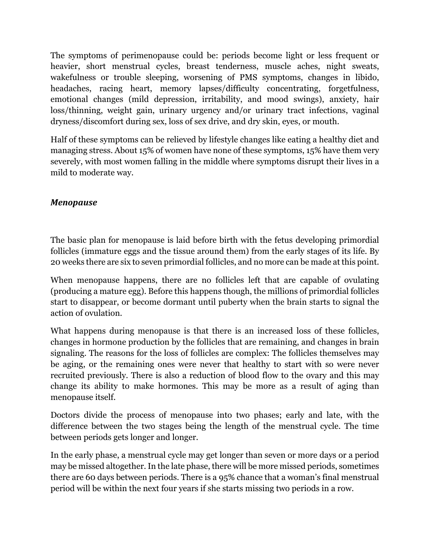The symptoms of perimenopause could be: periods become light or less frequent or heavier, short menstrual cycles, breast tenderness, muscle aches, night sweats, wakefulness or trouble sleeping, worsening of PMS symptoms, changes in libido, headaches, racing heart, memory lapses/difficulty concentrating, forgetfulness, emotional changes (mild depression, irritability, and mood swings), anxiety, hair loss/thinning, weight gain, urinary urgency and/or urinary tract infections, vaginal dryness/discomfort during sex, loss of sex drive, and dry skin, eyes, or mouth.

Half of these symptoms can be relieved by lifestyle changes like eating a healthy diet and managing stress. About 15% of women have none of these symptoms, 15% have them very severely, with most women falling in the middle where symptoms disrupt their lives in a mild to moderate way.

### *Menopause*

The basic plan for menopause is laid before birth with the fetus developing primordial follicles (immature eggs and the tissue around them) from the early stages of its life. By 20 weeks there are six to seven primordial follicles, and no more can be made at this point.

When menopause happens, there are no follicles left that are capable of ovulating (producing a mature egg). Before this happens though, the millions of primordial follicles start to disappear, or become dormant until puberty when the brain starts to signal the action of ovulation.

What happens during menopause is that there is an increased loss of these follicles, changes in hormone production by the follicles that are remaining, and changes in brain signaling. The reasons for the loss of follicles are complex: The follicles themselves may be aging, or the remaining ones were never that healthy to start with so were never recruited previously. There is also a reduction of blood flow to the ovary and this may change its ability to make hormones. This may be more as a result of aging than menopause itself.

Doctors divide the process of menopause into two phases; early and late, with the difference between the two stages being the length of the menstrual cycle. The time between periods gets longer and longer.

In the early phase, a menstrual cycle may get longer than seven or more days or a period may be missed altogether. In the late phase, there will be more missed periods, sometimes there are 60 days between periods. There is a 95% chance that a woman's final menstrual period will be within the next four years if she starts missing two periods in a row.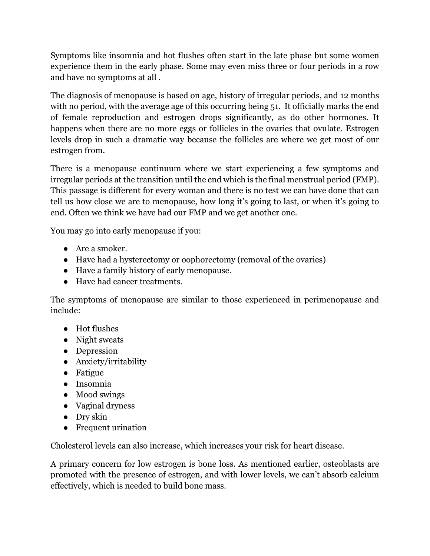Symptoms like insomnia and hot flushes often start in the late phase but some women experience them in the early phase. Some may even miss three or four periods in a row and have no symptoms at all .

The diagnosis of menopause is based on age, history of irregular periods, and 12 months with no period, with the average age of this occurring being 51. It officially marks the end of female reproduction and estrogen drops significantly, as do other hormones. It happens when there are no more eggs or follicles in the ovaries that ovulate. Estrogen levels drop in such a dramatic way because the follicles are where we get most of our estrogen from.

There is a menopause continuum where we start experiencing a few symptoms and irregular periods at the transition until the end which is the final menstrual period (FMP). This passage is different for every woman and there is no test we can have done that can tell us how close we are to menopause, how long it's going to last, or when it's going to end. Often we think we have had our FMP and we get another one.

You may go into early menopause if you:

- Are a smoker.
- Have had a hysterectomy or oophorectomy (removal of the ovaries)
- Have a family history of early menopause.
- Have had cancer treatments.

The symptoms of menopause are similar to those experienced in perimenopause and include:

- Hot flushes
- Night sweats
- Depression
- Anxiety/irritability
- Fatigue
- Insomnia
- Mood swings
- Vaginal dryness
- Dry skin
- Frequent urination

Cholesterol levels can also increase, which increases your risk for heart disease.

A primary concern for low estrogen is bone loss. As mentioned earlier, osteoblasts are promoted with the presence of estrogen, and with lower levels, we can't absorb calcium effectively, which is needed to build bone mass.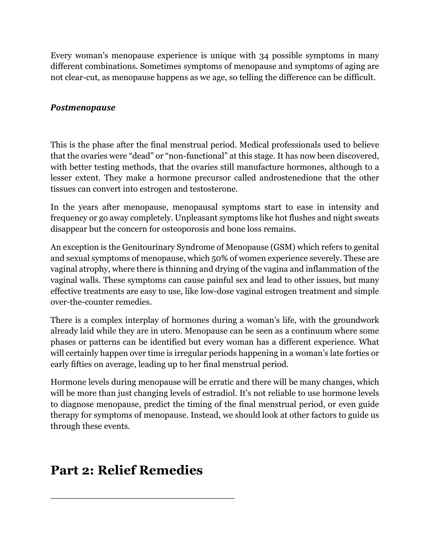Every woman's menopause experience is unique with 34 possible symptoms in many different combinations. Sometimes symptoms of menopause and symptoms of aging are not clear-cut, as menopause happens as we age, so telling the difference can be difficult.

### *Postmenopause*

This is the phase after the final menstrual period. Medical professionals used to believe that the ovaries were "dead" or "non-functional" at this stage. It has now been discovered, with better testing methods, that the ovaries still manufacture hormones, although to a lesser extent. They make a hormone precursor called androstenedione that the other tissues can convert into estrogen and testosterone.

In the years after menopause, menopausal symptoms start to ease in intensity and frequency or go away completely. Unpleasant symptoms like hot flushes and night sweats disappear but the concern for osteoporosis and bone loss remains.

An exception is the Genitourinary Syndrome of Menopause (GSM) which refers to genital and sexual symptoms of menopause, which 50% of women experience severely. These are vaginal atrophy, where there is thinning and drying of the vagina and inflammation of the vaginal walls. These symptoms can cause painful sex and lead to other issues, but many effective treatments are easy to use, like low-dose vaginal estrogen treatment and simple over-the-counter remedies.

There is a complex interplay of hormones during a woman's life, with the groundwork already laid while they are in utero. Menopause can be seen as a continuum where some phases or patterns can be identified but every woman has a different experience. What will certainly happen over time is irregular periods happening in a woman's late forties or early fifties on average, leading up to her final menstrual period.

Hormone levels during menopause will be erratic and there will be many changes, which will be more than just changing levels of estradiol. It's not reliable to use hormone levels to diagnose menopause, predict the timing of the final menstrual period, or even guide therapy for symptoms of menopause. Instead, we should look at other factors to guide us through these events.

# **Part 2: Relief Remedies**

\_\_\_\_\_\_\_\_\_\_\_\_\_\_\_\_\_\_\_\_\_\_\_\_\_\_\_\_\_\_\_\_\_\_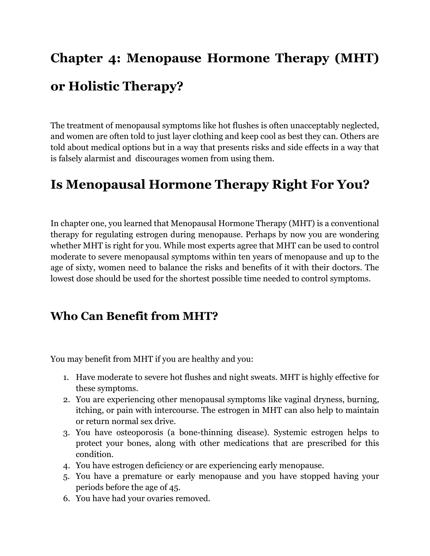# **Chapter 4: Menopause Hormone Therapy (MHT) or Holistic Therapy?**

The treatment of menopausal symptoms like hot flushes is often unacceptably neglected, and women are often told to just layer clothing and keep cool as best they can. Others are told about medical options but in a way that presents risks and side effects in a way that is falsely alarmist and discourages women from using them.

# **Is Menopausal Hormone Therapy Right For You?**

In chapter one, you learned that Menopausal Hormone Therapy (MHT) is a conventional therapy for regulating estrogen during menopause. Perhaps by now you are wondering whether MHT is right for you. While most experts agree that MHT can be used to control moderate to severe menopausal symptoms within ten years of menopause and up to the age of sixty, women need to balance the risks and benefits of it with their doctors. The lowest dose should be used for the shortest possible time needed to control symptoms.

### **Who Can Benefit from MHT?**

You may benefit from MHT if you are healthy and you:

- 1. Have moderate to severe hot flushes and night sweats. MHT is highly effective for these symptoms.
- 2. You are experiencing other menopausal symptoms like vaginal dryness, burning, itching, or pain with intercourse. The estrogen in MHT can also help to maintain or return normal sex drive.
- 3. You have osteoporosis (a bone-thinning disease). Systemic estrogen helps to protect your bones, along with other medications that are prescribed for this condition.
- 4. You have estrogen deficiency or are experiencing early menopause.
- 5. You have a premature or early menopause and you have stopped having your periods before the age of 45.
- 6. You have had your ovaries removed.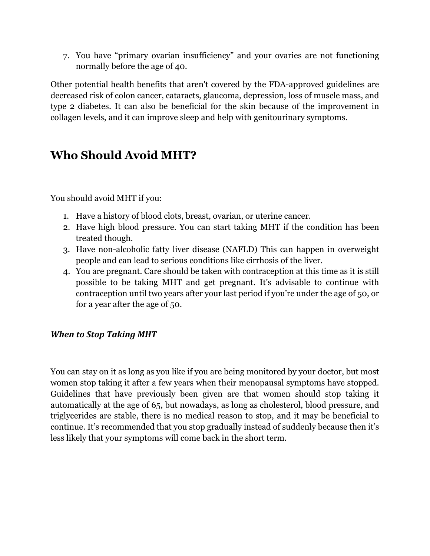7. You have "primary ovarian insufficiency" and your ovaries are not functioning normally before the age of 40.

Other potential health benefits that aren't covered by the FDA-approved guidelines are decreased risk of colon cancer, cataracts, glaucoma, depression, loss of muscle mass, and type 2 diabetes. It can also be beneficial for the skin because of the improvement in collagen levels, and it can improve sleep and help with genitourinary symptoms.

### **Who Should Avoid MHT?**

You should avoid MHT if you:

- 1. Have a history of blood clots, breast, ovarian, or uterine cancer.
- 2. Have high blood pressure. You can start taking MHT if the condition has been treated though.
- 3. Have non-alcoholic fatty liver disease (NAFLD) This can happen in overweight people and can lead to serious conditions like cirrhosis of the liver.
- 4. You are pregnant. Care should be taken with contraception at this time as it is still possible to be taking MHT and get pregnant. It's advisable to continue with contraception until two years after your last period if you're under the age of 50, or for a year after the age of 50.

### **When to Stop Taking MHT**

You can stay on it as long as you like if you are being monitored by your doctor, but most women stop taking it after a few years when their menopausal symptoms have stopped. Guidelines that have previously been given are that women should stop taking it automatically at the age of 65, but nowadays, as long as cholesterol, blood pressure, and triglycerides are stable, there is no medical reason to stop, and it may be beneficial to continue. It's recommended that you stop gradually instead of suddenly because then it's less likely that your symptoms will come back in the short term.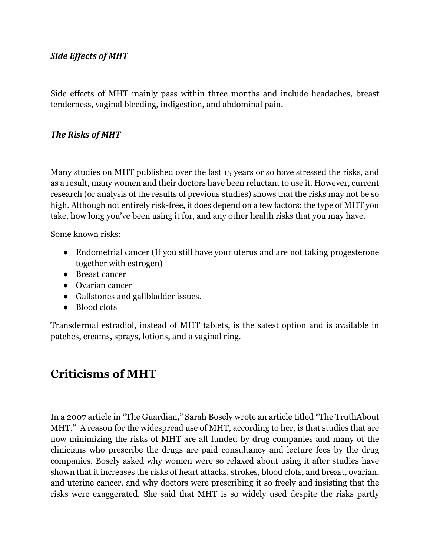### **Side Effects of MHT**

Side effects of MHT mainly pass within three months and include headaches, breast tenderness, vaginal bleeding, indigestion, and abdominal pain.

#### **The Risks of MHT**

Many studies on MHT published over the last 15 years or so have stressed the risks, and as a result, many women and their doctors have been reluctant to use it. However, current research (or analysis of the results of previous studies) shows that the risks may not be so high. Although not entirely risk-free, it does depend on a few factors; the type of MHT you take, how long you've been using it for, and any other health risks that you may have.

Some known risks:

- Endometrial cancer (If you still have your uterus and are not taking progesterone together with estrogen)
- Breast cancer
- Ovarian cancer
- Gallstones and gallbladder issues.
- Blood clots

Transdermal estradiol, instead of MHT tablets, is the safest option and is available in patches, creams, sprays, lotions, and a vaginal ring.

### **Criticisms of MHT**

In a 2007 article in "The Guardian," Sarah Bosely wrote an article titled "The TruthAbout MHT." A reason for the widespread use of MHT, according to her, is that studies that are now minimizing the risks of MHT are all funded by drug companies and many of the clinicians who prescribe the drugs are paid consultancy and lecture fees by the drug companies. Bosely asked why women were so relaxed about using it after studies have shown that it increases the risks of heart attacks, strokes, blood clots, and breast, ovarian, and uterine cancer, and why doctors were prescribing it so freely and insisting that the risks were exaggerated. She said that MHT is so widely used despite the risks partly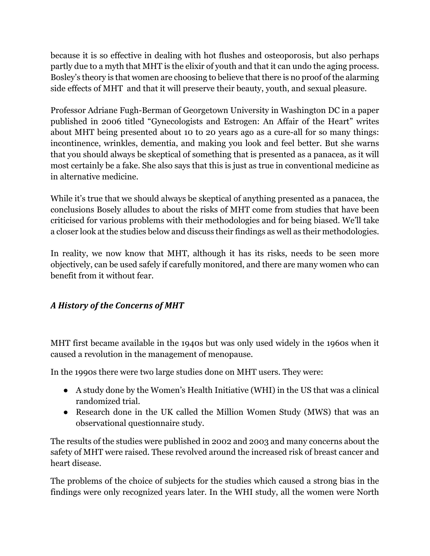because it is so effective in dealing with hot flushes and osteoporosis, but also perhaps partly due to a myth that MHT is the elixir of youth and that it can undo the aging process. Bosley's theory is that women are choosing to believe that there is no proof of the alarming side effects of MHT and that it will preserve their beauty, youth, and sexual pleasure.

Professor Adriane Fugh-Berman of Georgetown University in Washington DC in a paper published in 2006 titled "Gynecologists and Estrogen: An Affair of the Heart" writes about MHT being presented about 10 to 20 years ago as a cure-all for so many things: incontinence, wrinkles, dementia, and making you look and feel better. But she warns that you should always be skeptical of something that is presented as a panacea, as it will most certainly be a fake. She also says that this is just as true in conventional medicine as in alternative medicine.

While it's true that we should always be skeptical of anything presented as a panacea, the conclusions Bosely alludes to about the risks of MHT come from studies that have been criticised for various problems with their methodologies and for being biased. We'll take a closer look at the studies below and discuss their findings as well as their methodologies.

In reality, we now know that MHT, although it has its risks, needs to be seen more objectively, can be used safely if carefully monitored, and there are many women who can benefit from it without fear.

### *A History of the Concerns of MHT*

MHT first became available in the 1940s but was only used widely in the 1960s when it caused a revolution in the management of menopause.

In the 1990s there were two large studies done on MHT users. They were:

- A study done by the Women's Health Initiative (WHI) in the US that was a clinical randomized trial.
- Research done in the UK called the Million Women Study (MWS) that was an observational questionnaire study.

The results of the studies were published in 2002 and 2003 and many concerns about the safety of MHT were raised. These revolved around the increased risk of breast cancer and heart disease.

The problems of the choice of subjects for the studies which caused a strong bias in the findings were only recognized years later. In the WHI study, all the women were North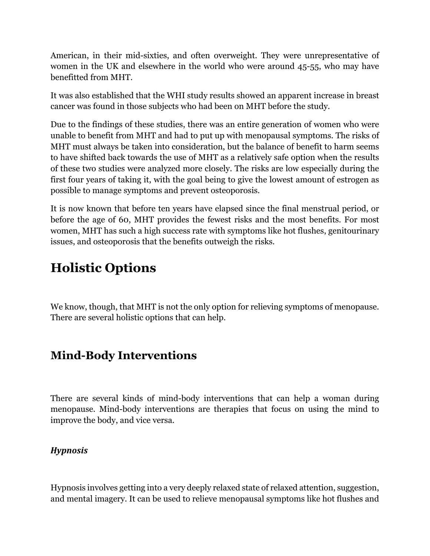American, in their mid-sixties, and often overweight. They were unrepresentative of women in the UK and elsewhere in the world who were around 45-55, who may have benefitted from MHT.

It was also established that the WHI study results showed an apparent increase in breast cancer was found in those subjects who had been on MHT before the study.

Due to the findings of these studies, there was an entire generation of women who were unable to benefit from MHT and had to put up with menopausal symptoms. The risks of MHT must always be taken into consideration, but the balance of benefit to harm seems to have shifted back towards the use of MHT as a relatively safe option when the results of these two studies were analyzed more closely. The risks are low especially during the first four years of taking it, with the goal being to give the lowest amount of estrogen as possible to manage symptoms and prevent osteoporosis.

It is now known that before ten years have elapsed since the final menstrual period, or before the age of 60, MHT provides the fewest risks and the most benefits. For most women, MHT has such a high success rate with symptoms like hot flushes, genitourinary issues, and osteoporosis that the benefits outweigh the risks.

# **Holistic Options**

We know, though, that MHT is not the only option for relieving symptoms of menopause. There are several holistic options that can help.

### **Mind-Body Interventions**

There are several kinds of mind-body interventions that can help a woman during menopause. Mind-body interventions are therapies that focus on using the mind to improve the body, and vice versa.

### *Hypnosis*

Hypnosis involves getting into a very deeply relaxed state of relaxed attention, suggestion, and mental imagery. It can be used to relieve menopausal symptoms like hot flushes and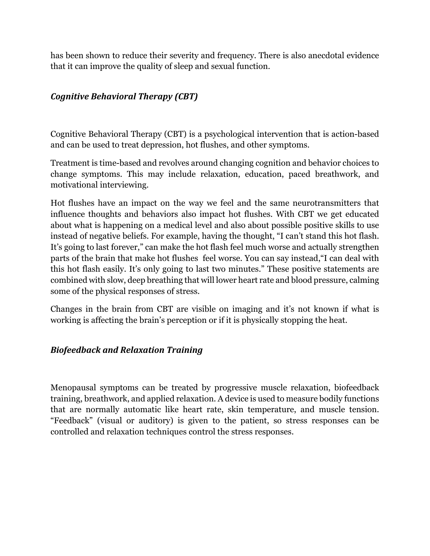has been shown to reduce their severity and frequency. There is also anecdotal evidence that it can improve the quality of sleep and sexual function.

### *Cognitive Behavioral Therapy (CBT)*

Cognitive Behavioral Therapy (CBT) is a psychological intervention that is action-based and can be used to treat depression, hot flushes, and other symptoms.

Treatment is time-based and revolves around changing cognition and behavior choices to change symptoms. This may include relaxation, education, paced breathwork, and motivational interviewing.

Hot flushes have an impact on the way we feel and the same neurotransmitters that influence thoughts and behaviors also impact hot flushes. With CBT we get educated about what is happening on a medical level and also about possible positive skills to use instead of negative beliefs. For example, having the thought, "I can't stand this hot flash. It's going to last forever," can make the hot flash feel much worse and actually strengthen parts of the brain that make hot flushes feel worse. You can say instead,"I can deal with this hot flash easily. It's only going to last two minutes." These positive statements are combined with slow, deep breathing that will lower heart rate and blood pressure, calming some of the physical responses of stress.

Changes in the brain from CBT are visible on imaging and it's not known if what is working is affecting the brain's perception or if it is physically stopping the heat.

### *Biofeedback and Relaxation Training*

Menopausal symptoms can be treated by progressive muscle relaxation, biofeedback training, breathwork, and applied relaxation. A device is used to measure bodily functions that are normally automatic like heart rate, skin temperature, and muscle tension. "Feedback" (visual or auditory) is given to the patient, so stress responses can be controlled and relaxation techniques control the stress responses.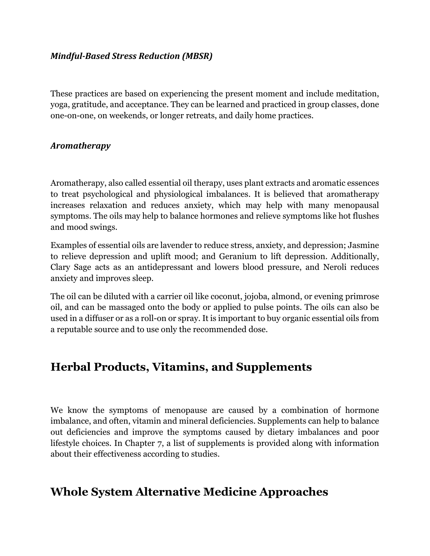#### *Mindful-Based Stress Reduction (MBSR)*

These practices are based on experiencing the present moment and include meditation, yoga, gratitude, and acceptance. They can be learned and practiced in group classes, done one-on-one, on weekends, or longer retreats, and daily home practices.

#### *Aromatherapy*

Aromatherapy, also called essential oil therapy, uses plant extracts and aromatic essences to treat psychological and physiological imbalances. It is believed that aromatherapy increases relaxation and reduces anxiety, which may help with many menopausal symptoms. The oils may help to balance hormones and relieve symptoms like hot flushes and mood swings.

Examples of essential oils are lavender to reduce stress, anxiety, and depression; Jasmine to relieve depression and uplift mood; and Geranium to lift depression. Additionally, Clary Sage acts as an antidepressant and lowers blood pressure, and Neroli reduces anxiety and improves sleep.

The oil can be diluted with a carrier oil like coconut, jojoba, almond, or evening primrose oil, and can be massaged onto the body or applied to pulse points. The oils can also be used in a diffuser or as a roll-on or spray. It is important to buy organic essential oils from a reputable source and to use only the recommended dose.

### **Herbal Products, Vitamins, and Supplements**

We know the symptoms of menopause are caused by a combination of hormone imbalance, and often, vitamin and mineral deficiencies. Supplements can help to balance out deficiencies and improve the symptoms caused by dietary imbalances and poor lifestyle choices. In Chapter 7, a list of supplements is provided along with information about their effectiveness according to studies.

### **Whole System Alternative Medicine Approaches**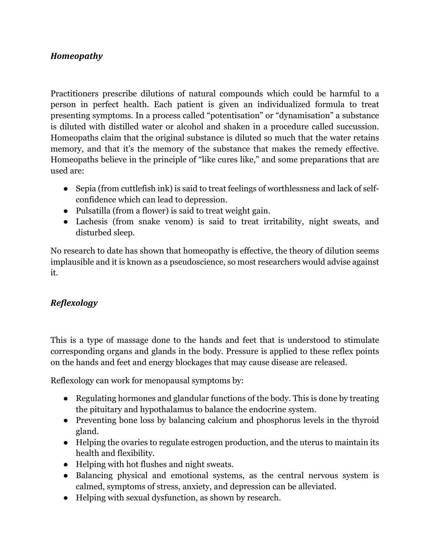### *Homeopathy*

Practitioners prescribe dilutions of natural compounds which could be harmful to a person in perfect health. Each patient is given an individualized formula to treat presenting symptoms. In a process called "potentisation" or "dynamisation" a substance is diluted with distilled water or alcohol and shaken in a procedure called succussion. Homeopaths claim that the original substance is diluted so much that the water retains memory, and that it's the memory of the substance that makes the remedy effective. Homeopaths believe in the principle of "like cures like," and some preparations that are used are:

- Sepia (from cuttlefish ink) is said to treat feelings of worthlessness and lack of selfconfidence which can lead to depression.
- Pulsatilla (from a flower) is said to treat weight gain.
- Lachesis (from snake venom) is said to treat irritability, night sweats, and disturbed sleep.

No research to date has shown that homeopathy is effective, the theory of dilution seems implausible and it is known as a pseudoscience, so most researchers would advise against it.

### *Reflexology*

This is a type of massage done to the hands and feet that is understood to stimulate corresponding organs and glands in the body. Pressure is applied to these reflex points on the hands and feet and energy blockages that may cause disease are released.

Reflexology can work for menopausal symptoms by:

- Regulating hormones and glandular functions of the body. This is done by treating the pituitary and hypothalamus to balance the endocrine system.
- Preventing bone loss by balancing calcium and phosphorus levels in the thyroid gland.
- Helping the ovaries to regulate estrogen production, and the uterus to maintain its health and flexibility.
- Helping with hot flushes and night sweats.
- Balancing physical and emotional systems, as the central nervous system is calmed, symptoms of stress, anxiety, and depression can be alleviated.
- Helping with sexual dysfunction, as shown by research.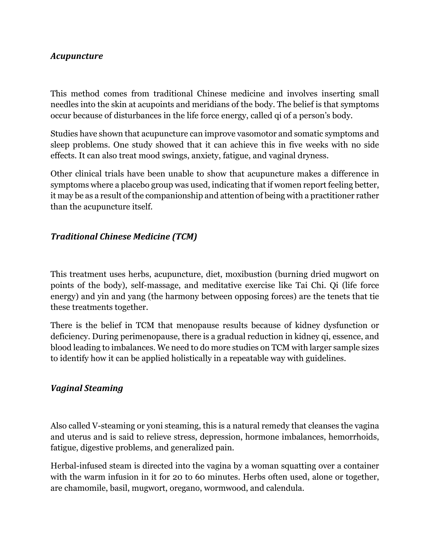#### *Acupuncture*

This method comes from traditional Chinese medicine and involves inserting small needles into the skin at acupoints and meridians of the body. The belief is that symptoms occur because of disturbances in the life force energy, called qi of a person's body.

Studies have shown that acupuncture can improve vasomotor and somatic symptoms and sleep problems. One study showed that it can achieve this in five weeks with no side effects. It can also treat mood swings, anxiety, fatigue, and vaginal dryness.

Other clinical trials have been unable to show that acupuncture makes a difference in symptoms where a placebo group was used, indicating that if women report feeling better, it may be as a result of the companionship and attention of being with a practitioner rather than the acupuncture itself.

### *Traditional Chinese Medicine (TCM)*

This treatment uses herbs, acupuncture, diet, moxibustion (burning dried mugwort on points of the body), self-massage, and meditative exercise like Tai Chi. Qi (life force energy) and yin and yang (the harmony between opposing forces) are the tenets that tie these treatments together.

There is the belief in TCM that menopause results because of kidney dysfunction or deficiency. During perimenopause, there is a gradual reduction in kidney qi, essence, and blood leading to imbalances. We need to do more studies on TCM with larger sample sizes to identify how it can be applied holistically in a repeatable way with guidelines.

#### *Vaginal Steaming*

Also called V-steaming or yoni steaming, this is a natural remedy that cleanses the vagina and uterus and is said to relieve stress, depression, hormone imbalances, hemorrhoids, fatigue, digestive problems, and generalized pain.

Herbal-infused steam is directed into the vagina by a woman squatting over a container with the warm infusion in it for 20 to 60 minutes. Herbs often used, alone or together, are chamomile, basil, mugwort, oregano, wormwood, and calendula.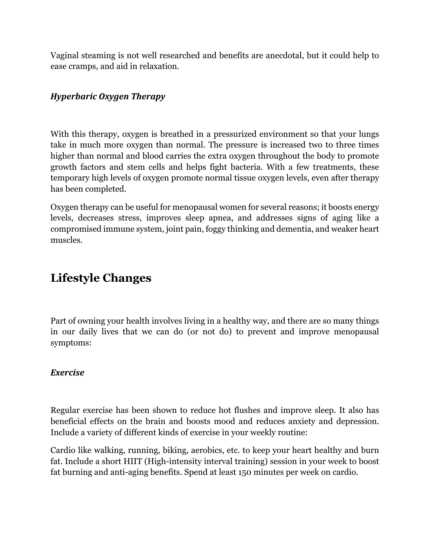Vaginal steaming is not well researched and benefits are anecdotal, but it could help to ease cramps, and aid in relaxation.

### *Hyperbaric Oxygen Therapy*

With this therapy, oxygen is breathed in a pressurized environment so that your lungs take in much more oxygen than normal. The pressure is increased two to three times higher than normal and blood carries the extra oxygen throughout the body to promote growth factors and stem cells and helps fight bacteria. With a few treatments, these temporary high levels of oxygen promote normal tissue oxygen levels, even after therapy has been completed.

Oxygen therapy can be useful for menopausal women for several reasons; it boosts energy levels, decreases stress, improves sleep apnea, and addresses signs of aging like a compromised immune system, joint pain, foggy thinking and dementia, and weaker heart muscles.

### **Lifestyle Changes**

Part of owning your health involves living in a healthy way, and there are so many things in our daily lives that we can do (or not do) to prevent and improve menopausal symptoms:

#### *Exercise*

Regular exercise has been shown to reduce hot flushes and improve sleep. It also has beneficial effects on the brain and boosts mood and reduces anxiety and depression. Include a variety of different kinds of exercise in your weekly routine:

Cardio like walking, running, biking, aerobics, etc. to keep your heart healthy and burn fat. Include a short HIIT (High-intensity interval training) session in your week to boost fat burning and anti-aging benefits. Spend at least 150 minutes per week on cardio.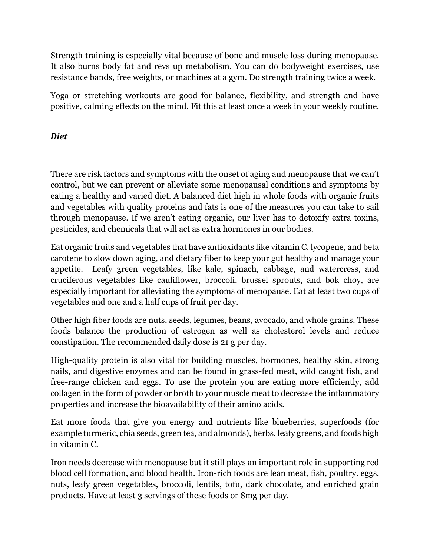Strength training is especially vital because of bone and muscle loss during menopause. It also burns body fat and revs up metabolism. You can do bodyweight exercises, use resistance bands, free weights, or machines at a gym. Do strength training twice a week.

Yoga or stretching workouts are good for balance, flexibility, and strength and have positive, calming effects on the mind. Fit this at least once a week in your weekly routine.

### *Diet*

There are risk factors and symptoms with the onset of aging and menopause that we can't control, but we can prevent or alleviate some menopausal conditions and symptoms by eating a healthy and varied diet. A balanced diet high in whole foods with organic fruits and vegetables with quality proteins and fats is one of the measures you can take to sail through menopause. If we aren't eating organic, our liver has to detoxify extra toxins, pesticides, and chemicals that will act as extra hormones in our bodies.

Eat organic fruits and vegetables that have antioxidants like vitamin C, lycopene, and beta carotene to slow down aging, and dietary fiber to keep your gut healthy and manage your appetite. Leafy green vegetables, like kale, spinach, cabbage, and watercress, and cruciferous vegetables like cauliflower, broccoli, brussel sprouts, and bok choy, are especially important for alleviating the symptoms of menopause. Eat at least two cups of vegetables and one and a half cups of fruit per day.

Other high fiber foods are nuts, seeds, legumes, beans, avocado, and whole grains. These foods balance the production of estrogen as well as cholesterol levels and reduce constipation. The recommended daily dose is 21 g per day.

High-quality protein is also vital for building muscles, hormones, healthy skin, strong nails, and digestive enzymes and can be found in grass-fed meat, wild caught fish, and free-range chicken and eggs. To use the protein you are eating more efficiently, add collagen in the form of powder or broth to your muscle meat to decrease the inflammatory properties and increase the bioavailability of their amino acids.

Eat more foods that give you energy and nutrients like blueberries, superfoods (for example turmeric, chia seeds, green tea, and almonds), herbs, leafy greens, and foods high in vitamin C.

Iron needs decrease with menopause but it still plays an important role in supporting red blood cell formation, and blood health. Iron-rich foods are lean meat, fish, poultry. eggs, nuts, leafy green vegetables, broccoli, lentils, tofu, dark chocolate, and enriched grain products. Have at least 3 servings of these foods or 8mg per day.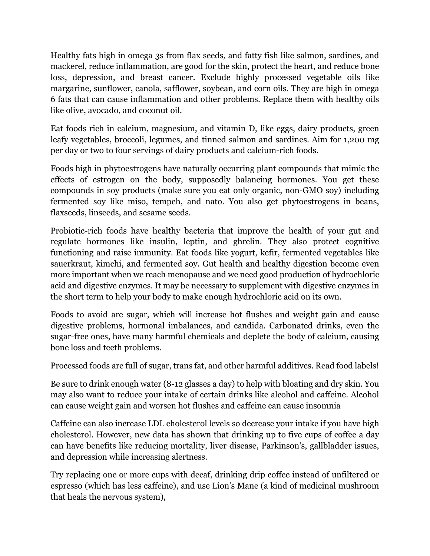Healthy fats high in omega 3s from flax seeds, and fatty fish like salmon, sardines, and mackerel, reduce inflammation, are good for the skin, protect the heart, and reduce bone loss, depression, and breast cancer. Exclude highly processed vegetable oils like margarine, sunflower, canola, safflower, soybean, and corn oils. They are high in omega 6 fats that can cause inflammation and other problems. Replace them with healthy oils like olive, avocado, and coconut oil.

Eat foods rich in calcium, magnesium, and vitamin D, like eggs, dairy products, green leafy vegetables, broccoli, legumes, and tinned salmon and sardines. Aim for 1,200 mg per day or two to four servings of dairy products and calcium-rich foods.

Foods high in phytoestrogens have naturally occurring plant compounds that mimic the effects of estrogen on the body, supposedly balancing hormones. You get these compounds in soy products (make sure you eat only organic, non-GMO soy) including fermented soy like miso, tempeh, and nato. You also get phytoestrogens in beans, flaxseeds, linseeds, and sesame seeds.

Probiotic-rich foods have healthy bacteria that improve the health of your gut and regulate hormones like insulin, leptin, and ghrelin. They also protect cognitive functioning and raise immunity. Eat foods like yogurt, kefir, fermented vegetables like sauerkraut, kimchi, and fermented soy. Gut health and healthy digestion become even more important when we reach menopause and we need good production of hydrochloric acid and digestive enzymes. It may be necessary to supplement with digestive enzymes in the short term to help your body to make enough hydrochloric acid on its own.

Foods to avoid are sugar, which will increase hot flushes and weight gain and cause digestive problems, hormonal imbalances, and candida. Carbonated drinks, even the sugar-free ones, have many harmful chemicals and deplete the body of calcium, causing bone loss and teeth problems.

Processed foods are full of sugar, trans fat, and other harmful additives. Read food labels!

Be sure to drink enough water (8-12 glasses a day) to help with bloating and dry skin. You may also want to reduce your intake of certain drinks like alcohol and caffeine. Alcohol can cause weight gain and worsen hot flushes and caffeine can cause insomnia

Caffeine can also increase LDL cholesterol levels so decrease your intake if you have high cholesterol. However, new data has shown that drinking up to five cups of coffee a day can have benefits like reducing mortality, liver disease, Parkinson's, gallbladder issues, and depression while increasing alertness.

Try replacing one or more cups with decaf, drinking drip coffee instead of unfiltered or espresso (which has less caffeine), and use Lion's Mane (a kind of medicinal mushroom that heals the nervous system),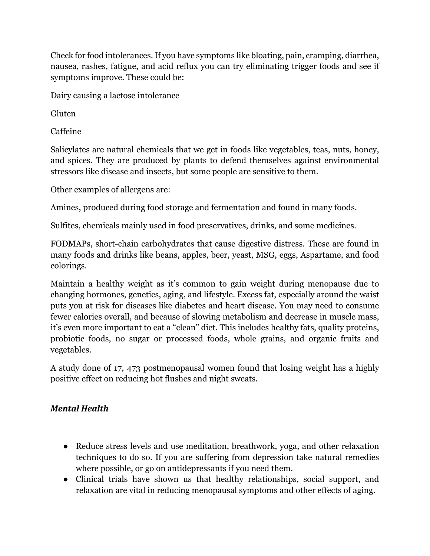Check for food intolerances. If you have symptoms like bloating, pain, cramping, diarrhea, nausea, rashes, fatigue, and acid reflux you can try eliminating trigger foods and see if symptoms improve. These could be:

Dairy causing a lactose intolerance

**Gluten** 

Caffeine

Salicylates are natural chemicals that we get in foods like vegetables, teas, nuts, honey, and spices. They are produced by plants to defend themselves against environmental stressors like disease and insects, but some people are sensitive to them.

Other examples of allergens are:

Amines, produced during food storage and fermentation and found in many foods.

Sulfites, chemicals mainly used in food preservatives, drinks, and some medicines.

FODMAPs, short-chain carbohydrates that cause digestive distress. These are found in many foods and drinks like beans, apples, beer, yeast, MSG, eggs, Aspartame, and food colorings.

Maintain a healthy weight as it's common to gain weight during menopause due to changing hormones, genetics, aging, and lifestyle. Excess fat, especially around the waist puts you at risk for diseases like diabetes and heart disease. You may need to consume fewer calories overall, and because of slowing metabolism and decrease in muscle mass, it's even more important to eat a "clean" diet. This includes healthy fats, quality proteins, probiotic foods, no sugar or processed foods, whole grains, and organic fruits and vegetables.

A study done of 17, 473 postmenopausal women found that losing weight has a highly positive effect on reducing hot flushes and night sweats.

### *Mental Health*

- Reduce stress levels and use meditation, breathwork, yoga, and other relaxation techniques to do so. If you are suffering from depression take natural remedies where possible, or go on antidepressants if you need them.
- Clinical trials have shown us that healthy relationships, social support, and relaxation are vital in reducing menopausal symptoms and other effects of aging.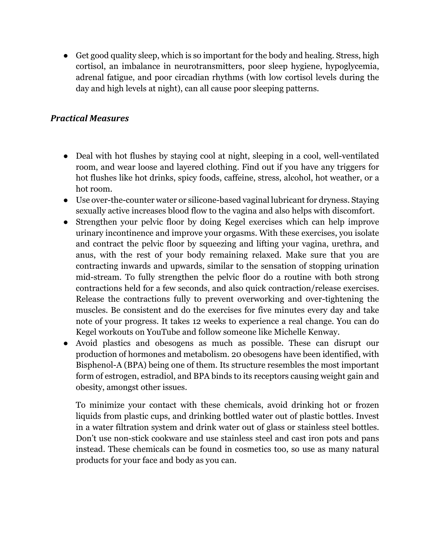• Get good quality sleep, which is so important for the body and healing. Stress, high cortisol, an imbalance in neurotransmitters, poor sleep hygiene, hypoglycemia, adrenal fatigue, and poor circadian rhythms (with low cortisol levels during the day and high levels at night), can all cause poor sleeping patterns.

### *Practical Measures*

- Deal with hot flushes by staying cool at night, sleeping in a cool, well-ventilated room, and wear loose and layered clothing. Find out if you have any triggers for hot flushes like hot drinks, spicy foods, caffeine, stress, alcohol, hot weather, or a hot room.
- Use over-the-counter water or silicone-based vaginal lubricant for dryness. Staying sexually active increases blood flow to the vagina and also helps with discomfort.
- Strengthen your pelvic floor by doing Kegel exercises which can help improve urinary incontinence and improve your orgasms. With these exercises, you isolate and contract the pelvic floor by squeezing and lifting your vagina, urethra, and anus, with the rest of your body remaining relaxed. Make sure that you are contracting inwards and upwards, similar to the sensation of stopping urination mid-stream. To fully strengthen the pelvic floor do a routine with both strong contractions held for a few seconds, and also quick contraction/release exercises. Release the contractions fully to prevent overworking and over-tightening the muscles. Be consistent and do the exercises for five minutes every day and take note of your progress. It takes 12 weeks to experience a real change. You can do Kegel workouts on YouTube and follow someone like Michelle Kenway.
- Avoid plastics and obesogens as much as possible. These can disrupt our production of hormones and metabolism. 20 obesogens have been identified, with Bisphenol-A (BPA) being one of them. Its structure resembles the most important form of estrogen, estradiol, and BPA binds to its receptors causing weight gain and obesity, amongst other issues.

To minimize your contact with these chemicals, avoid drinking hot or frozen liquids from plastic cups, and drinking bottled water out of plastic bottles. Invest in a water filtration system and drink water out of glass or stainless steel bottles. Don't use non-stick cookware and use stainless steel and cast iron pots and pans instead. These chemicals can be found in cosmetics too, so use as many natural products for your face and body as you can.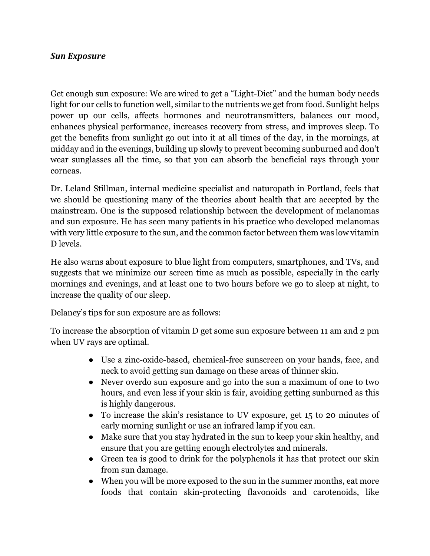#### *Sun Exposure*

Get enough sun exposure: We are wired to get a "Light-Diet" and the human body needs light for our cells to function well, similar to the nutrients we get from food. Sunlight helps power up our cells, affects hormones and neurotransmitters, balances our mood, enhances physical performance, increases recovery from stress, and improves sleep. To get the benefits from sunlight go out into it at all times of the day, in the mornings, at midday and in the evenings, building up slowly to prevent becoming sunburned and don't wear sunglasses all the time, so that you can absorb the beneficial rays through your corneas.

Dr. Leland Stillman, internal medicine specialist and naturopath in Portland, feels that we should be questioning many of the theories about health that are accepted by the mainstream. One is the supposed relationship between the development of melanomas and sun exposure. He has seen many patients in his practice who developed melanomas with very little exposure to the sun, and the common factor between them was low vitamin D levels.

He also warns about exposure to blue light from computers, smartphones, and TVs, and suggests that we minimize our screen time as much as possible, especially in the early mornings and evenings, and at least one to two hours before we go to sleep at night, to increase the quality of our sleep.

Delaney's tips for sun exposure are as follows:

To increase the absorption of vitamin D get some sun exposure between 11 am and 2 pm when UV rays are optimal.

- Use a zinc-oxide-based, chemical-free sunscreen on your hands, face, and neck to avoid getting sun damage on these areas of thinner skin.
- Never overdo sun exposure and go into the sun a maximum of one to two hours, and even less if your skin is fair, avoiding getting sunburned as this is highly dangerous.
- To increase the skin's resistance to UV exposure, get 15 to 20 minutes of early morning sunlight or use an infrared lamp if you can.
- Make sure that you stay hydrated in the sun to keep your skin healthy, and ensure that you are getting enough electrolytes and minerals.
- Green tea is good to drink for the polyphenols it has that protect our skin from sun damage.
- When you will be more exposed to the sun in the summer months, eat more foods that contain skin-protecting flavonoids and carotenoids, like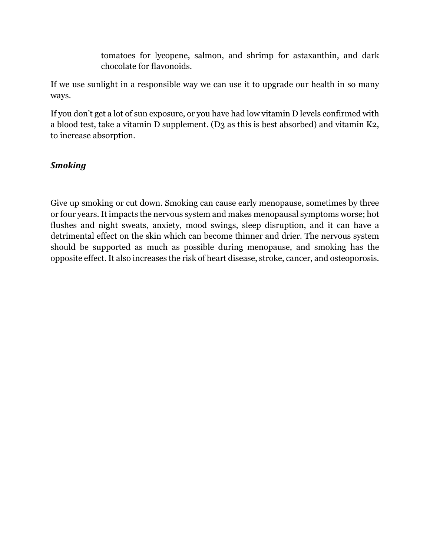tomatoes for lycopene, salmon, and shrimp for astaxanthin, and dark chocolate for flavonoids.

If we use sunlight in a responsible way we can use it to upgrade our health in so many ways.

If you don't get a lot of sun exposure, or you have had low vitamin D levels confirmed with a blood test, take a vitamin D supplement. (D3 as this is best absorbed) and vitamin K2, to increase absorption.

### *Smoking*

Give up smoking or cut down. Smoking can cause early menopause, sometimes by three or four years. It impacts the nervous system and makes menopausal symptoms worse; hot flushes and night sweats, anxiety, mood swings, sleep disruption, and it can have a detrimental effect on the skin which can become thinner and drier. The nervous system should be supported as much as possible during menopause, and smoking has the opposite effect. It also increases the risk of heart disease, stroke, cancer, and osteoporosis.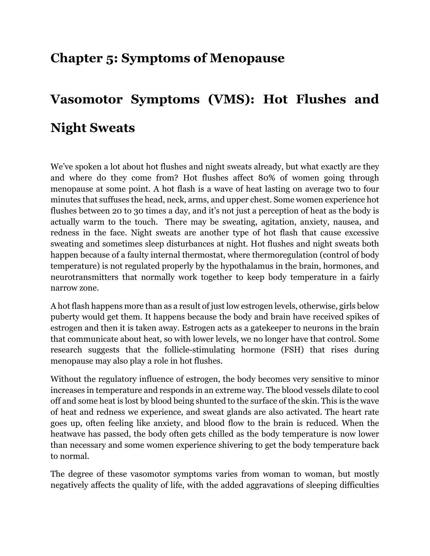### **Chapter 5: Symptoms of Menopause**

# **Vasomotor Symptoms (VMS): Hot Flushes and Night Sweats**

We've spoken a lot about hot flushes and night sweats already, but what exactly are they and where do they come from? Hot flushes affect 80% of women going through menopause at some point. A hot flash is a wave of heat lasting on average two to four minutes that suffuses the head, neck, arms, and upper chest. Some women experience hot flushes between 20 to 30 times a day, and it's not just a perception of heat as the body is actually warm to the touch. There may be sweating, agitation, anxiety, nausea, and redness in the face. Night sweats are another type of hot flash that cause excessive sweating and sometimes sleep disturbances at night. Hot flushes and night sweats both happen because of a faulty internal thermostat, where thermoregulation (control of body temperature) is not regulated properly by the hypothalamus in the brain, hormones, and neurotransmitters that normally work together to keep body temperature in a fairly narrow zone.

A hot flash happens more than as a result of just low estrogen levels, otherwise, girls below puberty would get them. It happens because the body and brain have received spikes of estrogen and then it is taken away. Estrogen acts as a gatekeeper to neurons in the brain that communicate about heat, so with lower levels, we no longer have that control. Some research suggests that the follicle-stimulating hormone (FSH) that rises during menopause may also play a role in hot flushes.

Without the regulatory influence of estrogen, the body becomes very sensitive to minor increases in temperature and responds in an extreme way. The blood vessels dilate to cool off and some heat is lost by blood being shunted to the surface of the skin. This is the wave of heat and redness we experience, and sweat glands are also activated. The heart rate goes up, often feeling like anxiety, and blood flow to the brain is reduced. When the heatwave has passed, the body often gets chilled as the body temperature is now lower than necessary and some women experience shivering to get the body temperature back to normal.

The degree of these vasomotor symptoms varies from woman to woman, but mostly negatively affects the quality of life, with the added aggravations of sleeping difficulties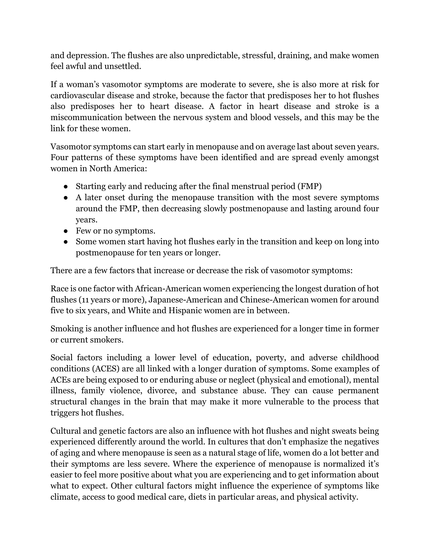and depression. The flushes are also unpredictable, stressful, draining, and make women feel awful and unsettled.

If a woman's vasomotor symptoms are moderate to severe, she is also more at risk for cardiovascular disease and stroke, because the factor that predisposes her to hot flushes also predisposes her to heart disease. A factor in heart disease and stroke is a miscommunication between the nervous system and blood vessels, and this may be the link for these women.

Vasomotor symptoms can start early in menopause and on average last about seven years. Four patterns of these symptoms have been identified and are spread evenly amongst women in North America:

- Starting early and reducing after the final menstrual period (FMP)
- A later onset during the menopause transition with the most severe symptoms around the FMP, then decreasing slowly postmenopause and lasting around four years.
- Few or no symptoms.
- Some women start having hot flushes early in the transition and keep on long into postmenopause for ten years or longer.

There are a few factors that increase or decrease the risk of vasomotor symptoms:

Race is one factor with African-American women experiencing the longest duration of hot flushes (11 years or more), Japanese-American and Chinese-American women for around five to six years, and White and Hispanic women are in between.

Smoking is another influence and hot flushes are experienced for a longer time in former or current smokers.

Social factors including a lower level of education, poverty, and adverse childhood conditions (ACES) are all linked with a longer duration of symptoms. Some examples of ACEs are being exposed to or enduring abuse or neglect (physical and emotional), mental illness, family violence, divorce, and substance abuse. They can cause permanent structural changes in the brain that may make it more vulnerable to the process that triggers hot flushes.

Cultural and genetic factors are also an influence with hot flushes and night sweats being experienced differently around the world. In cultures that don't emphasize the negatives of aging and where menopause is seen as a natural stage of life, women do a lot better and their symptoms are less severe. Where the experience of menopause is normalized it's easier to feel more positive about what you are experiencing and to get information about what to expect. Other cultural factors might influence the experience of symptoms like climate, access to good medical care, diets in particular areas, and physical activity.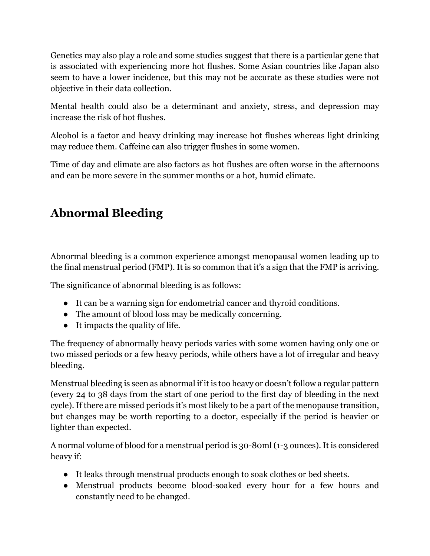Genetics may also play a role and some studies suggest that there is a particular gene that is associated with experiencing more hot flushes. Some Asian countries like Japan also seem to have a lower incidence, but this may not be accurate as these studies were not objective in their data collection.

Mental health could also be a determinant and anxiety, stress, and depression may increase the risk of hot flushes.

Alcohol is a factor and heavy drinking may increase hot flushes whereas light drinking may reduce them. Caffeine can also trigger flushes in some women.

Time of day and climate are also factors as hot flushes are often worse in the afternoons and can be more severe in the summer months or a hot, humid climate.

# **Abnormal Bleeding**

Abnormal bleeding is a common experience amongst menopausal women leading up to the final menstrual period (FMP). It is so common that it's a sign that the FMP is arriving.

The significance of abnormal bleeding is as follows:

- It can be a warning sign for endometrial cancer and thyroid conditions.
- The amount of blood loss may be medically concerning.
- It impacts the quality of life.

The frequency of abnormally heavy periods varies with some women having only one or two missed periods or a few heavy periods, while others have a lot of irregular and heavy bleeding.

Menstrual bleeding is seen as abnormal if it is too heavy or doesn't follow a regular pattern (every 24 to 38 days from the start of one period to the first day of bleeding in the next cycle). If there are missed periods it's most likely to be a part of the menopause transition, but changes may be worth reporting to a doctor, especially if the period is heavier or lighter than expected.

A normal volume of blood for a menstrual period is 30-80ml (1-3 ounces). It is considered heavy if:

- It leaks through menstrual products enough to soak clothes or bed sheets.
- Menstrual products become blood-soaked every hour for a few hours and constantly need to be changed.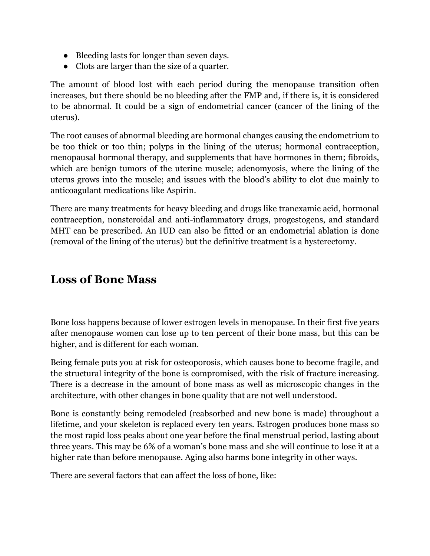- Bleeding lasts for longer than seven days.
- Clots are larger than the size of a quarter.

The amount of blood lost with each period during the menopause transition often increases, but there should be no bleeding after the FMP and, if there is, it is considered to be abnormal. It could be a sign of endometrial cancer (cancer of the lining of the uterus).

The root causes of abnormal bleeding are hormonal changes causing the endometrium to be too thick or too thin; polyps in the lining of the uterus; hormonal contraception, menopausal hormonal therapy, and supplements that have hormones in them; fibroids, which are benign tumors of the uterine muscle; adenomyosis, where the lining of the uterus grows into the muscle; and issues with the blood's ability to clot due mainly to anticoagulant medications like Aspirin.

There are many treatments for heavy bleeding and drugs like tranexamic acid, hormonal contraception, nonsteroidal and anti-inflammatory drugs, progestogens, and standard MHT can be prescribed. An IUD can also be fitted or an endometrial ablation is done (removal of the lining of the uterus) but the definitive treatment is a hysterectomy.

### **Loss of Bone Mass**

Bone loss happens because of lower estrogen levels in menopause. In their first five years after menopause women can lose up to ten percent of their bone mass, but this can be higher, and is different for each woman.

Being female puts you at risk for osteoporosis, which causes bone to become fragile, and the structural integrity of the bone is compromised, with the risk of fracture increasing. There is a decrease in the amount of bone mass as well as microscopic changes in the architecture, with other changes in bone quality that are not well understood.

Bone is constantly being remodeled (reabsorbed and new bone is made) throughout a lifetime, and your skeleton is replaced every ten years. Estrogen produces bone mass so the most rapid loss peaks about one year before the final menstrual period, lasting about three years. This may be 6% of a woman's bone mass and she will continue to lose it at a higher rate than before menopause. Aging also harms bone integrity in other ways.

There are several factors that can affect the loss of bone, like: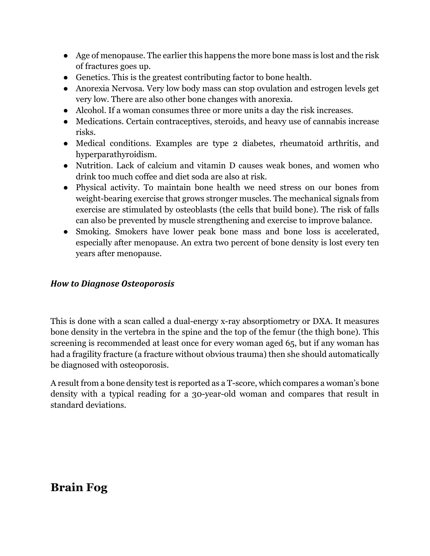- Age of menopause. The earlier this happens the more bone mass is lost and the risk of fractures goes up.
- Genetics. This is the greatest contributing factor to bone health.
- Anorexia Nervosa. Very low body mass can stop ovulation and estrogen levels get very low. There are also other bone changes with anorexia.
- Alcohol. If a woman consumes three or more units a day the risk increases.
- Medications. Certain contraceptives, steroids, and heavy use of cannabis increase risks.
- Medical conditions. Examples are type 2 diabetes, rheumatoid arthritis, and hyperparathyroidism.
- Nutrition. Lack of calcium and vitamin D causes weak bones, and women who drink too much coffee and diet soda are also at risk.
- Physical activity. To maintain bone health we need stress on our bones from weight-bearing exercise that grows stronger muscles. The mechanical signals from exercise are stimulated by osteoblasts (the cells that build bone). The risk of falls can also be prevented by muscle strengthening and exercise to improve balance.
- Smoking. Smokers have lower peak bone mass and bone loss is accelerated, especially after menopause. An extra two percent of bone density is lost every ten years after menopause.

#### *How to Diagnose Osteoporosis*

This is done with a scan called a dual-energy x-ray absorptiometry or DXA. It measures bone density in the vertebra in the spine and the top of the femur (the thigh bone). This screening is recommended at least once for every woman aged 65, but if any woman has had a fragility fracture (a fracture without obvious trauma) then she should automatically be diagnosed with osteoporosis.

A result from a bone density test is reported as a T-score, which compares a woman's bone density with a typical reading for a 30-year-old woman and compares that result in standard deviations.

### **Brain Fog**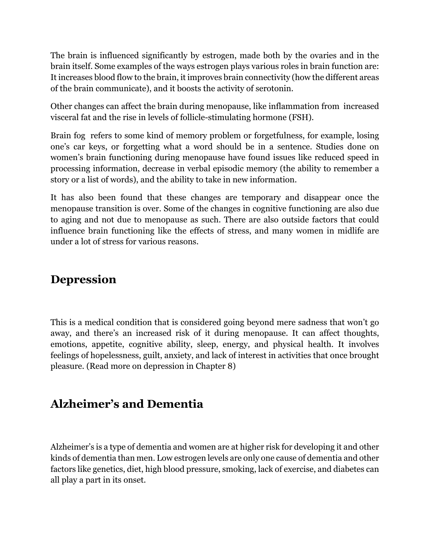The brain is influenced significantly by estrogen, made both by the ovaries and in the brain itself. Some examples of the ways estrogen plays various roles in brain function are: It increases blood flow to the brain, it improves brain connectivity (how the different areas of the brain communicate), and it boosts the activity of serotonin.

Other changes can affect the brain during menopause, like inflammation from increased visceral fat and the rise in levels of follicle-stimulating hormone (FSH).

Brain fog refers to some kind of memory problem or forgetfulness, for example, losing one's car keys, or forgetting what a word should be in a sentence. Studies done on women's brain functioning during menopause have found issues like reduced speed in processing information, decrease in verbal episodic memory (the ability to remember a story or a list of words), and the ability to take in new information.

It has also been found that these changes are temporary and disappear once the menopause transition is over. Some of the changes in cognitive functioning are also due to aging and not due to menopause as such. There are also outside factors that could influence brain functioning like the effects of stress, and many women in midlife are under a lot of stress for various reasons.

### **Depression**

This is a medical condition that is considered going beyond mere sadness that won't go away, and there's an increased risk of it during menopause. It can affect thoughts, emotions, appetite, cognitive ability, sleep, energy, and physical health. It involves feelings of hopelessness, guilt, anxiety, and lack of interest in activities that once brought pleasure. (Read more on depression in Chapter 8)

### **Alzheimer's and Dementia**

Alzheimer's is a type of dementia and women are at higher risk for developing it and other kinds of dementia than men. Low estrogen levels are only one cause of dementia and other factors like genetics, diet, high blood pressure, smoking, lack of exercise, and diabetes can all play a part in its onset.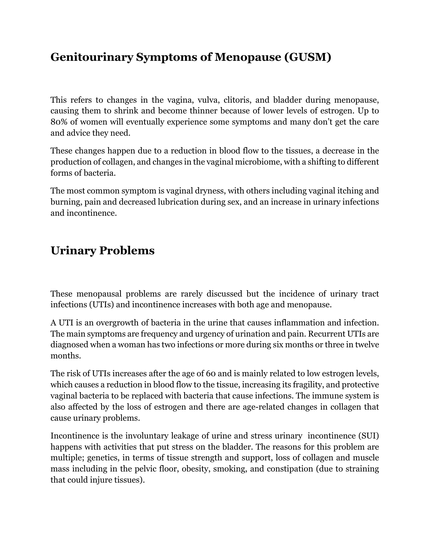### **Genitourinary Symptoms of Menopause (GUSM)**

This refers to changes in the vagina, vulva, clitoris, and bladder during menopause, causing them to shrink and become thinner because of lower levels of estrogen. Up to 80% of women will eventually experience some symptoms and many don't get the care and advice they need.

These changes happen due to a reduction in blood flow to the tissues, a decrease in the production of collagen, and changes in the vaginal microbiome, with a shifting to different forms of bacteria.

The most common symptom is vaginal dryness, with others including vaginal itching and burning, pain and decreased lubrication during sex, and an increase in urinary infections and incontinence.

### **Urinary Problems**

These menopausal problems are rarely discussed but the incidence of urinary tract infections (UTIs) and incontinence increases with both age and menopause.

A UTI is an overgrowth of bacteria in the urine that causes inflammation and infection. The main symptoms are frequency and urgency of urination and pain. Recurrent UTIs are diagnosed when a woman has two infections or more during six months or three in twelve months.

The risk of UTIs increases after the age of 60 and is mainly related to low estrogen levels, which causes a reduction in blood flow to the tissue, increasing its fragility, and protective vaginal bacteria to be replaced with bacteria that cause infections. The immune system is also affected by the loss of estrogen and there are age-related changes in collagen that cause urinary problems.

Incontinence is the involuntary leakage of urine and stress urinary incontinence (SUI) happens with activities that put stress on the bladder. The reasons for this problem are multiple; genetics, in terms of tissue strength and support, loss of collagen and muscle mass including in the pelvic floor, obesity, smoking, and constipation (due to straining that could injure tissues).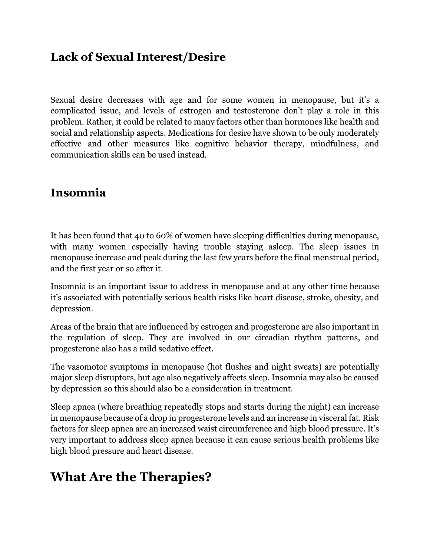### **Lack of Sexual Interest/Desire**

Sexual desire decreases with age and for some women in menopause, but it's a complicated issue, and levels of estrogen and testosterone don't play a role in this problem. Rather, it could be related to many factors other than hormones like health and social and relationship aspects. Medications for desire have shown to be only moderately effective and other measures like cognitive behavior therapy, mindfulness, and communication skills can be used instead.

### **Insomnia**

It has been found that 40 to 60% of women have sleeping difficulties during menopause, with many women especially having trouble staying asleep. The sleep issues in menopause increase and peak during the last few years before the final menstrual period, and the first year or so after it.

Insomnia is an important issue to address in menopause and at any other time because it's associated with potentially serious health risks like heart disease, stroke, obesity, and depression.

Areas of the brain that are influenced by estrogen and progesterone are also important in the regulation of sleep. They are involved in our circadian rhythm patterns, and progesterone also has a mild sedative effect.

The vasomotor symptoms in menopause (hot flushes and night sweats) are potentially major sleep disruptors, but age also negatively affects sleep. Insomnia may also be caused by depression so this should also be a consideration in treatment.

Sleep apnea (where breathing repeatedly stops and starts during the night) can increase in menopause because of a drop in progesterone levels and an increase in visceral fat. Risk factors for sleep apnea are an increased waist circumference and high blood pressure. It's very important to address sleep apnea because it can cause serious health problems like high blood pressure and heart disease.

# **What Are the Therapies?**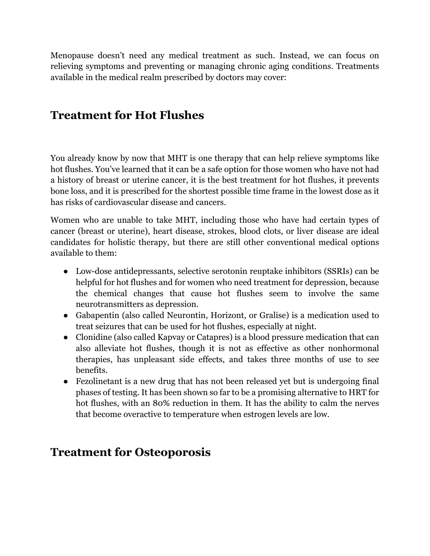Menopause doesn't need any medical treatment as such. Instead, we can focus on relieving symptoms and preventing or managing chronic aging conditions. Treatments available in the medical realm prescribed by doctors may cover:

### **Treatment for Hot Flushes**

You already know by now that MHT is one therapy that can help relieve symptoms like hot flushes. You've learned that it can be a safe option for those women who have not had a history of breast or uterine cancer, it is the best treatment for hot flushes, it prevents bone loss, and it is prescribed for the shortest possible time frame in the lowest dose as it has risks of cardiovascular disease and cancers.

Women who are unable to take MHT, including those who have had certain types of cancer (breast or uterine), heart disease, strokes, blood clots, or liver disease are ideal candidates for holistic therapy, but there are still other conventional medical options available to them:

- Low-dose antidepressants, selective serotonin reuptake inhibitors (SSRIs) can be helpful for hot flushes and for women who need treatment for depression, because the chemical changes that cause hot flushes seem to involve the same neurotransmitters as depression.
- Gabapentin (also called Neurontin, Horizont, or Gralise) is a medication used to treat seizures that can be used for hot flushes, especially at night.
- Clonidine (also called Kapvay or Catapres) is a blood pressure medication that can also alleviate hot flushes, though it is not as effective as other nonhormonal therapies, has unpleasant side effects, and takes three months of use to see benefits.
- Fezolinetant is a new drug that has not been released yet but is undergoing final phases of testing. It has been shown so far to be a promising alternative to HRT for hot flushes, with an 80% reduction in them. It has the ability to calm the nerves that become overactive to temperature when estrogen levels are low.

### **Treatment for Osteoporosis**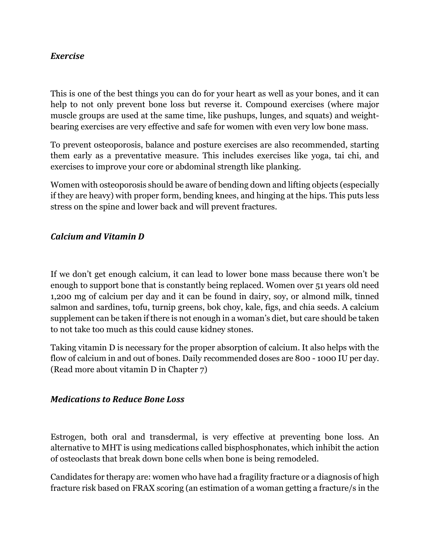#### *Exercise*

This is one of the best things you can do for your heart as well as your bones, and it can help to not only prevent bone loss but reverse it. Compound exercises (where major muscle groups are used at the same time, like pushups, lunges, and squats) and weightbearing exercises are very effective and safe for women with even very low bone mass.

To prevent osteoporosis, balance and posture exercises are also recommended, starting them early as a preventative measure. This includes exercises like yoga, tai chi, and exercises to improve your core or abdominal strength like planking.

Women with osteoporosis should be aware of bending down and lifting objects (especially if they are heavy) with proper form, bending knees, and hinging at the hips. This puts less stress on the spine and lower back and will prevent fractures.

#### *Calcium and Vitamin D*

If we don't get enough calcium, it can lead to lower bone mass because there won't be enough to support bone that is constantly being replaced. Women over 51 years old need 1,200 mg of calcium per day and it can be found in dairy, soy, or almond milk, tinned salmon and sardines, tofu, turnip greens, bok choy, kale, figs, and chia seeds. A calcium supplement can be taken if there is not enough in a woman's diet, but care should be taken to not take too much as this could cause kidney stones.

Taking vitamin D is necessary for the proper absorption of calcium. It also helps with the flow of calcium in and out of bones. Daily recommended doses are 800 - 1000 IU per day. (Read more about vitamin D in Chapter 7)

#### *Medications to Reduce Bone Loss*

Estrogen, both oral and transdermal, is very effective at preventing bone loss. An alternative to MHT is using medications called bisphosphonates, which inhibit the action of osteoclasts that break down bone cells when bone is being remodeled.

Candidates for therapy are: women who have had a fragility fracture or a diagnosis of high fracture risk based on FRAX scoring (an estimation of a woman getting a fracture/s in the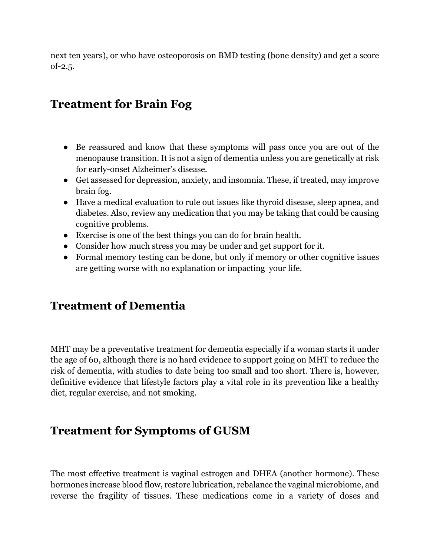next ten years), or who have osteoporosis on BMD testing (bone density) and get a score  $of -2.5.$ 

### **Treatment for Brain Fog**

- Be reassured and know that these symptoms will pass once you are out of the menopause transition. It is not a sign of dementia unless you are genetically at risk for early-onset Alzheimer's disease.
- Get assessed for depression, anxiety, and insomnia. These, if treated, may improve brain fog.
- Have a medical evaluation to rule out issues like thyroid disease, sleep apnea, and diabetes. Also, review any medication that you may be taking that could be causing cognitive problems.
- Exercise is one of the best things you can do for brain health.
- Consider how much stress you may be under and get support for it.
- Formal memory testing can be done, but only if memory or other cognitive issues are getting worse with no explanation or impacting your life.

### **Treatment of Dementia**

MHT may be a preventative treatment for dementia especially if a woman starts it under the age of 60, although there is no hard evidence to support going on MHT to reduce the risk of dementia, with studies to date being too small and too short. There is, however, definitive evidence that lifestyle factors play a vital role in its prevention like a healthy diet, regular exercise, and not smoking.

### **Treatment for Symptoms of GUSM**

The most effective treatment is vaginal estrogen and DHEA (another hormone). These hormones increase blood flow, restore lubrication, rebalance the vaginal microbiome, and reverse the fragility of tissues. These medications come in a variety of doses and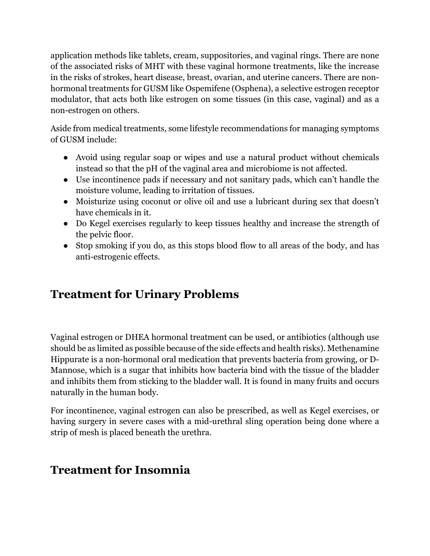application methods like tablets, cream, suppositories, and vaginal rings. There are none of the associated risks of MHT with these vaginal hormone treatments, like the increase in the risks of strokes, heart disease, breast, ovarian, and uterine cancers. There are nonhormonal treatments for GUSM like Ospemifene (Osphena), a selective estrogen receptor modulator, that acts both like estrogen on some tissues (in this case, vaginal) and as a non-estrogen on others.

Aside from medical treatments, some lifestyle recommendations for managing symptoms of GUSM include:

- Avoid using regular soap or wipes and use a natural product without chemicals instead so that the pH of the vaginal area and microbiome is not affected.
- Use incontinence pads if necessary and not sanitary pads, which can't handle the moisture volume, leading to irritation of tissues.
- Moisturize using coconut or olive oil and use a lubricant during sex that doesn't have chemicals in it.
- Do Kegel exercises regularly to keep tissues healthy and increase the strength of the pelvic floor.
- Stop smoking if you do, as this stops blood flow to all areas of the body, and has anti-estrogenic effects.

### **Treatment for Urinary Problems**

Vaginal estrogen or DHEA hormonal treatment can be used, or antibiotics (although use should be as limited as possible because of the side effects and health risks). Methenamine Hippurate is a non-hormonal oral medication that prevents bacteria from growing, or D-Mannose, which is a sugar that inhibits how bacteria bind with the tissue of the bladder and inhibits them from sticking to the bladder wall. It is found in many fruits and occurs naturally in the human body.

For incontinence, vaginal estrogen can also be prescribed, as well as Kegel exercises, or having surgery in severe cases with a mid-urethral sling operation being done where a strip of mesh is placed beneath the urethra.

### **Treatment for Insomnia**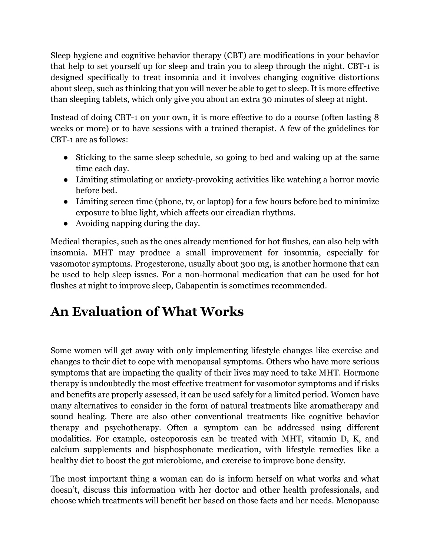Sleep hygiene and cognitive behavior therapy (CBT) are modifications in your behavior that help to set yourself up for sleep and train you to sleep through the night. CBT-1 is designed specifically to treat insomnia and it involves changing cognitive distortions about sleep, such as thinking that you will never be able to get to sleep. It is more effective than sleeping tablets, which only give you about an extra 30 minutes of sleep at night.

Instead of doing CBT-1 on your own, it is more effective to do a course (often lasting 8 weeks or more) or to have sessions with a trained therapist. A few of the guidelines for CBT-1 are as follows:

- Sticking to the same sleep schedule, so going to bed and waking up at the same time each day.
- Limiting stimulating or anxiety-provoking activities like watching a horror movie before bed.
- Limiting screen time (phone, tv, or laptop) for a few hours before bed to minimize exposure to blue light, which affects our circadian rhythms.
- Avoiding napping during the day.

Medical therapies, such as the ones already mentioned for hot flushes, can also help with insomnia. MHT may produce a small improvement for insomnia, especially for vasomotor symptoms. Progesterone, usually about 300 mg, is another hormone that can be used to help sleep issues. For a non-hormonal medication that can be used for hot flushes at night to improve sleep, Gabapentin is sometimes recommended.

# **An Evaluation of What Works**

Some women will get away with only implementing lifestyle changes like exercise and changes to their diet to cope with menopausal symptoms. Others who have more serious symptoms that are impacting the quality of their lives may need to take MHT. Hormone therapy is undoubtedly the most effective treatment for vasomotor symptoms and if risks and benefits are properly assessed, it can be used safely for a limited period. Women have many alternatives to consider in the form of natural treatments like aromatherapy and sound healing. There are also other conventional treatments like cognitive behavior therapy and psychotherapy. Often a symptom can be addressed using different modalities. For example, osteoporosis can be treated with MHT, vitamin D, K, and calcium supplements and bisphosphonate medication, with lifestyle remedies like a healthy diet to boost the gut microbiome, and exercise to improve bone density.

The most important thing a woman can do is inform herself on what works and what doesn't, discuss this information with her doctor and other health professionals, and choose which treatments will benefit her based on those facts and her needs. Menopause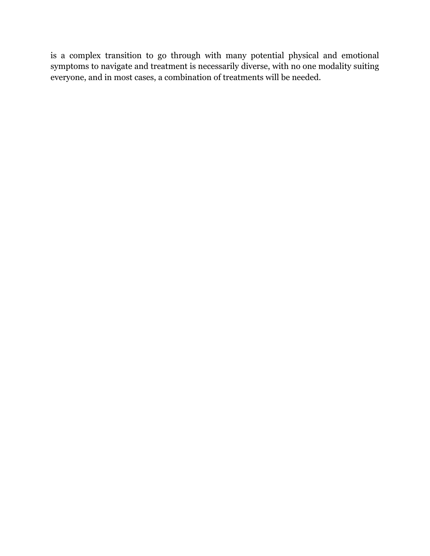is a complex transition to go through with many potential physical and emotional symptoms to navigate and treatment is necessarily diverse, with no one modality suiting everyone, and in most cases, a combination of treatments will be needed.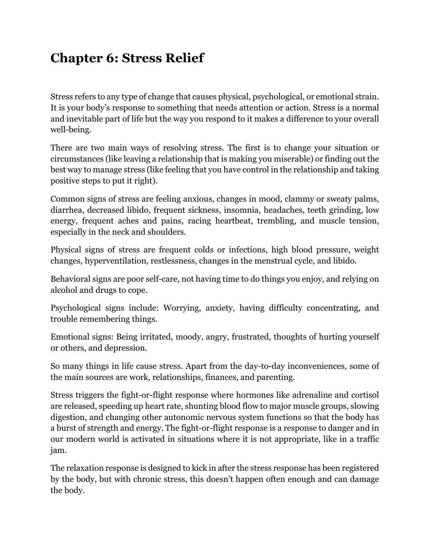# **Chapter 6: Stress Relief**

Stress refers to any type of change that causes physical, psychological, or emotional strain. It is your body's response to something that needs attention or action. Stress is a normal and inevitable part of life but the way you respond to it makes a difference to your overall well-being.

There are two main ways of resolving stress. The first is to change your situation or circumstances (like leaving a relationship that is making you miserable) or finding out the best way to manage stress (like feeling that you have control in the relationship and taking positive steps to put it right).

Common signs of stress are feeling anxious, changes in mood, clammy or sweaty palms, diarrhea, decreased libido, frequent sickness, insomnia, headaches, teeth grinding, low energy, frequent aches and pains, racing heartbeat, trembling, and muscle tension, especially in the neck and shoulders.

Physical signs of stress are frequent colds or infections, high blood pressure, weight changes, hyperventilation, restlessness, changes in the menstrual cycle, and libido.

Behavioral signs are poor self-care, not having time to do things you enjoy, and relying on alcohol and drugs to cope.

Psychological signs include: Worrying, anxiety, having difficulty concentrating, and trouble remembering things.

Emotional signs: Being irritated, moody, angry, frustrated, thoughts of hurting yourself or others, and depression.

So many things in life cause stress. Apart from the day-to-day inconveniences, some of the main sources are work, relationships, finances, and parenting.

Stress triggers the fight-or-flight response where hormones like adrenaline and cortisol are released, speeding up heart rate, shunting blood flow to major muscle groups, slowing digestion, and changing other autonomic nervous system functions so that the body has a burst of strength and energy. The fight-or-flight response is a response to danger and in our modern world is activated in situations where it is not appropriate, like in a traffic jam.

The relaxation response is designed to kick in after the stress response has been registered by the body, but with chronic stress, this doesn't happen often enough and can damage the body.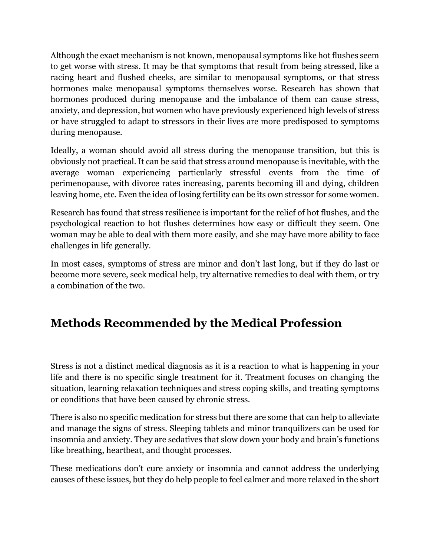Although the exact mechanism is not known, menopausal symptoms like hot flushes seem to get worse with stress. It may be that symptoms that result from being stressed, like a racing heart and flushed cheeks, are similar to menopausal symptoms, or that stress hormones make menopausal symptoms themselves worse. Research has shown that hormones produced during menopause and the imbalance of them can cause stress, anxiety, and depression, but women who have previously experienced high levels of stress or have struggled to adapt to stressors in their lives are more predisposed to symptoms during menopause.

Ideally, a woman should avoid all stress during the menopause transition, but this is obviously not practical. It can be said that stress around menopause is inevitable, with the average woman experiencing particularly stressful events from the time of perimenopause, with divorce rates increasing, parents becoming ill and dying, children leaving home, etc. Even the idea of losing fertility can be its own stressor for some women.

Research has found that stress resilience is important for the relief of hot flushes, and the psychological reaction to hot flushes determines how easy or difficult they seem. One woman may be able to deal with them more easily, and she may have more ability to face challenges in life generally.

In most cases, symptoms of stress are minor and don't last long, but if they do last or become more severe, seek medical help, try alternative remedies to deal with them, or try a combination of the two.

## **Methods Recommended by the Medical Profession**

Stress is not a distinct medical diagnosis as it is a reaction to what is happening in your life and there is no specific single treatment for it. Treatment focuses on changing the situation, learning relaxation techniques and stress coping skills, and treating symptoms or conditions that have been caused by chronic stress.

There is also no specific medication for stress but there are some that can help to alleviate and manage the signs of stress. Sleeping tablets and minor tranquilizers can be used for insomnia and anxiety. They are sedatives that slow down your body and brain's functions like breathing, heartbeat, and thought processes.

These medications don't cure anxiety or insomnia and cannot address the underlying causes of these issues, but they do help people to feel calmer and more relaxed in the short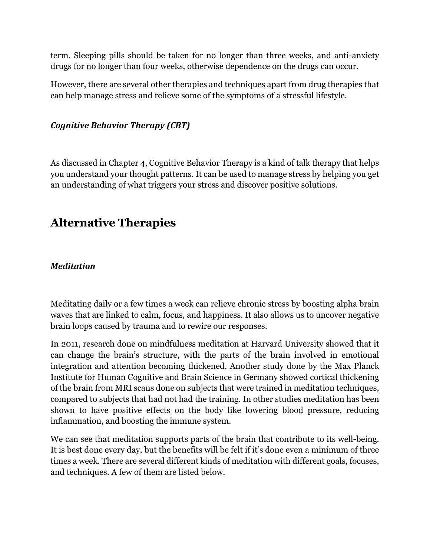term. Sleeping pills should be taken for no longer than three weeks, and anti-anxiety drugs for no longer than four weeks, otherwise dependence on the drugs can occur.

However, there are several other therapies and techniques apart from drug therapies that can help manage stress and relieve some of the symptoms of a stressful lifestyle.

### *Cognitive Behavior Therapy (CBT)*

As discussed in Chapter 4, Cognitive Behavior Therapy is a kind of talk therapy that helps you understand your thought patterns. It can be used to manage stress by helping you get an understanding of what triggers your stress and discover positive solutions.

### **Alternative Therapies**

### *Meditation*

Meditating daily or a few times a week can relieve chronic stress by boosting alpha brain waves that are linked to calm, focus, and happiness. It also allows us to uncover negative brain loops caused by trauma and to rewire our responses.

In 2011, research done on mindfulness meditation at Harvard University showed that it can change the brain's structure, with the parts of the brain involved in emotional integration and attention becoming thickened. Another study done by the Max Planck Institute for Human Cognitive and Brain Science in Germany showed cortical thickening of the brain from MRI scans done on subjects that were trained in meditation techniques, compared to subjects that had not had the training. In other studies meditation has been shown to have positive effects on the body like lowering blood pressure, reducing inflammation, and boosting the immune system.

We can see that meditation supports parts of the brain that contribute to its well-being. It is best done every day, but the benefits will be felt if it's done even a minimum of three times a week. There are several different kinds of meditation with different goals, focuses, and techniques. A few of them are listed below.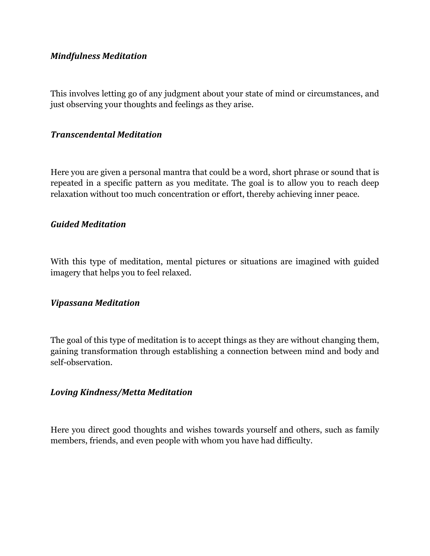#### *Mindfulness Meditation*

This involves letting go of any judgment about your state of mind or circumstances, and just observing your thoughts and feelings as they arise.

#### *Transcendental Meditation*

Here you are given a personal mantra that could be a word, short phrase or sound that is repeated in a specific pattern as you meditate. The goal is to allow you to reach deep relaxation without too much concentration or effort, thereby achieving inner peace.

#### *Guided Meditation*

With this type of meditation, mental pictures or situations are imagined with guided imagery that helps you to feel relaxed.

#### *Vipassana Meditation*

The goal of this type of meditation is to accept things as they are without changing them, gaining transformation through establishing a connection between mind and body and self-observation.

#### *Loving Kindness/Metta Meditation*

Here you direct good thoughts and wishes towards yourself and others, such as family members, friends, and even people with whom you have had difficulty.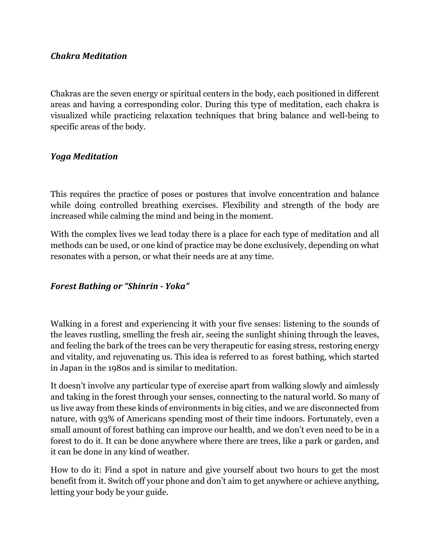#### *Chakra Meditation*

Chakras are the seven energy or spiritual centers in the body, each positioned in different areas and having a corresponding color. During this type of meditation, each chakra is visualized while practicing relaxation techniques that bring balance and well-being to specific areas of the body.

### *Yoga Meditation*

This requires the practice of poses or postures that involve concentration and balance while doing controlled breathing exercises. Flexibility and strength of the body are increased while calming the mind and being in the moment.

With the complex lives we lead today there is a place for each type of meditation and all methods can be used, or one kind of practice may be done exclusively, depending on what resonates with a person, or what their needs are at any time.

### *Forest Bathing or "Shinrin - Yoka"*

Walking in a forest and experiencing it with your five senses: listening to the sounds of the leaves rustling, smelling the fresh air, seeing the sunlight shining through the leaves, and feeling the bark of the trees can be very therapeutic for easing stress, restoring energy and vitality, and rejuvenating us. This idea is referred to as forest bathing, which started in Japan in the 1980s and is similar to meditation.

It doesn't involve any particular type of exercise apart from walking slowly and aimlessly and taking in the forest through your senses, connecting to the natural world. So many of us live away from these kinds of environments in big cities, and we are disconnected from nature, with 93% of Americans spending most of their time indoors. Fortunately, even a small amount of forest bathing can improve our health, and we don't even need to be in a forest to do it. It can be done anywhere where there are trees, like a park or garden, and it can be done in any kind of weather.

How to do it: Find a spot in nature and give yourself about two hours to get the most benefit from it. Switch off your phone and don't aim to get anywhere or achieve anything, letting your body be your guide.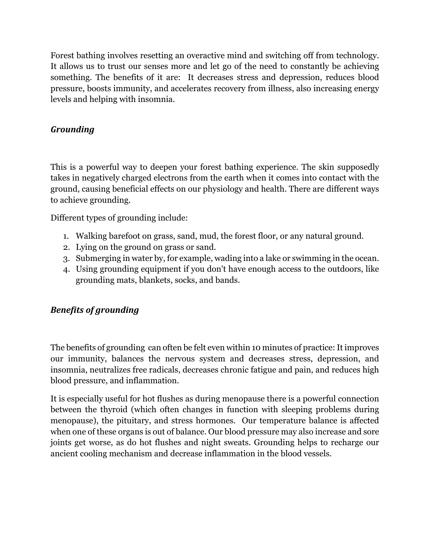Forest bathing involves resetting an overactive mind and switching off from technology. It allows us to trust our senses more and let go of the need to constantly be achieving something. The benefits of it are: It decreases stress and depression, reduces blood pressure, boosts immunity, and accelerates recovery from illness, also increasing energy levels and helping with insomnia.

### *Grounding*

This is a powerful way to deepen your forest bathing experience. The skin supposedly takes in negatively charged electrons from the earth when it comes into contact with the ground, causing beneficial effects on our physiology and health. There are different ways to achieve grounding.

Different types of grounding include:

- 1. Walking barefoot on grass, sand, mud, the forest floor, or any natural ground.
- 2. Lying on the ground on grass or sand.
- 3. Submerging in water by, for example, wading into a lake or swimming in the ocean.
- 4. Using grounding equipment if you don't have enough access to the outdoors, like grounding mats, blankets, socks, and bands.

### *Benefits of grounding*

The benefits of grounding can often be felt even within 10 minutes of practice: It improves our immunity, balances the nervous system and decreases stress, depression, and insomnia, neutralizes free radicals, decreases chronic fatigue and pain, and reduces high blood pressure, and inflammation.

It is especially useful for hot flushes as during menopause there is a powerful connection between the thyroid (which often changes in function with sleeping problems during menopause), the pituitary, and stress hormones. Our temperature balance is affected when one of these organs is out of balance. Our blood pressure may also increase and sore joints get worse, as do hot flushes and night sweats. Grounding helps to recharge our ancient cooling mechanism and decrease inflammation in the blood vessels.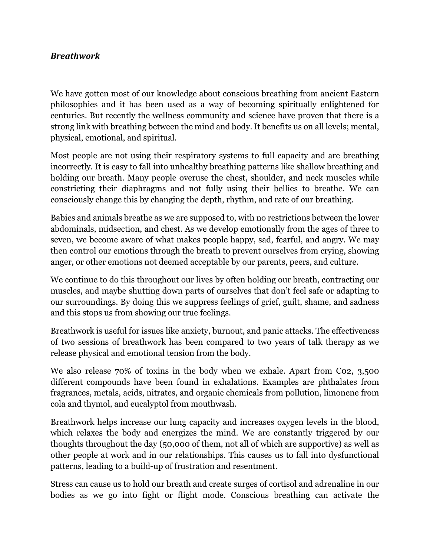#### *Breathwork*

We have gotten most of our knowledge about conscious breathing from ancient Eastern philosophies and it has been used as a way of becoming spiritually enlightened for centuries. But recently the wellness community and science have proven that there is a strong link with breathing between the mind and body. It benefits us on all levels; mental, physical, emotional, and spiritual.

Most people are not using their respiratory systems to full capacity and are breathing incorrectly. It is easy to fall into unhealthy breathing patterns like shallow breathing and holding our breath. Many people overuse the chest, shoulder, and neck muscles while constricting their diaphragms and not fully using their bellies to breathe. We can consciously change this by changing the depth, rhythm, and rate of our breathing.

Babies and animals breathe as we are supposed to, with no restrictions between the lower abdominals, midsection, and chest. As we develop emotionally from the ages of three to seven, we become aware of what makes people happy, sad, fearful, and angry. We may then control our emotions through the breath to prevent ourselves from crying, showing anger, or other emotions not deemed acceptable by our parents, peers, and culture.

We continue to do this throughout our lives by often holding our breath, contracting our muscles, and maybe shutting down parts of ourselves that don't feel safe or adapting to our surroundings. By doing this we suppress feelings of grief, guilt, shame, and sadness and this stops us from showing our true feelings.

Breathwork is useful for issues like anxiety, burnout, and panic attacks. The effectiveness of two sessions of breathwork has been compared to two years of talk therapy as we release physical and emotional tension from the body.

We also release 70% of toxins in the body when we exhale. Apart from C02, 3,500 different compounds have been found in exhalations. Examples are phthalates from fragrances, metals, acids, nitrates, and organic chemicals from pollution, limonene from cola and thymol, and eucalyptol from mouthwash.

Breathwork helps increase our lung capacity and increases oxygen levels in the blood, which relaxes the body and energizes the mind. We are constantly triggered by our thoughts throughout the day (50,000 of them, not all of which are supportive) as well as other people at work and in our relationships. This causes us to fall into dysfunctional patterns, leading to a build-up of frustration and resentment.

Stress can cause us to hold our breath and create surges of cortisol and adrenaline in our bodies as we go into fight or flight mode. Conscious breathing can activate the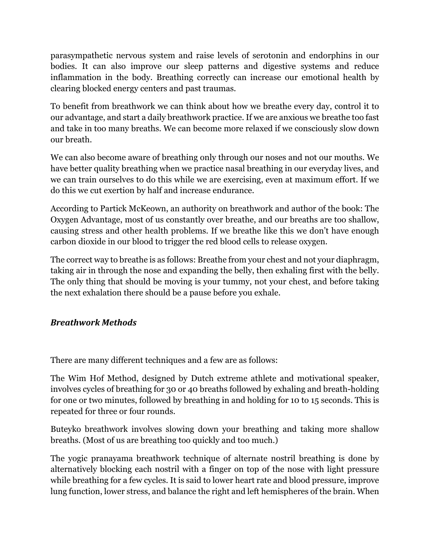parasympathetic nervous system and raise levels of serotonin and endorphins in our bodies. It can also improve our sleep patterns and digestive systems and reduce inflammation in the body. Breathing correctly can increase our emotional health by clearing blocked energy centers and past traumas.

To benefit from breathwork we can think about how we breathe every day, control it to our advantage, and start a daily breathwork practice. If we are anxious we breathe too fast and take in too many breaths. We can become more relaxed if we consciously slow down our breath.

We can also become aware of breathing only through our noses and not our mouths. We have better quality breathing when we practice nasal breathing in our everyday lives, and we can train ourselves to do this while we are exercising, even at maximum effort. If we do this we cut exertion by half and increase endurance.

According to Partick McKeown, an authority on breathwork and author of the book: The Oxygen Advantage, most of us constantly over breathe, and our breaths are too shallow, causing stress and other health problems. If we breathe like this we don't have enough carbon dioxide in our blood to trigger the red blood cells to release oxygen.

The correct way to breathe is as follows: Breathe from your chest and not your diaphragm, taking air in through the nose and expanding the belly, then exhaling first with the belly. The only thing that should be moving is your tummy, not your chest, and before taking the next exhalation there should be a pause before you exhale.

#### *Breathwork Methods*

There are many different techniques and a few are as follows:

The Wim Hof Method, designed by Dutch extreme athlete and motivational speaker, involves cycles of breathing for 30 or 40 breaths followed by exhaling and breath-holding for one or two minutes, followed by breathing in and holding for 10 to 15 seconds. This is repeated for three or four rounds.

Buteyko breathwork involves slowing down your breathing and taking more shallow breaths. (Most of us are breathing too quickly and too much.)

The yogic pranayama breathwork technique of alternate nostril breathing is done by alternatively blocking each nostril with a finger on top of the nose with light pressure while breathing for a few cycles. It is said to lower heart rate and blood pressure, improve lung function, lower stress, and balance the right and left hemispheres of the brain. When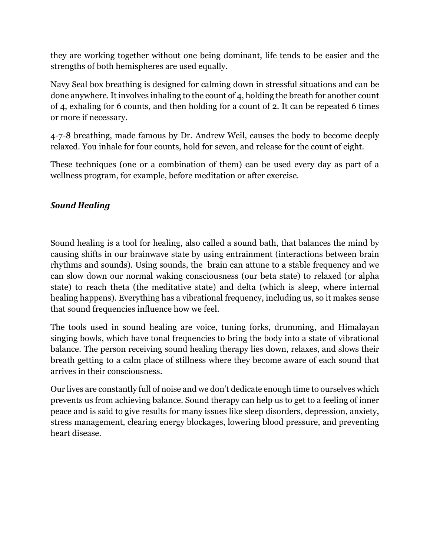they are working together without one being dominant, life tends to be easier and the strengths of both hemispheres are used equally.

Navy Seal box breathing is designed for calming down in stressful situations and can be done anywhere. It involves inhaling to the count of 4, holding the breath for another count of 4, exhaling for 6 counts, and then holding for a count of 2. It can be repeated 6 times or more if necessary.

4-7-8 breathing, made famous by Dr. Andrew Weil, causes the body to become deeply relaxed. You inhale for four counts, hold for seven, and release for the count of eight.

These techniques (one or a combination of them) can be used every day as part of a wellness program, for example, before meditation or after exercise.

#### *Sound Healing*

Sound healing is a tool for healing, also called a sound bath, that balances the mind by causing shifts in our brainwave state by using entrainment (interactions between brain rhythms and sounds). Using sounds, the brain can attune to a stable frequency and we can slow down our normal waking consciousness (our beta state) to relaxed (or alpha state) to reach theta (the meditative state) and delta (which is sleep, where internal healing happens). Everything has a vibrational frequency, including us, so it makes sense that sound frequencies influence how we feel.

The tools used in sound healing are voice, tuning forks, drumming, and Himalayan singing bowls, which have tonal frequencies to bring the body into a state of vibrational balance. The person receiving sound healing therapy lies down, relaxes, and slows their breath getting to a calm place of stillness where they become aware of each sound that arrives in their consciousness.

Our lives are constantly full of noise and we don't dedicate enough time to ourselves which prevents us from achieving balance. Sound therapy can help us to get to a feeling of inner peace and is said to give results for many issues like sleep disorders, depression, anxiety, stress management, clearing energy blockages, lowering blood pressure, and preventing heart disease.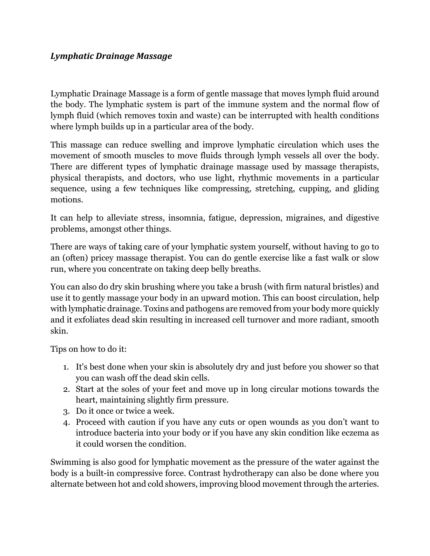#### *Lymphatic Drainage Massage*

Lymphatic Drainage Massage is a form of gentle massage that moves lymph fluid around the body. The lymphatic system is part of the immune system and the normal flow of lymph fluid (which removes toxin and waste) can be interrupted with health conditions where lymph builds up in a particular area of the body.

This massage can reduce swelling and improve lymphatic circulation which uses the movement of smooth muscles to move fluids through lymph vessels all over the body. There are different types of lymphatic drainage massage used by massage therapists, physical therapists, and doctors, who use light, rhythmic movements in a particular sequence, using a few techniques like compressing, stretching, cupping, and gliding motions.

It can help to alleviate stress, insomnia, fatigue, depression, migraines, and digestive problems, amongst other things.

There are ways of taking care of your lymphatic system yourself, without having to go to an (often) pricey massage therapist. You can do gentle exercise like a fast walk or slow run, where you concentrate on taking deep belly breaths.

You can also do dry skin brushing where you take a brush (with firm natural bristles) and use it to gently massage your body in an upward motion. This can boost circulation, help with lymphatic drainage. Toxins and pathogens are removed from your body more quickly and it exfoliates dead skin resulting in increased cell turnover and more radiant, smooth skin.

Tips on how to do it:

- 1. It's best done when your skin is absolutely dry and just before you shower so that you can wash off the dead skin cells.
- 2. Start at the soles of your feet and move up in long circular motions towards the heart, maintaining slightly firm pressure.
- 3. Do it once or twice a week.
- 4. Proceed with caution if you have any cuts or open wounds as you don't want to introduce bacteria into your body or if you have any skin condition like eczema as it could worsen the condition.

Swimming is also good for lymphatic movement as the pressure of the water against the body is a built-in compressive force. Contrast hydrotherapy can also be done where you alternate between hot and cold showers, improving blood movement through the arteries.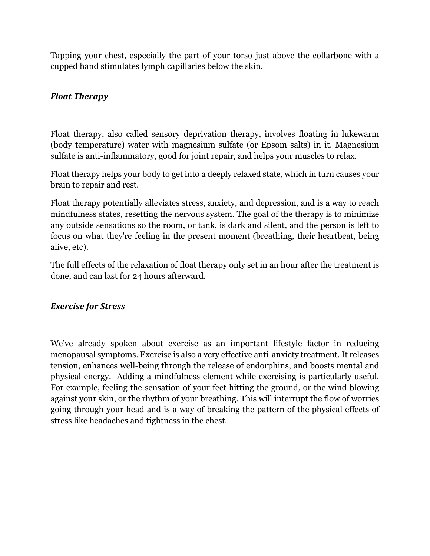Tapping your chest, especially the part of your torso just above the collarbone with a cupped hand stimulates lymph capillaries below the skin.

#### *Float Therapy*

Float therapy, also called sensory deprivation therapy, involves floating in lukewarm (body temperature) water with magnesium sulfate (or Epsom salts) in it. Magnesium sulfate is anti-inflammatory, good for joint repair, and helps your muscles to relax.

Float therapy helps your body to get into a deeply relaxed state, which in turn causes your brain to repair and rest.

Float therapy potentially alleviates stress, anxiety, and depression, and is a way to reach mindfulness states, resetting the nervous system. The goal of the therapy is to minimize any outside sensations so the room, or tank, is dark and silent, and the person is left to focus on what they're feeling in the present moment (breathing, their heartbeat, being alive, etc).

The full effects of the relaxation of float therapy only set in an hour after the treatment is done, and can last for 24 hours afterward.

#### *Exercise for Stress*

We've already spoken about exercise as an important lifestyle factor in reducing menopausal symptoms. Exercise is also a very effective anti-anxiety treatment. It releases tension, enhances well-being through the release of endorphins, and boosts mental and physical energy. Adding a mindfulness element while exercising is particularly useful. For example, feeling the sensation of your feet hitting the ground, or the wind blowing against your skin, or the rhythm of your breathing. This will interrupt the flow of worries going through your head and is a way of breaking the pattern of the physical effects of stress like headaches and tightness in the chest.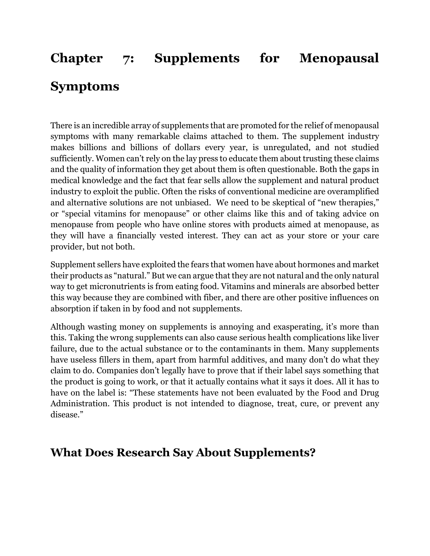# **Chapter 7: Supplements for Menopausal Symptoms**

There is an incredible array of supplements that are promoted for the relief of menopausal symptoms with many remarkable claims attached to them. The supplement industry makes billions and billions of dollars every year, is unregulated, and not studied sufficiently. Women can't rely on the lay press to educate them about trusting these claims and the quality of information they get about them is often questionable. Both the gaps in medical knowledge and the fact that fear sells allow the supplement and natural product industry to exploit the public. Often the risks of conventional medicine are overamplified and alternative solutions are not unbiased. We need to be skeptical of "new therapies," or "special vitamins for menopause" or other claims like this and of taking advice on menopause from people who have online stores with products aimed at menopause, as they will have a financially vested interest. They can act as your store or your care provider, but not both.

Supplement sellers have exploited the fears that women have about hormones and market their products as "natural." But we can argue that they are not natural and the only natural way to get micronutrients is from eating food. Vitamins and minerals are absorbed better this way because they are combined with fiber, and there are other positive influences on absorption if taken in by food and not supplements.

Although wasting money on supplements is annoying and exasperating, it's more than this. Taking the wrong supplements can also cause serious health complications like liver failure, due to the actual substance or to the contaminants in them. Many supplements have useless fillers in them, apart from harmful additives, and many don't do what they claim to do. Companies don't legally have to prove that if their label says something that the product is going to work, or that it actually contains what it says it does. All it has to have on the label is: "These statements have not been evaluated by the Food and Drug Administration. This product is not intended to diagnose, treat, cure, or prevent any disease."

### **What Does Research Say About Supplements?**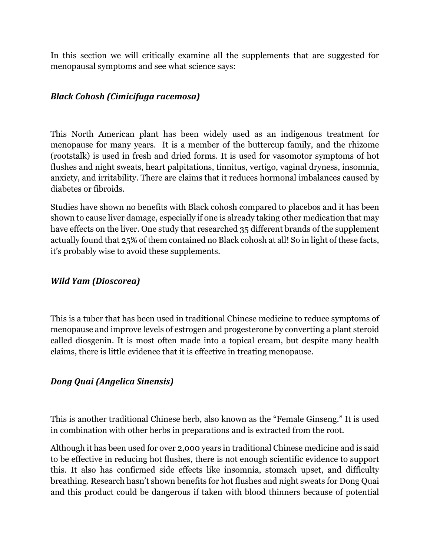In this section we will critically examine all the supplements that are suggested for menopausal symptoms and see what science says:

#### *Black Cohosh (Cimicifuga racemosa)*

This North American plant has been widely used as an indigenous treatment for menopause for many years. It is a member of the buttercup family, and the rhizome (rootstalk) is used in fresh and dried forms. It is used for vasomotor symptoms of hot flushes and night sweats, heart palpitations, tinnitus, vertigo, vaginal dryness, insomnia, anxiety, and irritability. There are claims that it reduces hormonal imbalances caused by diabetes or fibroids.

Studies have shown no benefits with Black cohosh compared to placebos and it has been shown to cause liver damage, especially if one is already taking other medication that may have effects on the liver. One study that researched 35 different brands of the supplement actually found that 25% of them contained no Black cohosh at all! So in light of these facts, it's probably wise to avoid these supplements.

#### *Wild Yam (Dioscorea)*

This is a tuber that has been used in traditional Chinese medicine to reduce symptoms of menopause and improve levels of estrogen and progesterone by converting a plant steroid called diosgenin. It is most often made into a topical cream, but despite many health claims, there is little evidence that it is effective in treating menopause.

#### *Dong Quai (Angelica Sinensis)*

This is another traditional Chinese herb, also known as the "Female Ginseng." It is used in combination with other herbs in preparations and is extracted from the root.

Although it has been used for over 2,000 years in traditional Chinese medicine and is said to be effective in reducing hot flushes, there is not enough scientific evidence to support this. It also has confirmed side effects like insomnia, stomach upset, and difficulty breathing. Research hasn't shown benefits for hot flushes and night sweats for Dong Quai and this product could be dangerous if taken with blood thinners because of potential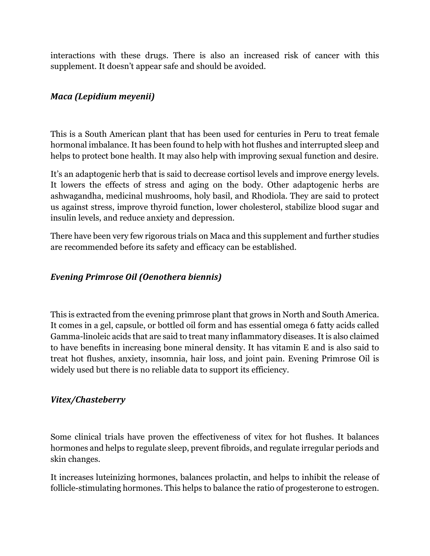interactions with these drugs. There is also an increased risk of cancer with this supplement. It doesn't appear safe and should be avoided.

#### *Maca (Lepidium meyenii)*

This is a South American plant that has been used for centuries in Peru to treat female hormonal imbalance. It has been found to help with hot flushes and interrupted sleep and helps to protect bone health. It may also help with improving sexual function and desire.

It's an adaptogenic herb that is said to decrease cortisol levels and improve energy levels. It lowers the effects of stress and aging on the body. Other adaptogenic herbs are ashwagandha, medicinal mushrooms, holy basil, and Rhodiola. They are said to protect us against stress, improve thyroid function, lower cholesterol, stabilize blood sugar and insulin levels, and reduce anxiety and depression.

There have been very few rigorous trials on Maca and this supplement and further studies are recommended before its safety and efficacy can be established.

#### *Evening Primrose Oil (Oenothera biennis)*

This is extracted from the evening primrose plant that grows in North and South America. It comes in a gel, capsule, or bottled oil form and has essential omega 6 fatty acids called Gamma-linoleic acids that are said to treat many inflammatory diseases. It is also claimed to have benefits in increasing bone mineral density. It has vitamin E and is also said to treat hot flushes, anxiety, insomnia, hair loss, and joint pain. Evening Primrose Oil is widely used but there is no reliable data to support its efficiency.

#### *Vitex/Chasteberry*

Some clinical trials have proven the effectiveness of vitex for hot flushes. It balances hormones and helps to regulate sleep, prevent fibroids, and regulate irregular periods and skin changes.

It increases luteinizing hormones, balances prolactin, and helps to inhibit the release of follicle-stimulating hormones. This helps to balance the ratio of progesterone to estrogen.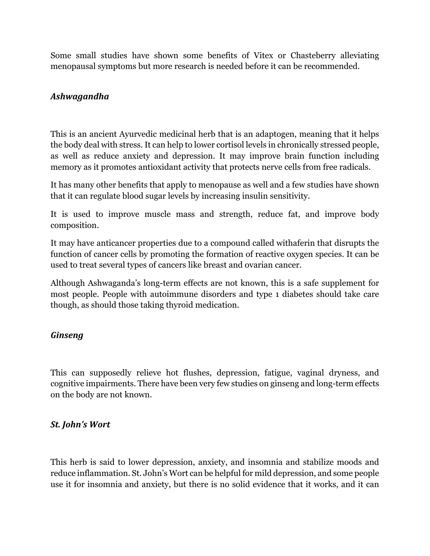Some small studies have shown some benefits of Vitex or Chasteberry alleviating menopausal symptoms but more research is needed before it can be recommended.

#### *Ashwagandha*

This is an ancient Ayurvedic medicinal herb that is an adaptogen, meaning that it helps the body deal with stress. It can help to lower cortisol levels in chronically stressed people, as well as reduce anxiety and depression. It may improve brain function including memory as it promotes antioxidant activity that protects nerve cells from free radicals.

It has many other benefits that apply to menopause as well and a few studies have shown that it can regulate blood sugar levels by increasing insulin sensitivity.

It is used to improve muscle mass and strength, reduce fat, and improve body composition.

It may have anticancer properties due to a compound called withaferin that disrupts the function of cancer cells by promoting the formation of reactive oxygen species. It can be used to treat several types of cancers like breast and ovarian cancer.

Although Ashwaganda's long-term effects are not known, this is a safe supplement for most people. People with autoimmune disorders and type 1 diabetes should take care though, as should those taking thyroid medication.

#### *Ginseng*

This can supposedly relieve hot flushes, depression, fatigue, vaginal dryness, and cognitive impairments. There have been very few studies on ginseng and long-term effects on the body are not known.

#### *St. John's* Wort

This herb is said to lower depression, anxiety, and insomnia and stabilize moods and reduce inflammation. St. John's Wort can be helpful for mild depression, and some people use it for insomnia and anxiety, but there is no solid evidence that it works, and it can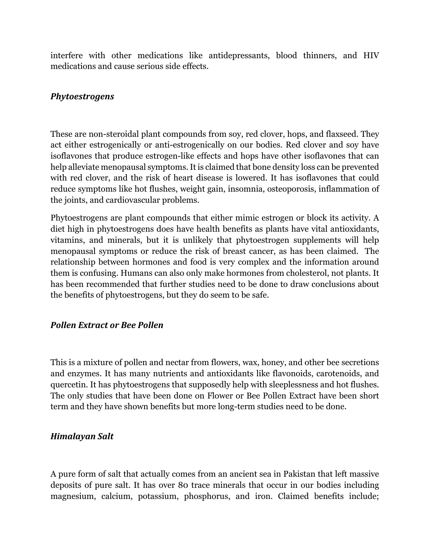interfere with other medications like antidepressants, blood thinners, and HIV medications and cause serious side effects.

#### *Phytoestrogens*

These are non-steroidal plant compounds from soy, red clover, hops, and flaxseed. They act either estrogenically or anti-estrogenically on our bodies. Red clover and soy have isoflavones that produce estrogen-like effects and hops have other isoflavones that can help alleviate menopausal symptoms. It is claimed that bone density loss can be prevented with red clover, and the risk of heart disease is lowered. It has isoflavones that could reduce symptoms like hot flushes, weight gain, insomnia, osteoporosis, inflammation of the joints, and cardiovascular problems.

Phytoestrogens are plant compounds that either mimic estrogen or block its activity. A diet high in phytoestrogens does have health benefits as plants have vital antioxidants, vitamins, and minerals, but it is unlikely that phytoestrogen supplements will help menopausal symptoms or reduce the risk of breast cancer, as has been claimed. The relationship between hormones and food is very complex and the information around them is confusing. Humans can also only make hormones from cholesterol, not plants. It has been recommended that further studies need to be done to draw conclusions about the benefits of phytoestrogens, but they do seem to be safe.

#### *Pollen Extract or Bee Pollen*

This is a mixture of pollen and nectar from flowers, wax, honey, and other bee secretions and enzymes. It has many nutrients and antioxidants like flavonoids, carotenoids, and quercetin. It has phytoestrogens that supposedly help with sleeplessness and hot flushes. The only studies that have been done on Flower or Bee Pollen Extract have been short term and they have shown benefits but more long-term studies need to be done.

#### *Himalayan Salt*

A pure form of salt that actually comes from an ancient sea in Pakistan that left massive deposits of pure salt. It has over 80 trace minerals that occur in our bodies including magnesium, calcium, potassium, phosphorus, and iron. Claimed benefits include;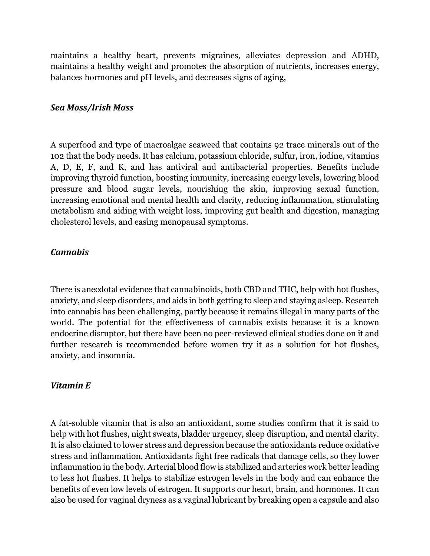maintains a healthy heart, prevents migraines, alleviates depression and ADHD, maintains a healthy weight and promotes the absorption of nutrients, increases energy, balances hormones and pH levels, and decreases signs of aging,

#### *Sea Moss/Irish Moss*

A superfood and type of macroalgae seaweed that contains 92 trace minerals out of the 102 that the body needs. It has calcium, potassium chloride, sulfur, iron, iodine, vitamins A, D, E, F, and K, and has antiviral and antibacterial properties. Benefits include improving thyroid function, boosting immunity, increasing energy levels, lowering blood pressure and blood sugar levels, nourishing the skin, improving sexual function, increasing emotional and mental health and clarity, reducing inflammation, stimulating metabolism and aiding with weight loss, improving gut health and digestion, managing cholesterol levels, and easing menopausal symptoms.

#### *Cannabis*

There is anecdotal evidence that cannabinoids, both CBD and THC, help with hot flushes, anxiety, and sleep disorders, and aids in both getting to sleep and staying asleep. Research into cannabis has been challenging, partly because it remains illegal in many parts of the world. The potential for the effectiveness of cannabis exists because it is a known endocrine disruptor, but there have been no peer-reviewed clinical studies done on it and further research is recommended before women try it as a solution for hot flushes, anxiety, and insomnia.

#### *Vitamin E*

A fat-soluble vitamin that is also an antioxidant, some studies confirm that it is said to help with hot flushes, night sweats, bladder urgency, sleep disruption, and mental clarity. It is also claimed to lower stress and depression because the antioxidants reduce oxidative stress and inflammation. Antioxidants fight free radicals that damage cells, so they lower inflammation in the body. Arterial blood flow is stabilized and arteries work better leading to less hot flushes. It helps to stabilize estrogen levels in the body and can enhance the benefits of even low levels of estrogen. It supports our heart, brain, and hormones. It can also be used for vaginal dryness as a vaginal lubricant by breaking open a capsule and also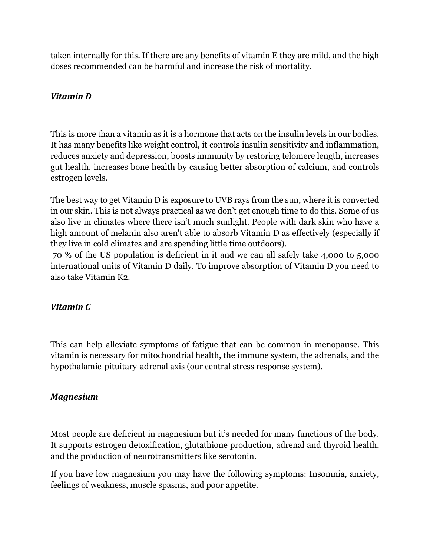taken internally for this. If there are any benefits of vitamin E they are mild, and the high doses recommended can be harmful and increase the risk of mortality.

#### *Vitamin D*

This is more than a vitamin as it is a hormone that acts on the insulin levels in our bodies. It has many benefits like weight control, it controls insulin sensitivity and inflammation, reduces anxiety and depression, boosts immunity by restoring telomere length, increases gut health, increases bone health by causing better absorption of calcium, and controls estrogen levels.

The best way to get Vitamin D is exposure to UVB rays from the sun, where it is converted in our skin. This is not always practical as we don't get enough time to do this. Some of us also live in climates where there isn't much sunlight. People with dark skin who have a high amount of melanin also aren't able to absorb Vitamin D as effectively (especially if they live in cold climates and are spending little time outdoors).

70 % of the US population is deficient in it and we can all safely take 4,000 to 5,000 international units of Vitamin D daily. To improve absorption of Vitamin D you need to also take Vitamin K2.

#### *Vitamin C*

This can help alleviate symptoms of fatigue that can be common in menopause. This vitamin is necessary for mitochondrial health, the immune system, the adrenals, and the hypothalamic-pituitary-adrenal axis (our central stress response system).

#### *Magnesium*

Most people are deficient in magnesium but it's needed for many functions of the body. It supports estrogen detoxification, glutathione production, adrenal and thyroid health, and the production of neurotransmitters like serotonin.

If you have low magnesium you may have the following symptoms: Insomnia, anxiety, feelings of weakness, muscle spasms, and poor appetite.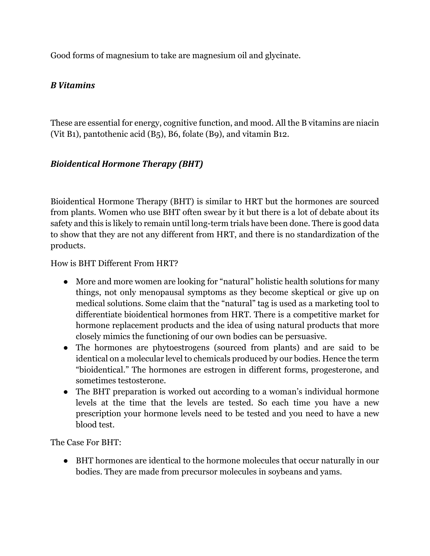Good forms of magnesium to take are magnesium oil and glycinate.

#### *B Vitamins*

These are essential for energy, cognitive function, and mood. All the B vitamins are niacin (Vit B1), pantothenic acid (B5), B6, folate (B9), and vitamin B12.

#### *Bioidentical Hormone Therapy (BHT)*

Bioidentical Hormone Therapy (BHT) is similar to HRT but the hormones are sourced from plants. Women who use BHT often swear by it but there is a lot of debate about its safety and this is likely to remain until long-term trials have been done. There is good data to show that they are not any different from HRT, and there is no standardization of the products.

How is BHT Different From HRT?

- More and more women are looking for "natural" holistic health solutions for many things, not only menopausal symptoms as they become skeptical or give up on medical solutions. Some claim that the "natural" tag is used as a marketing tool to differentiate bioidentical hormones from HRT. There is a competitive market for hormone replacement products and the idea of using natural products that more closely mimics the functioning of our own bodies can be persuasive.
- The hormones are phytoestrogens (sourced from plants) and are said to be identical on a molecular level to chemicals produced by our bodies. Hence the term "bioidentical." The hormones are estrogen in different forms, progesterone, and sometimes testosterone.
- The BHT preparation is worked out according to a woman's individual hormone levels at the time that the levels are tested. So each time you have a new prescription your hormone levels need to be tested and you need to have a new blood test.

The Case For BHT:

● BHT hormones are identical to the hormone molecules that occur naturally in our bodies. They are made from precursor molecules in soybeans and yams.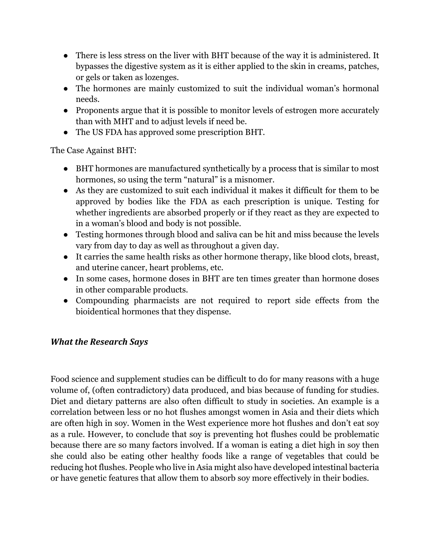- There is less stress on the liver with BHT because of the way it is administered. It bypasses the digestive system as it is either applied to the skin in creams, patches, or gels or taken as lozenges.
- The hormones are mainly customized to suit the individual woman's hormonal needs.
- Proponents argue that it is possible to monitor levels of estrogen more accurately than with MHT and to adjust levels if need be.
- The US FDA has approved some prescription BHT.

The Case Against BHT:

- BHT hormones are manufactured synthetically by a process that is similar to most hormones, so using the term "natural" is a misnomer.
- As they are customized to suit each individual it makes it difficult for them to be approved by bodies like the FDA as each prescription is unique. Testing for whether ingredients are absorbed properly or if they react as they are expected to in a woman's blood and body is not possible.
- Testing hormones through blood and saliva can be hit and miss because the levels vary from day to day as well as throughout a given day.
- It carries the same health risks as other hormone therapy, like blood clots, breast, and uterine cancer, heart problems, etc.
- In some cases, hormone doses in BHT are ten times greater than hormone doses in other comparable products.
- Compounding pharmacists are not required to report side effects from the bioidentical hormones that they dispense.

#### *What the Research Says*

Food science and supplement studies can be difficult to do for many reasons with a huge volume of, (often contradictory) data produced, and bias because of funding for studies. Diet and dietary patterns are also often difficult to study in societies. An example is a correlation between less or no hot flushes amongst women in Asia and their diets which are often high in soy. Women in the West experience more hot flushes and don't eat soy as a rule. However, to conclude that soy is preventing hot flushes could be problematic because there are so many factors involved. If a woman is eating a diet high in soy then she could also be eating other healthy foods like a range of vegetables that could be reducing hot flushes. People who live in Asia might also have developed intestinal bacteria or have genetic features that allow them to absorb soy more effectively in their bodies.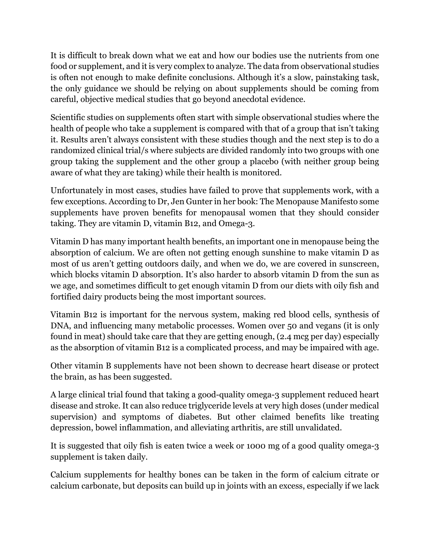It is difficult to break down what we eat and how our bodies use the nutrients from one food or supplement, and it is very complex to analyze. The data from observational studies is often not enough to make definite conclusions. Although it's a slow, painstaking task, the only guidance we should be relying on about supplements should be coming from careful, objective medical studies that go beyond anecdotal evidence.

Scientific studies on supplements often start with simple observational studies where the health of people who take a supplement is compared with that of a group that isn't taking it. Results aren't always consistent with these studies though and the next step is to do a randomized clinical trial/s where subjects are divided randomly into two groups with one group taking the supplement and the other group a placebo (with neither group being aware of what they are taking) while their health is monitored.

Unfortunately in most cases, studies have failed to prove that supplements work, with a few exceptions. According to Dr, Jen Gunter in her book: The Menopause Manifesto some supplements have proven benefits for menopausal women that they should consider taking. They are vitamin D, vitamin B12, and Omega-3.

Vitamin D has many important health benefits, an important one in menopause being the absorption of calcium. We are often not getting enough sunshine to make vitamin D as most of us aren't getting outdoors daily, and when we do, we are covered in sunscreen, which blocks vitamin D absorption. It's also harder to absorb vitamin D from the sun as we age, and sometimes difficult to get enough vitamin D from our diets with oily fish and fortified dairy products being the most important sources.

Vitamin B12 is important for the nervous system, making red blood cells, synthesis of DNA, and influencing many metabolic processes. Women over 50 and vegans (it is only found in meat) should take care that they are getting enough, (2.4 mcg per day) especially as the absorption of vitamin B12 is a complicated process, and may be impaired with age.

Other vitamin B supplements have not been shown to decrease heart disease or protect the brain, as has been suggested.

A large clinical trial found that taking a good-quality omega-3 supplement reduced heart disease and stroke. It can also reduce triglyceride levels at very high doses (under medical supervision) and symptoms of diabetes. But other claimed benefits like treating depression, bowel inflammation, and alleviating arthritis, are still unvalidated.

It is suggested that oily fish is eaten twice a week or 1000 mg of a good quality omega-3 supplement is taken daily.

Calcium supplements for healthy bones can be taken in the form of calcium citrate or calcium carbonate, but deposits can build up in joints with an excess, especially if we lack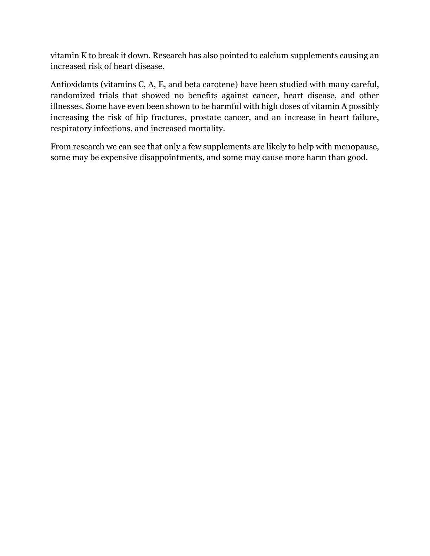vitamin K to break it down. Research has also pointed to calcium supplements causing an increased risk of heart disease.

Antioxidants (vitamins C, A, E, and beta carotene) have been studied with many careful, randomized trials that showed no benefits against cancer, heart disease, and other illnesses. Some have even been shown to be harmful with high doses of vitamin A possibly increasing the risk of hip fractures, prostate cancer, and an increase in heart failure, respiratory infections, and increased mortality.

From research we can see that only a few supplements are likely to help with menopause, some may be expensive disappointments, and some may cause more harm than good.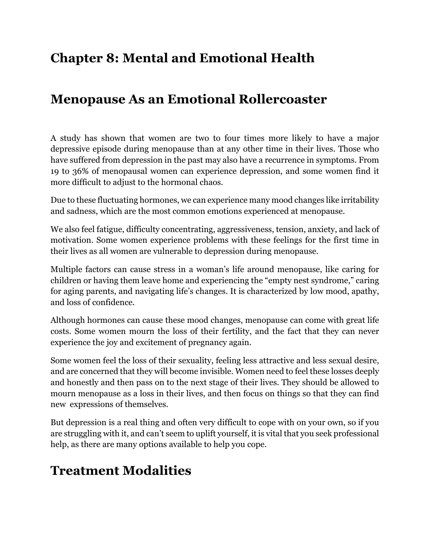# **Chapter 8: Mental and Emotional Health**

# **Menopause As an Emotional Rollercoaster**

A study has shown that women are two to four times more likely to have a major depressive episode during menopause than at any other time in their lives. Those who have suffered from depression in the past may also have a recurrence in symptoms. From 19 to 36% of menopausal women can experience depression, and some women find it more difficult to adjust to the hormonal chaos.

Due to these fluctuating hormones, we can experience many mood changes like irritability and sadness, which are the most common emotions experienced at menopause.

We also feel fatigue, difficulty concentrating, aggressiveness, tension, anxiety, and lack of motivation. Some women experience problems with these feelings for the first time in their lives as all women are vulnerable to depression during menopause.

Multiple factors can cause stress in a woman's life around menopause, like caring for children or having them leave home and experiencing the "empty nest syndrome," caring for aging parents, and navigating life's changes. It is characterized by low mood, apathy, and loss of confidence.

Although hormones can cause these mood changes, menopause can come with great life costs. Some women mourn the loss of their fertility, and the fact that they can never experience the joy and excitement of pregnancy again.

Some women feel the loss of their sexuality, feeling less attractive and less sexual desire, and are concerned that they will become invisible. Women need to feel these losses deeply and honestly and then pass on to the next stage of their lives. They should be allowed to mourn menopause as a loss in their lives, and then focus on things so that they can find new expressions of themselves.

But depression is a real thing and often very difficult to cope with on your own, so if you are struggling with it, and can't seem to uplift yourself, it is vital that you seek professional help, as there are many options available to help you cope.

# **Treatment Modalities**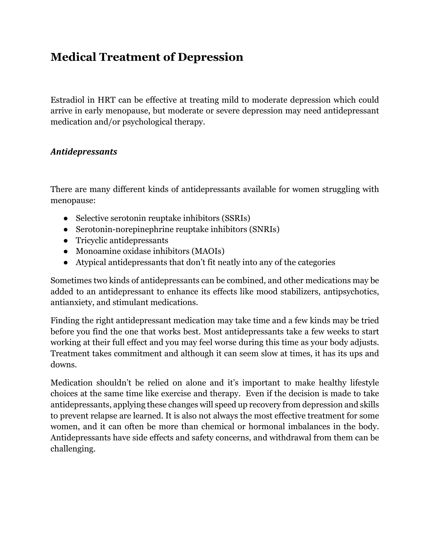### **Medical Treatment of Depression**

Estradiol in HRT can be effective at treating mild to moderate depression which could arrive in early menopause, but moderate or severe depression may need antidepressant medication and/or psychological therapy.

#### *Antidepressants*

There are many different kinds of antidepressants available for women struggling with menopause:

- Selective serotonin reuptake inhibitors (SSRIs)
- Serotonin-norepinephrine reuptake inhibitors (SNRIs)
- Tricyclic antidepressants
- Monoamine oxidase inhibitors (MAOIs)
- Atypical antidepressants that don't fit neatly into any of the categories

Sometimes two kinds of antidepressants can be combined, and other medications may be added to an antidepressant to enhance its effects like mood stabilizers, antipsychotics, antianxiety, and stimulant medications.

Finding the right antidepressant medication may take time and a few kinds may be tried before you find the one that works best. Most antidepressants take a few weeks to start working at their full effect and you may feel worse during this time as your body adjusts. Treatment takes commitment and although it can seem slow at times, it has its ups and downs.

Medication shouldn't be relied on alone and it's important to make healthy lifestyle choices at the same time like exercise and therapy. Even if the decision is made to take antidepressants, applying these changes will speed up recovery from depression and skills to prevent relapse are learned. It is also not always the most effective treatment for some women, and it can often be more than chemical or hormonal imbalances in the body. Antidepressants have side effects and safety concerns, and withdrawal from them can be challenging.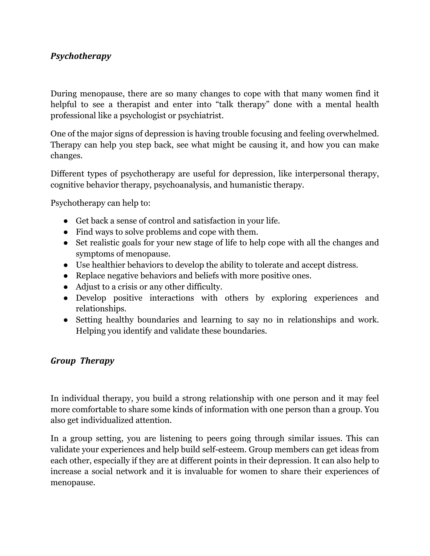#### *Psychotherapy*

During menopause, there are so many changes to cope with that many women find it helpful to see a therapist and enter into "talk therapy" done with a mental health professional like a psychologist or psychiatrist.

One of the major signs of depression is having trouble focusing and feeling overwhelmed. Therapy can help you step back, see what might be causing it, and how you can make changes.

Different types of psychotherapy are useful for depression, like interpersonal therapy, cognitive behavior therapy, psychoanalysis, and humanistic therapy.

Psychotherapy can help to:

- Get back a sense of control and satisfaction in your life.
- Find ways to solve problems and cope with them.
- Set realistic goals for your new stage of life to help cope with all the changes and symptoms of menopause.
- Use healthier behaviors to develop the ability to tolerate and accept distress.
- Replace negative behaviors and beliefs with more positive ones.
- Adjust to a crisis or any other difficulty.
- Develop positive interactions with others by exploring experiences and relationships.
- Setting healthy boundaries and learning to say no in relationships and work. Helping you identify and validate these boundaries.

#### *Group Therapy*

In individual therapy, you build a strong relationship with one person and it may feel more comfortable to share some kinds of information with one person than a group. You also get individualized attention.

In a group setting, you are listening to peers going through similar issues. This can validate your experiences and help build self-esteem. Group members can get ideas from each other, especially if they are at different points in their depression. It can also help to increase a social network and it is invaluable for women to share their experiences of menopause.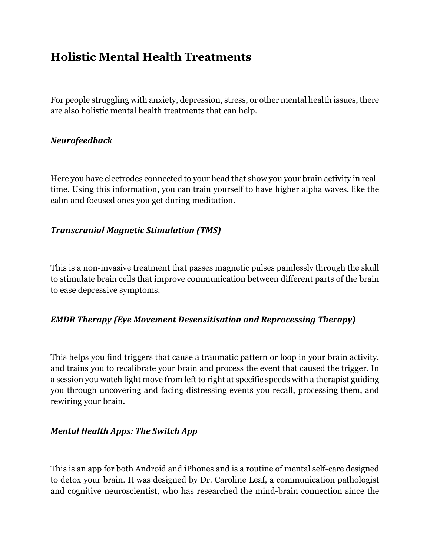### **Holistic Mental Health Treatments**

For people struggling with anxiety, depression, stress, or other mental health issues, there are also holistic mental health treatments that can help.

#### *Neurofeedback*

Here you have electrodes connected to your head that show you your brain activity in realtime. Using this information, you can train yourself to have higher alpha waves, like the calm and focused ones you get during meditation.

#### *Transcranial Magnetic Stimulation (TMS)*

This is a non-invasive treatment that passes magnetic pulses painlessly through the skull to stimulate brain cells that improve communication between different parts of the brain to ease depressive symptoms.

#### *EMDR Therapy (Eye Movement Desensitisation and Reprocessing Therapy)*

This helps you find triggers that cause a traumatic pattern or loop in your brain activity, and trains you to recalibrate your brain and process the event that caused the trigger. In a session you watch light move from left to right at specific speeds with a therapist guiding you through uncovering and facing distressing events you recall, processing them, and rewiring your brain.

#### *Mental Health Apps: The Switch App*

This is an app for both Android and iPhones and is a routine of mental self-care designed to detox your brain. It was designed by Dr. Caroline Leaf, a communication pathologist and cognitive neuroscientist, who has researched the mind-brain connection since the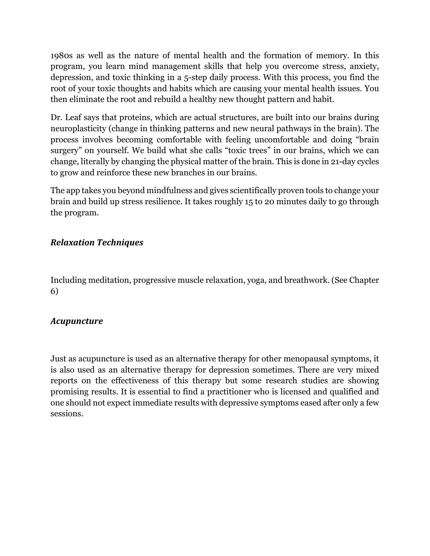1980s as well as the nature of mental health and the formation of memory. In this program, you learn mind management skills that help you overcome stress, anxiety, depression, and toxic thinking in a 5-step daily process. With this process, you find the root of your toxic thoughts and habits which are causing your mental health issues. You then eliminate the root and rebuild a healthy new thought pattern and habit.

Dr. Leaf says that proteins, which are actual structures, are built into our brains during neuroplasticity (change in thinking patterns and new neural pathways in the brain). The process involves becoming comfortable with feeling uncomfortable and doing "brain surgery" on yourself. We build what she calls "toxic trees" in our brains, which we can change, literally by changing the physical matter of the brain. This is done in 21-day cycles to grow and reinforce these new branches in our brains.

The app takes you beyond mindfulness and gives scientifically proven tools to change your brain and build up stress resilience. It takes roughly 15 to 20 minutes daily to go through the program.

#### *Relaxation Techniques*

Including meditation, progressive muscle relaxation, yoga, and breathwork. (See Chapter 6)

#### *Acupuncture*

Just as acupuncture is used as an alternative therapy for other menopausal symptoms, it is also used as an alternative therapy for depression sometimes. There are very mixed reports on the effectiveness of this therapy but some research studies are showing promising results. It is essential to find a practitioner who is licensed and qualified and one should not expect immediate results with depressive symptoms eased after only a few sessions.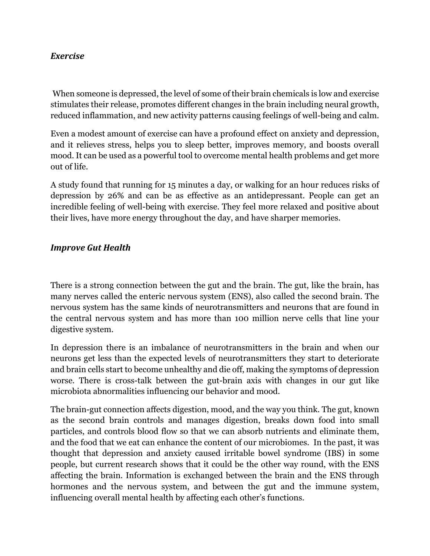#### *Exercise*

When someone is depressed, the level of some of their brain chemicals is low and exercise stimulates their release, promotes different changes in the brain including neural growth, reduced inflammation, and new activity patterns causing feelings of well-being and calm.

Even a modest amount of exercise can have a profound effect on anxiety and depression, and it relieves stress, helps you to sleep better, improves memory, and boosts overall mood. It can be used as a powerful tool to overcome mental health problems and get more out of life.

A study found that running for 15 minutes a day, or walking for an hour reduces risks of depression by 26% and can be as effective as an antidepressant. People can get an incredible feeling of well-being with exercise. They feel more relaxed and positive about their lives, have more energy throughout the day, and have sharper memories.

#### *Improve Gut Health*

There is a strong connection between the gut and the brain. The gut, like the brain, has many nerves called the enteric nervous system (ENS), also called the second brain. The nervous system has the same kinds of neurotransmitters and neurons that are found in the central nervous system and has more than 100 million nerve cells that line your digestive system.

In depression there is an imbalance of neurotransmitters in the brain and when our neurons get less than the expected levels of neurotransmitters they start to deteriorate and brain cells start to become unhealthy and die off, making the symptoms of depression worse. There is cross-talk between the gut-brain axis with changes in our gut like microbiota abnormalities influencing our behavior and mood.

The brain-gut connection affects digestion, mood, and the way you think. The gut, known as the second brain controls and manages digestion, breaks down food into small particles, and controls blood flow so that we can absorb nutrients and eliminate them, and the food that we eat can enhance the content of our microbiomes. In the past, it was thought that depression and anxiety caused irritable bowel syndrome (IBS) in some people, but current research shows that it could be the other way round, with the ENS affecting the brain. Information is exchanged between the brain and the ENS through hormones and the nervous system, and between the gut and the immune system, influencing overall mental health by affecting each other's functions.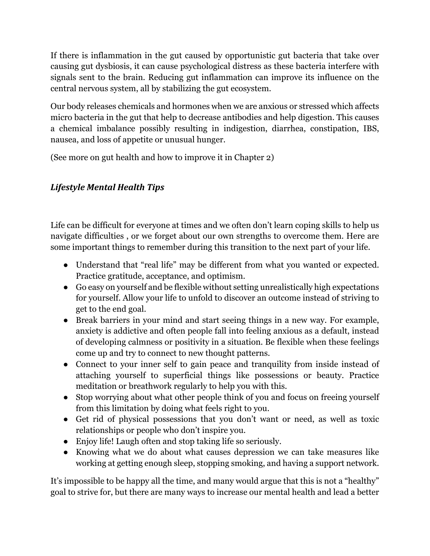If there is inflammation in the gut caused by opportunistic gut bacteria that take over causing gut dysbiosis, it can cause psychological distress as these bacteria interfere with signals sent to the brain. Reducing gut inflammation can improve its influence on the central nervous system, all by stabilizing the gut ecosystem.

Our body releases chemicals and hormones when we are anxious or stressed which affects micro bacteria in the gut that help to decrease antibodies and help digestion. This causes a chemical imbalance possibly resulting in indigestion, diarrhea, constipation, IBS, nausea, and loss of appetite or unusual hunger.

(See more on gut health and how to improve it in Chapter 2)

#### *Lifestyle Mental Health Tips*

Life can be difficult for everyone at times and we often don't learn coping skills to help us navigate difficulties , or we forget about our own strengths to overcome them. Here are some important things to remember during this transition to the next part of your life.

- Understand that "real life" may be different from what you wanted or expected. Practice gratitude, acceptance, and optimism.
- Go easy on yourself and be flexible without setting unrealistically high expectations for yourself. Allow your life to unfold to discover an outcome instead of striving to get to the end goal.
- Break barriers in your mind and start seeing things in a new way. For example, anxiety is addictive and often people fall into feeling anxious as a default, instead of developing calmness or positivity in a situation. Be flexible when these feelings come up and try to connect to new thought patterns.
- Connect to your inner self to gain peace and tranquility from inside instead of attaching yourself to superficial things like possessions or beauty. Practice meditation or breathwork regularly to help you with this.
- Stop worrying about what other people think of you and focus on freeing yourself from this limitation by doing what feels right to you.
- Get rid of physical possessions that you don't want or need, as well as toxic relationships or people who don't inspire you.
- Enjoy life! Laugh often and stop taking life so seriously.
- Knowing what we do about what causes depression we can take measures like working at getting enough sleep, stopping smoking, and having a support network.

It's impossible to be happy all the time, and many would argue that this is not a "healthy" goal to strive for, but there are many ways to increase our mental health and lead a better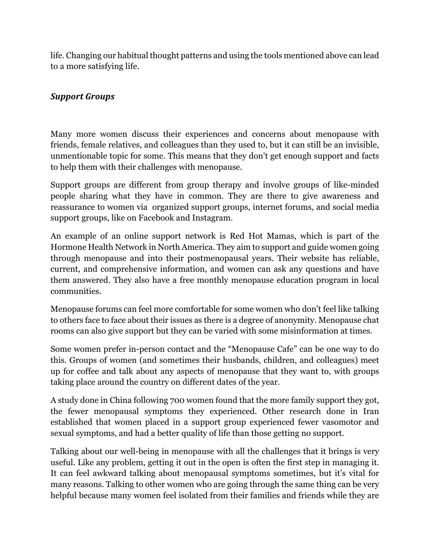life. Changing our habitual thought patterns and using the tools mentioned above can lead to a more satisfying life.

#### *Support Groups*

Many more women discuss their experiences and concerns about menopause with friends, female relatives, and colleagues than they used to, but it can still be an invisible, unmentionable topic for some. This means that they don't get enough support and facts to help them with their challenges with menopause.

Support groups are different from group therapy and involve groups of like-minded people sharing what they have in common. They are there to give awareness and reassurance to women via organized support groups, internet forums, and social media support groups, like on Facebook and Instagram.

An example of an online support network is Red Hot Mamas, which is part of the Hormone Health Network in North America. They aim to support and guide women going through menopause and into their postmenopausal years. Their website has reliable, current, and comprehensive information, and women can ask any questions and have them answered. They also have a free monthly menopause education program in local communities.

Menopause forums can feel more comfortable for some women who don't feel like talking to others face to face about their issues as there is a degree of anonymity. Menopause chat rooms can also give support but they can be varied with some misinformation at times.

Some women prefer in-person contact and the "Menopause Cafe" can be one way to do this. Groups of women (and sometimes their husbands, children, and colleagues) meet up for coffee and talk about any aspects of menopause that they want to, with groups taking place around the country on different dates of the year.

A study done in China following 700 women found that the more family support they got, the fewer menopausal symptoms they experienced. Other research done in Iran established that women placed in a support group experienced fewer vasomotor and sexual symptoms, and had a better quality of life than those getting no support.

Talking about our well-being in menopause with all the challenges that it brings is very useful. Like any problem, getting it out in the open is often the first step in managing it. It can feel awkward talking about menopausal symptoms sometimes, but it's vital for many reasons. Talking to other women who are going through the same thing can be very helpful because many women feel isolated from their families and friends while they are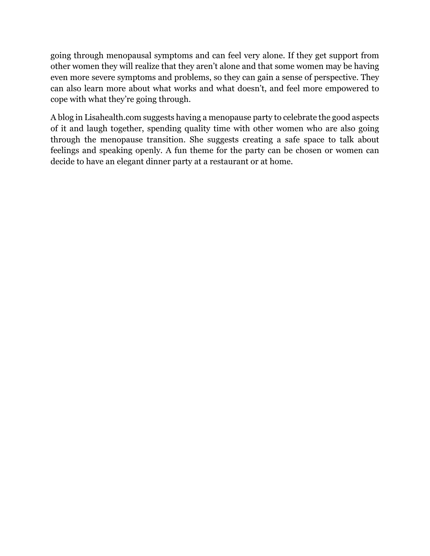going through menopausal symptoms and can feel very alone. If they get support from other women they will realize that they aren't alone and that some women may be having even more severe symptoms and problems, so they can gain a sense of perspective. They can also learn more about what works and what doesn't, and feel more empowered to cope with what they're going through.

A blog in Lisahealth.com suggests having a menopause party to celebrate the good aspects of it and laugh together, spending quality time with other women who are also going through the menopause transition. She suggests creating a safe space to talk about feelings and speaking openly. A fun theme for the party can be chosen or women can decide to have an elegant dinner party at a restaurant or at home.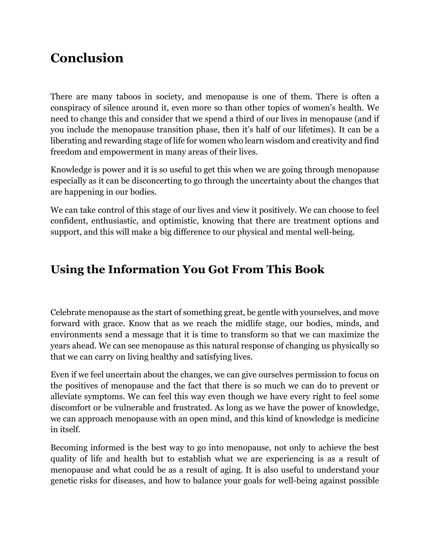# **Conclusion**

There are many taboos in society, and menopause is one of them. There is often a conspiracy of silence around it, even more so than other topics of women's health. We need to change this and consider that we spend a third of our lives in menopause (and if you include the menopause transition phase, then it's half of our lifetimes). It can be a liberating and rewarding stage of life for women who learn wisdom and creativity and find freedom and empowerment in many areas of their lives.

Knowledge is power and it is so useful to get this when we are going through menopause especially as it can be disconcerting to go through the uncertainty about the changes that are happening in our bodies.

We can take control of this stage of our lives and view it positively. We can choose to feel confident, enthusiastic, and optimistic, knowing that there are treatment options and support, and this will make a big difference to our physical and mental well-being.

### **Using the Information You Got From This Book**

Celebrate menopause as the start of something great, be gentle with yourselves, and move forward with grace. Know that as we reach the midlife stage, our bodies, minds, and environments send a message that it is time to transform so that we can maximize the years ahead. We can see menopause as this natural response of changing us physically so that we can carry on living healthy and satisfying lives.

Even if we feel uncertain about the changes, we can give ourselves permission to focus on the positives of menopause and the fact that there is so much we can do to prevent or alleviate symptoms. We can feel this way even though we have every right to feel some discomfort or be vulnerable and frustrated. As long as we have the power of knowledge, we can approach menopause with an open mind, and this kind of knowledge is medicine in itself.

Becoming informed is the best way to go into menopause, not only to achieve the best quality of life and health but to establish what we are experiencing is as a result of menopause and what could be as a result of aging. It is also useful to understand your genetic risks for diseases, and how to balance your goals for well-being against possible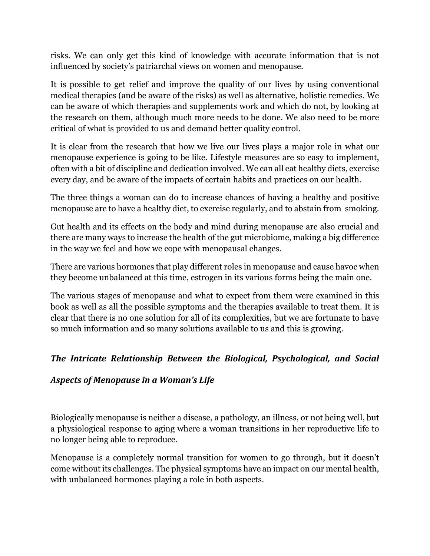risks. We can only get this kind of knowledge with accurate information that is not influenced by society's patriarchal views on women and menopause.

It is possible to get relief and improve the quality of our lives by using conventional medical therapies (and be aware of the risks) as well as alternative, holistic remedies. We can be aware of which therapies and supplements work and which do not, by looking at the research on them, although much more needs to be done. We also need to be more critical of what is provided to us and demand better quality control.

It is clear from the research that how we live our lives plays a major role in what our menopause experience is going to be like. Lifestyle measures are so easy to implement, often with a bit of discipline and dedication involved. We can all eat healthy diets, exercise every day, and be aware of the impacts of certain habits and practices on our health.

The three things a woman can do to increase chances of having a healthy and positive menopause are to have a healthy diet, to exercise regularly, and to abstain from smoking.

Gut health and its effects on the body and mind during menopause are also crucial and there are many ways to increase the health of the gut microbiome, making a big difference in the way we feel and how we cope with menopausal changes.

There are various hormones that play different roles in menopause and cause havoc when they become unbalanced at this time, estrogen in its various forms being the main one.

The various stages of menopause and what to expect from them were examined in this book as well as all the possible symptoms and the therapies available to treat them. It is clear that there is no one solution for all of its complexities, but we are fortunate to have so much information and so many solutions available to us and this is growing.

#### The Intricate Relationship Between the Biological, Psychological, and Social

#### Aspects of Menopause in a Woman's Life

Biologically menopause is neither a disease, a pathology, an illness, or not being well, but a physiological response to aging where a woman transitions in her reproductive life to no longer being able to reproduce.

Menopause is a completely normal transition for women to go through, but it doesn't come without its challenges. The physical symptoms have an impact on our mental health, with unbalanced hormones playing a role in both aspects.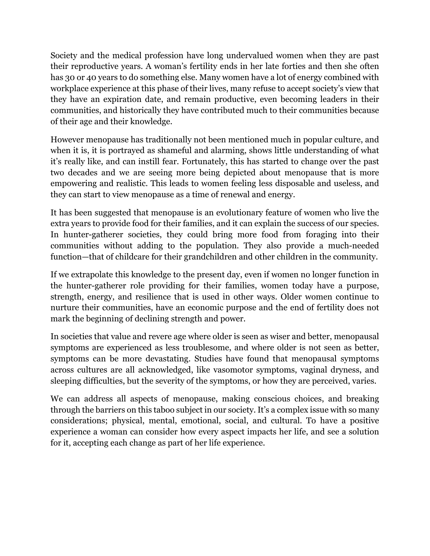Society and the medical profession have long undervalued women when they are past their reproductive years. A woman's fertility ends in her late forties and then she often has 30 or 40 years to do something else. Many women have a lot of energy combined with workplace experience at this phase of their lives, many refuse to accept society's view that they have an expiration date, and remain productive, even becoming leaders in their communities, and historically they have contributed much to their communities because of their age and their knowledge.

However menopause has traditionally not been mentioned much in popular culture, and when it is, it is portrayed as shameful and alarming, shows little understanding of what it's really like, and can instill fear. Fortunately, this has started to change over the past two decades and we are seeing more being depicted about menopause that is more empowering and realistic. This leads to women feeling less disposable and useless, and they can start to view menopause as a time of renewal and energy.

It has been suggested that menopause is an evolutionary feature of women who live the extra years to provide food for their families, and it can explain the success of our species. In hunter-gatherer societies, they could bring more food from foraging into their communities without adding to the population. They also provide a much-needed function—that of childcare for their grandchildren and other children in the community.

If we extrapolate this knowledge to the present day, even if women no longer function in the hunter-gatherer role providing for their families, women today have a purpose, strength, energy, and resilience that is used in other ways. Older women continue to nurture their communities, have an economic purpose and the end of fertility does not mark the beginning of declining strength and power.

In societies that value and revere age where older is seen as wiser and better, menopausal symptoms are experienced as less troublesome, and where older is not seen as better, symptoms can be more devastating. Studies have found that menopausal symptoms across cultures are all acknowledged, like vasomotor symptoms, vaginal dryness, and sleeping difficulties, but the severity of the symptoms, or how they are perceived, varies.

We can address all aspects of menopause, making conscious choices, and breaking through the barriers on this taboo subject in our society. It's a complex issue with so many considerations; physical, mental, emotional, social, and cultural. To have a positive experience a woman can consider how every aspect impacts her life, and see a solution for it, accepting each change as part of her life experience.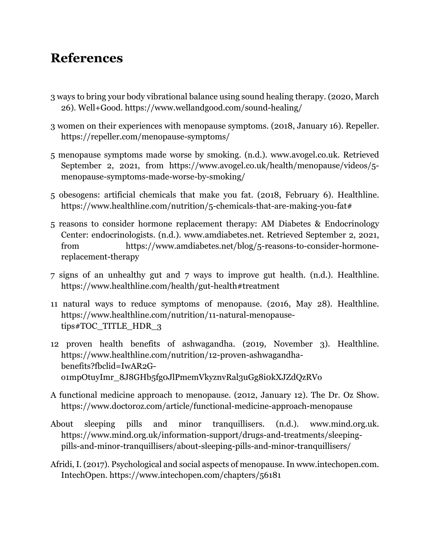### **References**

- 3 ways to bring your body vibrational balance using sound healing therapy. (2020, March 26). Well+Good. https://www.wellandgood.com/sound-healing/
- 3 women on their experiences with menopause symptoms. (2018, January 16). Repeller. https://repeller.com/menopause-symptoms/
- 5 menopause symptoms made worse by smoking. (n.d.). www.avogel.co.uk. Retrieved September 2, 2021, from https://www.avogel.co.uk/health/menopause/videos/5 menopause-symptoms-made-worse-by-smoking/
- 5 obesogens: artificial chemicals that make you fat. (2018, February 6). Healthline. https://www.healthline.com/nutrition/5-chemicals-that-are-making-you-fat#
- 5 reasons to consider hormone replacement therapy: AM Diabetes & Endocrinology Center: endocrinologists. (n.d.). www.amdiabetes.net. Retrieved September 2, 2021, from https://www.amdiabetes.net/blog/5-reasons-to-consider-hormonereplacement-therapy
- 7 signs of an unhealthy gut and 7 ways to improve gut health. (n.d.). Healthline. https://www.healthline.com/health/gut-health#treatment
- 11 natural ways to reduce symptoms of menopause. (2016, May 28). Healthline. https://www.healthline.com/nutrition/11-natural-menopausetips#TOC\_TITLE\_HDR\_3
- 12 proven health benefits of ashwagandha. (2019, November 3). Healthline. https://www.healthline.com/nutrition/12-proven-ashwagandhabenefits?fbclid=IwAR2Go1mpOtuyImr\_8J8GHb5fg0JlPmemVkyznvRal3uGg8i0kXJZdQzRVo
- A functional medicine approach to menopause. (2012, January 12). The Dr. Oz Show. https://www.doctoroz.com/article/functional-medicine-approach-menopause
- About sleeping pills and minor tranquillisers. (n.d.). www.mind.org.uk. https://www.mind.org.uk/information-support/drugs-and-treatments/sleepingpills-and-minor-tranquillisers/about-sleeping-pills-and-minor-tranquillisers/
- Afridi, I. (2017). Psychological and social aspects of menopause. In www.intechopen.com. IntechOpen. https://www.intechopen.com/chapters/56181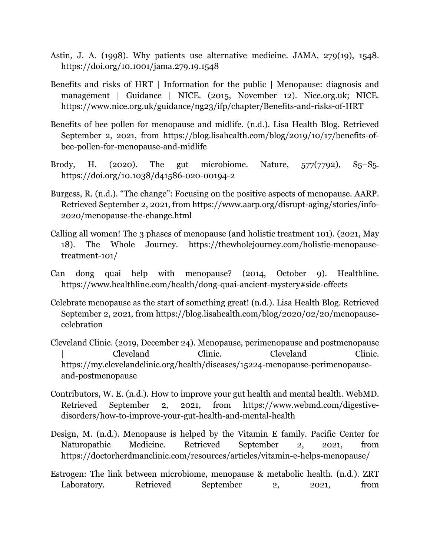- Astin, J. A. (1998). Why patients use alternative medicine. JAMA, 279(19), 1548. https://doi.org/10.1001/jama.279.19.1548
- Benefits and risks of HRT | Information for the public | Menopause: diagnosis and management | Guidance | NICE. (2015, November 12). Nice.org.uk; NICE. https://www.nice.org.uk/guidance/ng23/ifp/chapter/Benefits-and-risks-of-HRT
- Benefits of bee pollen for menopause and midlife. (n.d.). Lisa Health Blog. Retrieved September 2, 2021, from https://blog.lisahealth.com/blog/2019/10/17/benefits-ofbee-pollen-for-menopause-and-midlife
- Brody, H. (2020). The gut microbiome. Nature,  $577(7792)$ ,  $S_5-S_5$ . https://doi.org/10.1038/d41586-020-00194-2
- Burgess, R. (n.d.). "The change": Focusing on the positive aspects of menopause. AARP. Retrieved September 2, 2021, from https://www.aarp.org/disrupt-aging/stories/info-2020/menopause-the-change.html
- Calling all women! The 3 phases of menopause (and holistic treatment 101). (2021, May 18). The Whole Journey. https://thewholejourney.com/holistic-menopausetreatment-101/
- Can dong quai help with menopause? (2014, October 9). Healthline. https://www.healthline.com/health/dong-quai-ancient-mystery#side-effects
- Celebrate menopause as the start of something great! (n.d.). Lisa Health Blog. Retrieved September 2, 2021, from https://blog.lisahealth.com/blog/2020/02/20/menopausecelebration
- Cleveland Clinic. (2019, December 24). Menopause, perimenopause and postmenopause | Cleveland Clinic. Cleveland Clinic. https://my.clevelandclinic.org/health/diseases/15224-menopause-perimenopauseand-postmenopause
- Contributors, W. E. (n.d.). How to improve your gut health and mental health. WebMD. Retrieved September 2, 2021, from https://www.webmd.com/digestivedisorders/how-to-improve-your-gut-health-and-mental-health
- Design, M. (n.d.). Menopause is helped by the Vitamin E family. Pacific Center for Naturopathic Medicine. Retrieved September 2, 2021, from https://doctorherdmanclinic.com/resources/articles/vitamin-e-helps-menopause/
- Estrogen: The link between microbiome, menopause & metabolic health. (n.d.). ZRT Laboratory. Retrieved September 2, 2021, from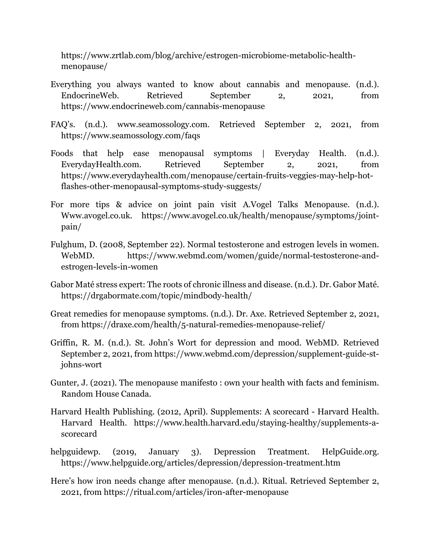https://www.zrtlab.com/blog/archive/estrogen-microbiome-metabolic-healthmenopause/

- Everything you always wanted to know about cannabis and menopause. (n.d.). EndocrineWeb. Retrieved September 2, 2021, from https://www.endocrineweb.com/cannabis-menopause
- FAQ's. (n.d.). www.seamossology.com. Retrieved September 2, 2021, from https://www.seamossology.com/faqs
- Foods that help ease menopausal symptoms | Everyday Health. (n.d.). EverydayHealth.com. Retrieved September 2, 2021, from https://www.everydayhealth.com/menopause/certain-fruits-veggies-may-help-hotflashes-other-menopausal-symptoms-study-suggests/
- For more tips & advice on joint pain visit A.Vogel Talks Menopause. (n.d.). Www.avogel.co.uk. https://www.avogel.co.uk/health/menopause/symptoms/jointpain/
- Fulghum, D. (2008, September 22). Normal testosterone and estrogen levels in women. WebMD. https://www.webmd.com/women/guide/normal-testosterone-andestrogen-levels-in-women
- Gabor Maté stress expert: The roots of chronic illness and disease. (n.d.). Dr. Gabor Maté. https://drgabormate.com/topic/mindbody-health/
- Great remedies for menopause symptoms. (n.d.). Dr. Axe. Retrieved September 2, 2021, from https://draxe.com/health/5-natural-remedies-menopause-relief/
- Griffin, R. M. (n.d.). St. John's Wort for depression and mood. WebMD. Retrieved September 2, 2021, from https://www.webmd.com/depression/supplement-guide-stjohns-wort
- Gunter, J. (2021). The menopause manifesto : own your health with facts and feminism. Random House Canada.
- Harvard Health Publishing. (2012, April). Supplements: A scorecard Harvard Health. Harvard Health. https://www.health.harvard.edu/staying-healthy/supplements-ascorecard
- helpguidewp. (2019, January 3). Depression Treatment. HelpGuide.org. https://www.helpguide.org/articles/depression/depression-treatment.htm
- Here's how iron needs change after menopause. (n.d.). Ritual. Retrieved September 2, 2021, from https://ritual.com/articles/iron-after-menopause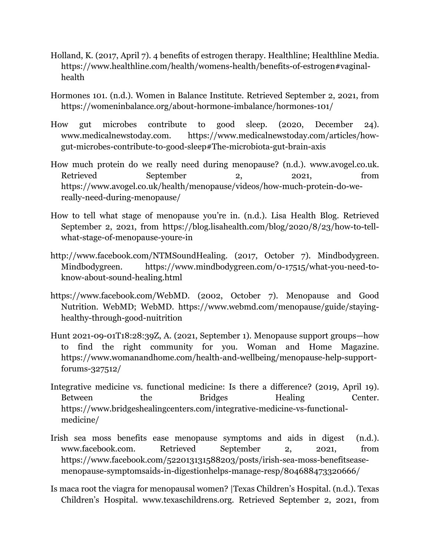- Holland, K. (2017, April 7). 4 benefits of estrogen therapy. Healthline; Healthline Media. https://www.healthline.com/health/womens-health/benefits-of-estrogen#vaginalhealth
- Hormones 101. (n.d.). Women in Balance Institute. Retrieved September 2, 2021, from https://womeninbalance.org/about-hormone-imbalance/hormones-101/
- How gut microbes contribute to good sleep. (2020, December 24). www.medicalnewstoday.com. https://www.medicalnewstoday.com/articles/howgut-microbes-contribute-to-good-sleep#The-microbiota-gut-brain-axis
- How much protein do we really need during menopause? (n.d.). www.avogel.co.uk. Retrieved September 2, 2021, from https://www.avogel.co.uk/health/menopause/videos/how-much-protein-do-wereally-need-during-menopause/
- How to tell what stage of menopause you're in. (n.d.). Lisa Health Blog. Retrieved September 2, 2021, from https://blog.lisahealth.com/blog/2020/8/23/how-to-tellwhat-stage-of-menopause-youre-in
- http://www.facebook.com/NTMSoundHealing. (2017, October 7). Mindbodygreen. Mindbodygreen. https://www.mindbodygreen.com/0-17515/what-you-need-toknow-about-sound-healing.html
- https://www.facebook.com/WebMD. (2002, October 7). Menopause and Good Nutrition. WebMD; WebMD. https://www.webmd.com/menopause/guide/stayinghealthy-through-good-nuitrition
- Hunt 2021-09-01T18:28:39Z, A. (2021, September 1). Menopause support groups—how to find the right community for you. Woman and Home Magazine. https://www.womanandhome.com/health-and-wellbeing/menopause-help-supportforums-327512/
- Integrative medicine vs. functional medicine: Is there a difference? (2019, April 19). Between the Bridges Healing Center. https://www.bridgeshealingcenters.com/integrative-medicine-vs-functionalmedicine/
- Irish sea moss benefits ease menopause symptoms and aids in digest (n.d.). www.facebook.com. Retrieved September 2, 2021, from https://www.facebook.com/522013131588203/posts/irish-sea-moss-benefitseasemenopause-symptomsaids-in-digestionhelps-manage-resp/804688473320666/
- Is maca root the viagra for menopausal women? |Texas Children's Hospital. (n.d.). Texas Children's Hospital. www.texaschildrens.org. Retrieved September 2, 2021, from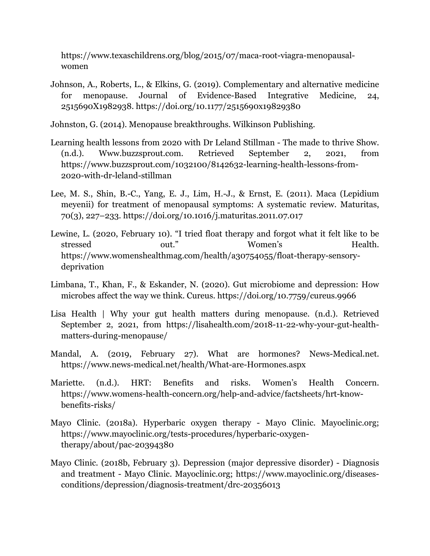https://www.texaschildrens.org/blog/2015/07/maca-root-viagra-menopausalwomen

- Johnson, A., Roberts, L., & Elkins, G. (2019). Complementary and alternative medicine for menopause. Journal of Evidence-Based Integrative Medicine, 24, 2515690X1982938. https://doi.org/10.1177/2515690x19829380
- Johnston, G. (2014). Menopause breakthroughs. Wilkinson Publishing.
- Learning health lessons from 2020 with Dr Leland Stillman The made to thrive Show. (n.d.). Www.buzzsprout.com. Retrieved September 2, 2021, from https://www.buzzsprout.com/1032100/8142632-learning-health-lessons-from-2020-with-dr-leland-stillman
- Lee, M. S., Shin, B.-C., Yang, E. J., Lim, H.-J., & Ernst, E. (2011). Maca (Lepidium meyenii) for treatment of menopausal symptoms: A systematic review. Maturitas, 70(3), 227–233. https://doi.org/10.1016/j.maturitas.2011.07.017
- Lewine, L. (2020, February 10). "I tried float therapy and forgot what it felt like to be stressed out." Women's Health. https://www.womenshealthmag.com/health/a30754055/float-therapy-sensorydeprivation
- Limbana, T., Khan, F., & Eskander, N. (2020). Gut microbiome and depression: How microbes affect the way we think. Cureus. https://doi.org/10.7759/cureus.9966
- Lisa Health | Why your gut health matters during menopause. (n.d.). Retrieved September 2, 2021, from https://lisahealth.com/2018-11-22-why-your-gut-healthmatters-during-menopause/
- Mandal, A. (2019, February 27). What are hormones? News-Medical.net. https://www.news-medical.net/health/What-are-Hormones.aspx
- Mariette. (n.d.). HRT: Benefits and risks. Women's Health Concern. https://www.womens-health-concern.org/help-and-advice/factsheets/hrt-knowbenefits-risks/
- Mayo Clinic. (2018a). Hyperbaric oxygen therapy Mayo Clinic. Mayoclinic.org; https://www.mayoclinic.org/tests-procedures/hyperbaric-oxygentherapy/about/pac-20394380
- Mayo Clinic. (2018b, February 3). Depression (major depressive disorder) Diagnosis and treatment - Mayo Clinic. Mayoclinic.org; https://www.mayoclinic.org/diseasesconditions/depression/diagnosis-treatment/drc-20356013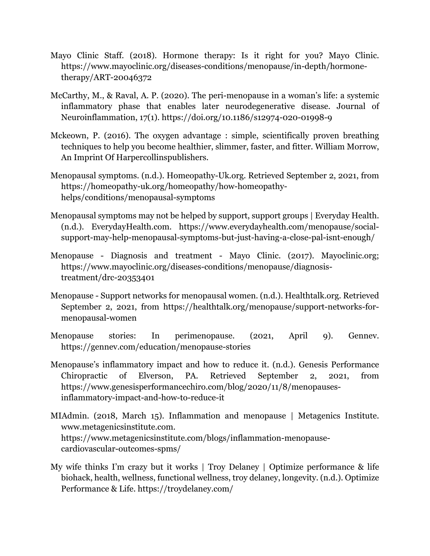- Mayo Clinic Staff. (2018). Hormone therapy: Is it right for you? Mayo Clinic. https://www.mayoclinic.org/diseases-conditions/menopause/in-depth/hormonetherapy/ART-20046372
- McCarthy, M., & Raval, A. P. (2020). The peri-menopause in a woman's life: a systemic inflammatory phase that enables later neurodegenerative disease. Journal of Neuroinflammation, 17(1). https://doi.org/10.1186/s12974-020-01998-9
- Mckeown, P. (2016). The oxygen advantage : simple, scientifically proven breathing techniques to help you become healthier, slimmer, faster, and fitter. William Morrow, An Imprint Of Harpercollinspublishers.
- Menopausal symptoms. (n.d.). Homeopathy-Uk.org. Retrieved September 2, 2021, from https://homeopathy-uk.org/homeopathy/how-homeopathyhelps/conditions/menopausal-symptoms
- Menopausal symptoms may not be helped by support, support groups | Everyday Health. (n.d.). EverydayHealth.com. https://www.everydayhealth.com/menopause/socialsupport-may-help-menopausal-symptoms-but-just-having-a-close-pal-isnt-enough/
- Menopause Diagnosis and treatment Mayo Clinic. (2017). Mayoclinic.org; https://www.mayoclinic.org/diseases-conditions/menopause/diagnosistreatment/drc-20353401
- Menopause Support networks for menopausal women. (n.d.). Healthtalk.org. Retrieved September 2, 2021, from https://healthtalk.org/menopause/support-networks-formenopausal-women
- Menopause stories: In perimenopause. (2021, April 9). Gennev. https://gennev.com/education/menopause-stories
- Menopause's inflammatory impact and how to reduce it. (n.d.). Genesis Performance Chiropractic of Elverson, PA. Retrieved September 2, 2021, from https://www.genesisperformancechiro.com/blog/2020/11/8/menopausesinflammatory-impact-and-how-to-reduce-it
- MIAdmin. (2018, March 15). Inflammation and menopause | Metagenics Institute. www.metagenicsinstitute.com. https://www.metagenicsinstitute.com/blogs/inflammation-menopausecardiovascular-outcomes-spms/
- My wife thinks I'm crazy but it works | Troy Delaney | Optimize performance & life biohack, health, wellness, functional wellness, troy delaney, longevity. (n.d.). Optimize Performance & Life. https://troydelaney.com/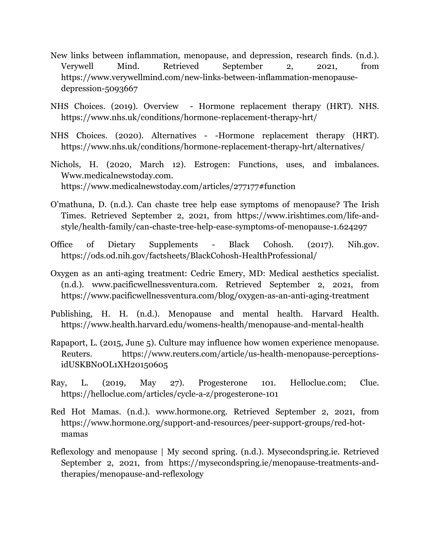- New links between inflammation, menopause, and depression, research finds. (n.d.). Verywell Mind. Retrieved September 2, 2021, from https://www.verywellmind.com/new-links-between-inflammation-menopausedepression-5093667
- NHS Choices. (2019). Overview Hormone replacement therapy (HRT). NHS. https://www.nhs.uk/conditions/hormone-replacement-therapy-hrt/
- NHS Choices. (2020). Alternatives -Hormone replacement therapy (HRT). https://www.nhs.uk/conditions/hormone-replacement-therapy-hrt/alternatives/
- Nichols, H. (2020, March 12). Estrogen: Functions, uses, and imbalances. Www.medicalnewstoday.com. https://www.medicalnewstoday.com/articles/277177#function
- O'mathuna, D. (n.d.). Can chaste tree help ease symptoms of menopause? The Irish Times. Retrieved September 2, 2021, from https://www.irishtimes.com/life-andstyle/health-family/can-chaste-tree-help-ease-symptoms-of-menopause-1.624297
- Office of Dietary Supplements Black Cohosh. (2017). Nih.gov. https://ods.od.nih.gov/factsheets/BlackCohosh-HealthProfessional/
- Oxygen as an anti-aging treatment: Cedric Emery, MD: Medical aesthetics specialist. (n.d.). www.pacificwellnessventura.com. Retrieved September 2, 2021, from https://www.pacificwellnessventura.com/blog/oxygen-as-an-anti-aging-treatment
- Publishing, H. H. (n.d.). Menopause and mental health. Harvard Health. https://www.health.harvard.edu/womens-health/menopause-and-mental-health
- Rapaport, L. (2015, June 5). Culture may influence how women experience menopause. Reuters. https://www.reuters.com/article/us-health-menopause-perceptionsidUSKBN0OL1XH20150605
- Ray, L. (2019, May 27). Progesterone 101. Helloclue.com; Clue. https://helloclue.com/articles/cycle-a-z/progesterone-101
- Red Hot Mamas. (n.d.). www.hormone.org. Retrieved September 2, 2021, from https://www.hormone.org/support-and-resources/peer-support-groups/red-hotmamas
- Reflexology and menopause | My second spring. (n.d.). Mysecondspring.ie. Retrieved September 2, 2021, from https://mysecondspring.ie/menopause-treatments-andtherapies/menopause-and-reflexology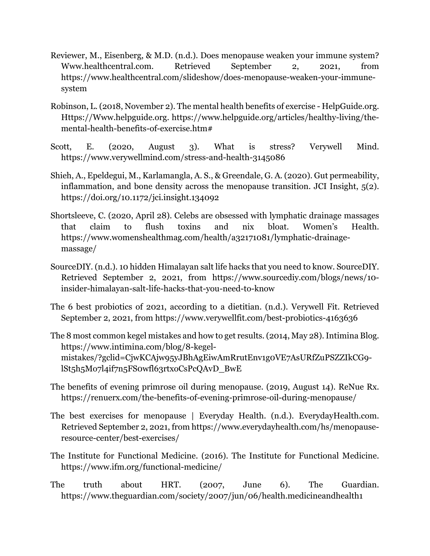- Reviewer, M., Eisenberg, & M.D. (n.d.). Does menopause weaken your immune system? Www.healthcentral.com. Retrieved September 2, 2021, from https://www.healthcentral.com/slideshow/does-menopause-weaken-your-immunesystem
- Robinson, L. (2018, November 2). The mental health benefits of exercise HelpGuide.org. Https://Www.helpguide.org. https://www.helpguide.org/articles/healthy-living/themental-health-benefits-of-exercise.htm#
- Scott, E. (2020, August 3). What is stress? Verywell Mind. https://www.verywellmind.com/stress-and-health-3145086
- Shieh, A., Epeldegui, M., Karlamangla, A. S., & Greendale, G. A. (2020). Gut permeability, inflammation, and bone density across the menopause transition. JCI Insight, 5(2). https://doi.org/10.1172/jci.insight.134092
- Shortsleeve, C. (2020, April 28). Celebs are obsessed with lymphatic drainage massages that claim to flush toxins and nix bloat. Women's Health. https://www.womenshealthmag.com/health/a32171081/lymphatic-drainagemassage/
- SourceDIY. (n.d.). 10 hidden Himalayan salt life hacks that you need to know. SourceDIY. Retrieved September 2, 2021, from https://www.sourcediy.com/blogs/news/10 insider-himalayan-salt-life-hacks-that-you-need-to-know
- The 6 best probiotics of 2021, according to a dietitian. (n.d.). Verywell Fit. Retrieved September 2, 2021, from https://www.verywellfit.com/best-probiotics-4163636
- The 8 most common kegel mistakes and how to get results. (2014, May 28). Intimina Blog. https://www.intimina.com/blog/8-kegelmistakes/?gclid=CjwKCAjw95yJBhAgEiwAmRrutEnv1g0VE7AsURfZuPSZZIkCG9 lSt5h5Mo7l4if7n5FS0wfl63rtxoCsPcQAvD\_BwE
- The benefits of evening primrose oil during menopause. (2019, August 14). ReNue Rx. https://renuerx.com/the-benefits-of-evening-primrose-oil-during-menopause/
- The best exercises for menopause | Everyday Health. (n.d.). EverydayHealth.com. Retrieved September 2, 2021, from https://www.everydayhealth.com/hs/menopauseresource-center/best-exercises/
- The Institute for Functional Medicine. (2016). The Institute for Functional Medicine. https://www.ifm.org/functional-medicine/
- The truth about HRT. (2007, June 6). The Guardian. https://www.theguardian.com/society/2007/jun/06/health.medicineandhealth1